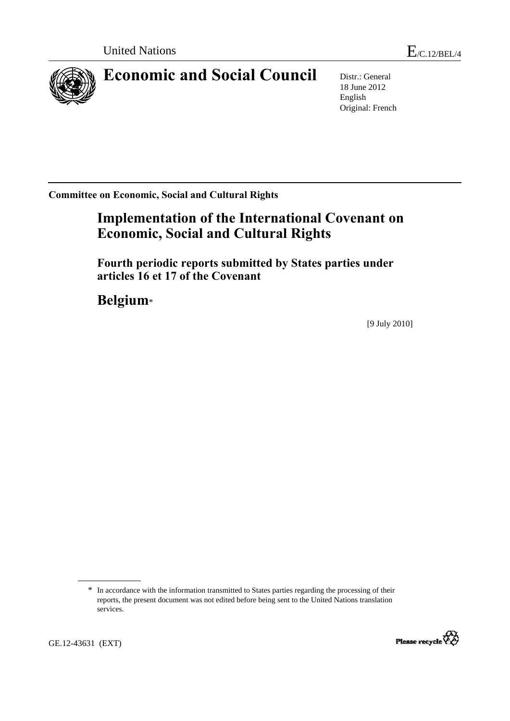

# **Economic and Social Council** Distr.: General

18 June 2012 English Original: French

**Committee on Economic, Social and Cultural Rights** 

# **Implementation of the International Covenant on Economic, Social and Cultural Rights**

 **Fourth periodic reports submitted by States parties under articles 16 et 17 of the Covenant** 

 **Belgium**\*

[9 July 2010]

<sup>\*</sup> In accordance with the information transmitted to States parties regarding the processing of their reports, the present document was not edited before being sent to the United Nations translation services.



GE.12-43631 (EXT)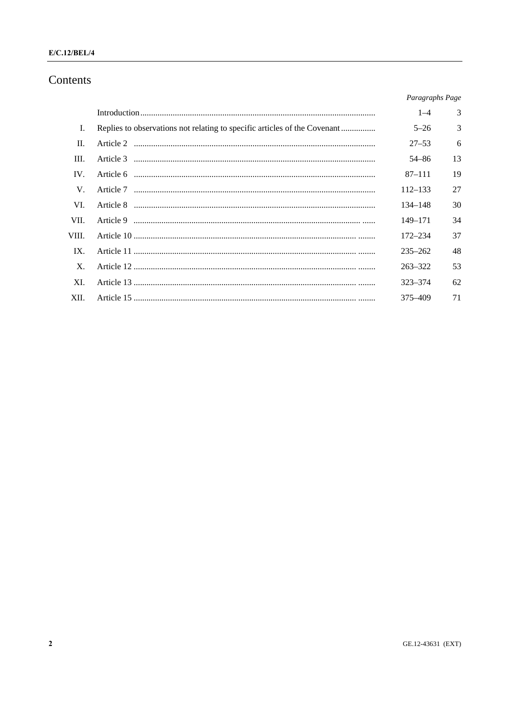## $E/C.12/BEL/4$

## Contents

|                   |                                                                           | Paragraphs Page |    |
|-------------------|---------------------------------------------------------------------------|-----------------|----|
|                   |                                                                           | $1 - 4$         | 3  |
| I.                | Replies to observations not relating to specific articles of the Covenant | $5 - 26$        | 3  |
| H.                |                                                                           | $27 - 53$       | 6  |
| III.              |                                                                           | 54–86           | 13 |
| $\mathbf{IV}_{-}$ |                                                                           | $87 - 111$      | 19 |
| V.                |                                                                           | 112–133         | 27 |
| VI.               |                                                                           | 134–148         | 30 |
| VII.              |                                                                           | $149 - 171$     | 34 |
| VIII.             |                                                                           | 172-234         | 37 |
| $IX_{-}$          |                                                                           | $235 - 262$     | 48 |
| $X_{-}$           |                                                                           | $263 - 322$     | 53 |
| XI.               |                                                                           | $323 - 374$     | 62 |
| XII.              |                                                                           | 375-409         | 71 |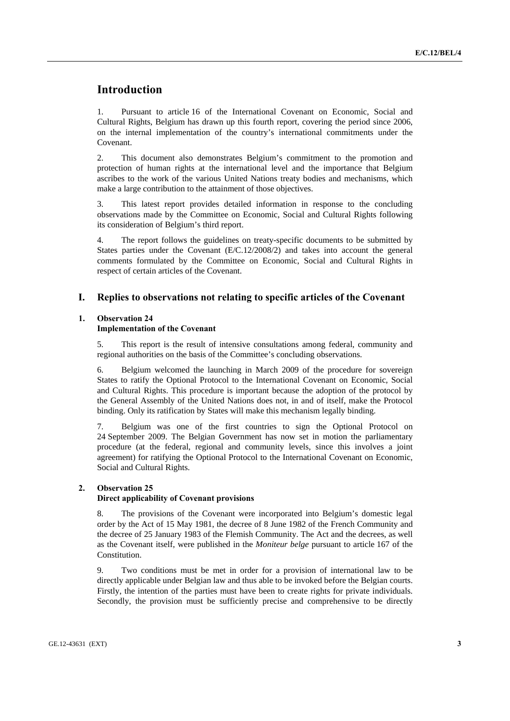## **Introduction**

1. Pursuant to article 16 of the International Covenant on Economic, Social and Cultural Rights, Belgium has drawn up this fourth report, covering the period since 2006, on the internal implementation of the country's international commitments under the Covenant.

2. This document also demonstrates Belgium's commitment to the promotion and protection of human rights at the international level and the importance that Belgium ascribes to the work of the various United Nations treaty bodies and mechanisms, which make a large contribution to the attainment of those objectives.

3. This latest report provides detailed information in response to the concluding observations made by the Committee on Economic, Social and Cultural Rights following its consideration of Belgium's third report.

4. The report follows the guidelines on treaty-specific documents to be submitted by States parties under the Covenant (E/C.12/2008/2) and takes into account the general comments formulated by the Committee on Economic, Social and Cultural Rights in respect of certain articles of the Covenant.

## **I. Replies to observations not relating to specific articles of the Covenant**

## **1. Observation 24**

## **Implementation of the Covenant**

5. This report is the result of intensive consultations among federal, community and regional authorities on the basis of the Committee's concluding observations.

6. Belgium welcomed the launching in March 2009 of the procedure for sovereign States to ratify the Optional Protocol to the International Covenant on Economic, Social and Cultural Rights. This procedure is important because the adoption of the protocol by the General Assembly of the United Nations does not, in and of itself, make the Protocol binding. Only its ratification by States will make this mechanism legally binding.

7. Belgium was one of the first countries to sign the Optional Protocol on 24 September 2009. The Belgian Government has now set in motion the parliamentary procedure (at the federal, regional and community levels, since this involves a joint agreement) for ratifying the Optional Protocol to the International Covenant on Economic, Social and Cultural Rights.

## **2. Observation 25**

## **Direct applicability of Covenant provisions**

8. The provisions of the Covenant were incorporated into Belgium's domestic legal order by the Act of 15 May 1981, the decree of 8 June 1982 of the French Community and the decree of 25 January 1983 of the Flemish Community. The Act and the decrees, as well as the Covenant itself, were published in the *Moniteur belge* pursuant to article 167 of the Constitution.

9. Two conditions must be met in order for a provision of international law to be directly applicable under Belgian law and thus able to be invoked before the Belgian courts. Firstly, the intention of the parties must have been to create rights for private individuals. Secondly, the provision must be sufficiently precise and comprehensive to be directly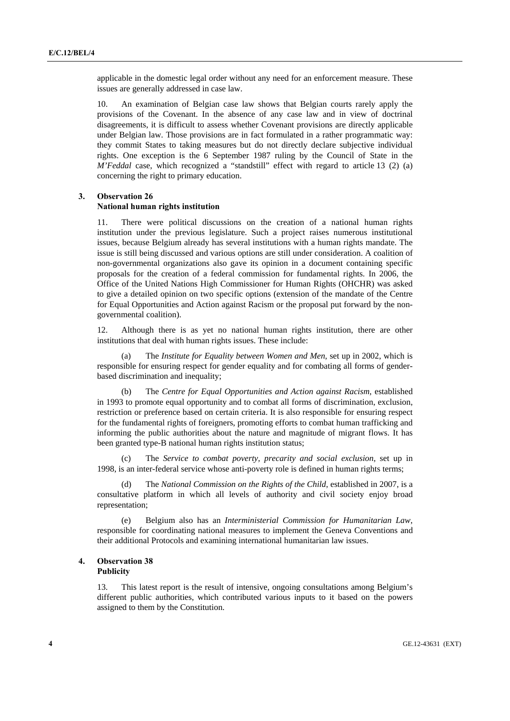applicable in the domestic legal order without any need for an enforcement measure. These issues are generally addressed in case law.

10. An examination of Belgian case law shows that Belgian courts rarely apply the provisions of the Covenant. In the absence of any case law and in view of doctrinal disagreements, it is difficult to assess whether Covenant provisions are directly applicable under Belgian law. Those provisions are in fact formulated in a rather programmatic way: they commit States to taking measures but do not directly declare subjective individual rights. One exception is the 6 September 1987 ruling by the Council of State in the *M'Feddal* case, which recognized a "standstill" effect with regard to article 13 (2) (a) concerning the right to primary education.

## **3. Observation 26**

#### **National human rights institution**

11. There were political discussions on the creation of a national human rights institution under the previous legislature. Such a project raises numerous institutional issues, because Belgium already has several institutions with a human rights mandate. The issue is still being discussed and various options are still under consideration. A coalition of non-governmental organizations also gave its opinion in a document containing specific proposals for the creation of a federal commission for fundamental rights. In 2006, the Office of the United Nations High Commissioner for Human Rights (OHCHR) was asked to give a detailed opinion on two specific options (extension of the mandate of the Centre for Equal Opportunities and Action against Racism or the proposal put forward by the nongovernmental coalition).

12. Although there is as yet no national human rights institution, there are other institutions that deal with human rights issues. These include:

 (a) The *Institute for Equality between Women and Men*, set up in 2002, which is responsible for ensuring respect for gender equality and for combating all forms of genderbased discrimination and inequality;

 (b) The *Centre for Equal Opportunities and Action against Racism*, established in 1993 to promote equal opportunity and to combat all forms of discrimination, exclusion, restriction or preference based on certain criteria. It is also responsible for ensuring respect for the fundamental rights of foreigners, promoting efforts to combat human trafficking and informing the public authorities about the nature and magnitude of migrant flows. It has been granted type-B national human rights institution status;

The *Service to combat poverty, precarity and social exclusion*, set up in 1998, is an inter-federal service whose anti-poverty role is defined in human rights terms;

 (d) The *National Commission on the Rights of the Child*, established in 2007, is a consultative platform in which all levels of authority and civil society enjoy broad representation;

 (e) Belgium also has an *Interministerial Commission for Humanitarian Law*, responsible for coordinating national measures to implement the Geneva Conventions and their additional Protocols and examining international humanitarian law issues.

## **4. Observation 38 Publicity**

13. This latest report is the result of intensive, ongoing consultations among Belgium's different public authorities, which contributed various inputs to it based on the powers assigned to them by the Constitution.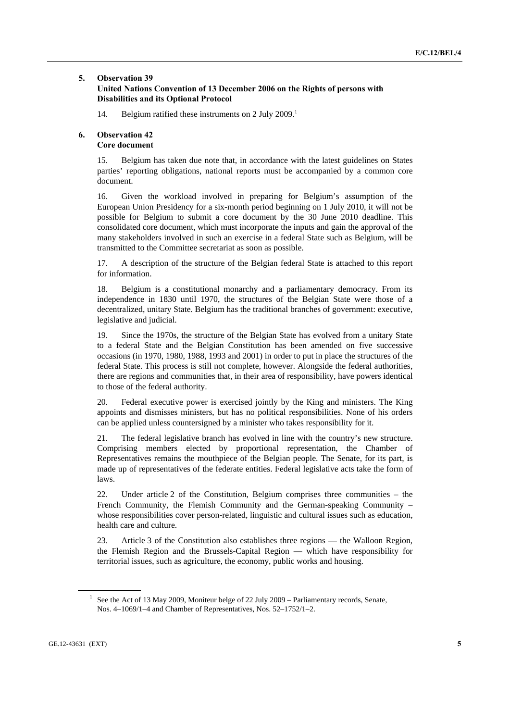## **5. Observation 39**

## **United Nations Convention of 13 December 2006 on the Rights of persons with Disabilities and its Optional Protocol**

14. Belgium ratified these instruments on 2 July 2009.<sup>1</sup>

## **6. Observation 42 Core document**

15. Belgium has taken due note that, in accordance with the latest guidelines on States parties' reporting obligations, national reports must be accompanied by a common core document.

16. Given the workload involved in preparing for Belgium's assumption of the European Union Presidency for a six-month period beginning on 1 July 2010, it will not be possible for Belgium to submit a core document by the 30 June 2010 deadline. This consolidated core document, which must incorporate the inputs and gain the approval of the many stakeholders involved in such an exercise in a federal State such as Belgium, will be transmitted to the Committee secretariat as soon as possible.

17. A description of the structure of the Belgian federal State is attached to this report for information.

18. Belgium is a constitutional monarchy and a parliamentary democracy. From its independence in 1830 until 1970, the structures of the Belgian State were those of a decentralized, unitary State. Belgium has the traditional branches of government: executive, legislative and judicial.

19. Since the 1970s, the structure of the Belgian State has evolved from a unitary State to a federal State and the Belgian Constitution has been amended on five successive occasions (in 1970, 1980, 1988, 1993 and 2001) in order to put in place the structures of the federal State. This process is still not complete, however. Alongside the federal authorities, there are regions and communities that, in their area of responsibility, have powers identical to those of the federal authority.

20. Federal executive power is exercised jointly by the King and ministers. The King appoints and dismisses ministers, but has no political responsibilities. None of his orders can be applied unless countersigned by a minister who takes responsibility for it.

21. The federal legislative branch has evolved in line with the country's new structure. Comprising members elected by proportional representation, the Chamber of Representatives remains the mouthpiece of the Belgian people. The Senate, for its part, is made up of representatives of the federate entities. Federal legislative acts take the form of laws.

22. Under article 2 of the Constitution, Belgium comprises three communities – the French Community, the Flemish Community and the German-speaking Community – whose responsibilities cover person-related, linguistic and cultural issues such as education, health care and culture.

23. Article 3 of the Constitution also establishes three regions — the Walloon Region, the Flemish Region and the Brussels-Capital Region — which have responsibility for territorial issues, such as agriculture, the economy, public works and housing.

<sup>&</sup>lt;sup>1</sup> See the Act of 13 May 2009, Moniteur belge of 22 July 2009 – Parliamentary records, Senate, Nos. 4–1069/1–4 and Chamber of Representatives, Nos. 52–1752/1–2.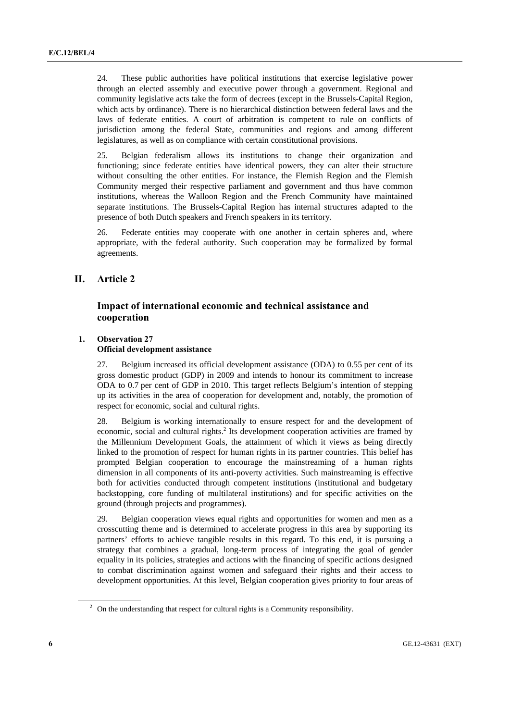24. These public authorities have political institutions that exercise legislative power through an elected assembly and executive power through a government. Regional and community legislative acts take the form of decrees (except in the Brussels-Capital Region, which acts by ordinance). There is no hierarchical distinction between federal laws and the laws of federate entities. A court of arbitration is competent to rule on conflicts of jurisdiction among the federal State, communities and regions and among different legislatures, as well as on compliance with certain constitutional provisions.

25. Belgian federalism allows its institutions to change their organization and functioning; since federate entities have identical powers, they can alter their structure without consulting the other entities. For instance, the Flemish Region and the Flemish Community merged their respective parliament and government and thus have common institutions, whereas the Walloon Region and the French Community have maintained separate institutions. The Brussels-Capital Region has internal structures adapted to the presence of both Dutch speakers and French speakers in its territory.

26. Federate entities may cooperate with one another in certain spheres and, where appropriate, with the federal authority. Such cooperation may be formalized by formal agreements.

## **II. Article 2**

## **Impact of international economic and technical assistance and cooperation**

## **1. Observation 27 Official development assistance**

27. Belgium increased its official development assistance (ODA) to 0.55 per cent of its gross domestic product (GDP) in 2009 and intends to honour its commitment to increase ODA to 0.7 per cent of GDP in 2010. This target reflects Belgium's intention of stepping up its activities in the area of cooperation for development and, notably, the promotion of respect for economic, social and cultural rights.

28. Belgium is working internationally to ensure respect for and the development of economic, social and cultural rights.<sup>2</sup> Its development cooperation activities are framed by the Millennium Development Goals, the attainment of which it views as being directly linked to the promotion of respect for human rights in its partner countries. This belief has prompted Belgian cooperation to encourage the mainstreaming of a human rights dimension in all components of its anti-poverty activities. Such mainstreaming is effective both for activities conducted through competent institutions (institutional and budgetary backstopping, core funding of multilateral institutions) and for specific activities on the ground (through projects and programmes).

29. Belgian cooperation views equal rights and opportunities for women and men as a crosscutting theme and is determined to accelerate progress in this area by supporting its partners' efforts to achieve tangible results in this regard. To this end, it is pursuing a strategy that combines a gradual, long-term process of integrating the goal of gender equality in its policies, strategies and actions with the financing of specific actions designed to combat discrimination against women and safeguard their rights and their access to development opportunities. At this level, Belgian cooperation gives priority to four areas of

<sup>&</sup>lt;sup>2</sup> On the understanding that respect for cultural rights is a Community responsibility.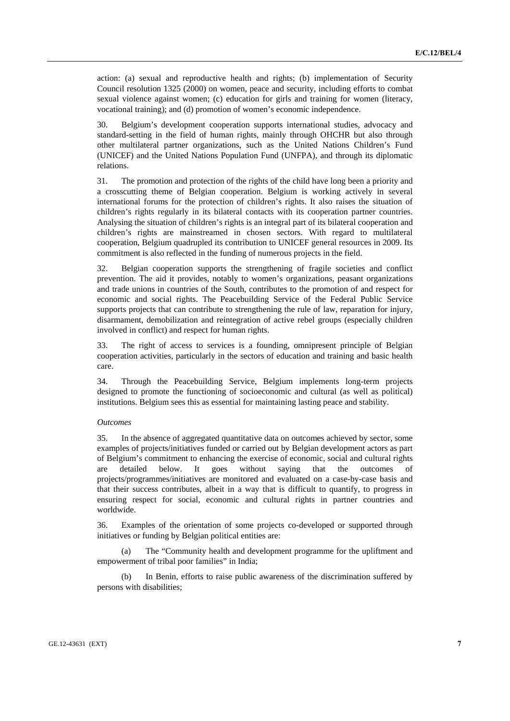action: (a) sexual and reproductive health and rights; (b) implementation of Security Council resolution 1325 (2000) on women, peace and security, including efforts to combat sexual violence against women; (c) education for girls and training for women (literacy, vocational training); and (d) promotion of women's economic independence.

30. Belgium's development cooperation supports international studies, advocacy and standard-setting in the field of human rights, mainly through OHCHR but also through other multilateral partner organizations, such as the United Nations Children's Fund (UNICEF) and the United Nations Population Fund (UNFPA), and through its diplomatic relations.

31. The promotion and protection of the rights of the child have long been a priority and a crosscutting theme of Belgian cooperation. Belgium is working actively in several international forums for the protection of children's rights. It also raises the situation of children's rights regularly in its bilateral contacts with its cooperation partner countries. Analysing the situation of children's rights is an integral part of its bilateral cooperation and children's rights are mainstreamed in chosen sectors. With regard to multilateral cooperation, Belgium quadrupled its contribution to UNICEF general resources in 2009. Its commitment is also reflected in the funding of numerous projects in the field.

32. Belgian cooperation supports the strengthening of fragile societies and conflict prevention. The aid it provides, notably to women's organizations, peasant organizations and trade unions in countries of the South, contributes to the promotion of and respect for economic and social rights. The Peacebuilding Service of the Federal Public Service supports projects that can contribute to strengthening the rule of law, reparation for injury, disarmament, demobilization and reintegration of active rebel groups (especially children involved in conflict) and respect for human rights.

33. The right of access to services is a founding, omnipresent principle of Belgian cooperation activities, particularly in the sectors of education and training and basic health care.

34. Through the Peacebuilding Service, Belgium implements long-term projects designed to promote the functioning of socioeconomic and cultural (as well as political) institutions. Belgium sees this as essential for maintaining lasting peace and stability.

#### *Outcomes*

35. In the absence of aggregated quantitative data on outcomes achieved by sector, some examples of projects/initiatives funded or carried out by Belgian development actors as part of Belgium's commitment to enhancing the exercise of economic, social and cultural rights are detailed below. It goes without saying that the outcomes of projects/programmes/initiatives are monitored and evaluated on a case-by-case basis and that their success contributes, albeit in a way that is difficult to quantify, to progress in ensuring respect for social, economic and cultural rights in partner countries and worldwide.

36. Examples of the orientation of some projects co-developed or supported through initiatives or funding by Belgian political entities are:

 (a) The "Community health and development programme for the upliftment and empowerment of tribal poor families" in India;

 (b) In Benin, efforts to raise public awareness of the discrimination suffered by persons with disabilities;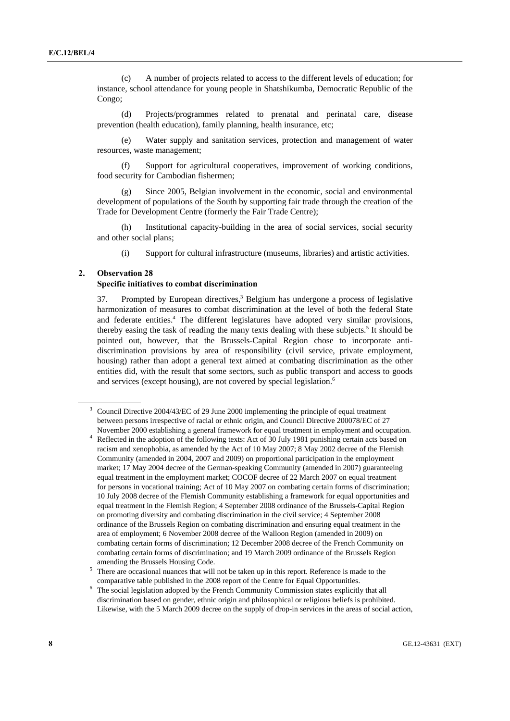(c) A number of projects related to access to the different levels of education; for instance, school attendance for young people in Shatshikumba, Democratic Republic of the Congo;

 (d) Projects/programmes related to prenatal and perinatal care, disease prevention (health education), family planning, health insurance, etc;

 (e) Water supply and sanitation services, protection and management of water resources, waste management;

 (f) Support for agricultural cooperatives, improvement of working conditions, food security for Cambodian fishermen;

 (g) Since 2005, Belgian involvement in the economic, social and environmental development of populations of the South by supporting fair trade through the creation of the Trade for Development Centre (formerly the Fair Trade Centre);

 (h) Institutional capacity-building in the area of social services, social security and other social plans;

(i) Support for cultural infrastructure (museums, libraries) and artistic activities.

## **2. Observation 28**

#### **Specific initiatives to combat discrimination**

37. Prompted by European directives,<sup>3</sup> Belgium has undergone a process of legislative harmonization of measures to combat discrimination at the level of both the federal State and federate entities.<sup>4</sup> The different legislatures have adopted very similar provisions, thereby easing the task of reading the many texts dealing with these subjects.<sup>5</sup> It should be pointed out, however, that the Brussels-Capital Region chose to incorporate antidiscrimination provisions by area of responsibility (civil service, private employment, housing) rather than adopt a general text aimed at combating discrimination as the other entities did, with the result that some sectors, such as public transport and access to goods and services (except housing), are not covered by special legislation.<sup>6</sup>

<sup>3</sup> Council Directive 2004/43/EC of 29 June 2000 implementing the principle of equal treatment between persons irrespective of racial or ethnic origin, and Council Directive 200078/EC of 27 November 2000 establishing a general framework for equal treatment in employment and occupation. 4

Reflected in the adoption of the following texts: Act of 30 July 1981 punishing certain acts based on racism and xenophobia, as amended by the Act of 10 May 2007; 8 May 2002 decree of the Flemish Community (amended in 2004, 2007 and 2009) on proportional participation in the employment market; 17 May 2004 decree of the German-speaking Community (amended in 2007) guaranteeing equal treatment in the employment market; COCOF decree of 22 March 2007 on equal treatment for persons in vocational training; Act of 10 May 2007 on combating certain forms of discrimination; 10 July 2008 decree of the Flemish Community establishing a framework for equal opportunities and equal treatment in the Flemish Region; 4 September 2008 ordinance of the Brussels-Capital Region on promoting diversity and combating discrimination in the civil service; 4 September 2008 ordinance of the Brussels Region on combating discrimination and ensuring equal treatment in the area of employment; 6 November 2008 decree of the Walloon Region (amended in 2009) on combating certain forms of discrimination; 12 December 2008 decree of the French Community on combating certain forms of discrimination; and 19 March 2009 ordinance of the Brussels Region amending the Brussels Housing Code.<br>5 There are occasional nuances that will

There are occasional nuances that will not be taken up in this report. Reference is made to the

comparative table published in the 2008 report of the Centre for Equal Opportunities. 6 The social legislation adopted by the French Community Commission states explicitly that all discrimination based on gender, ethnic origin and philosophical or religious beliefs is prohibited. Likewise, with the 5 March 2009 decree on the supply of drop-in services in the areas of social action,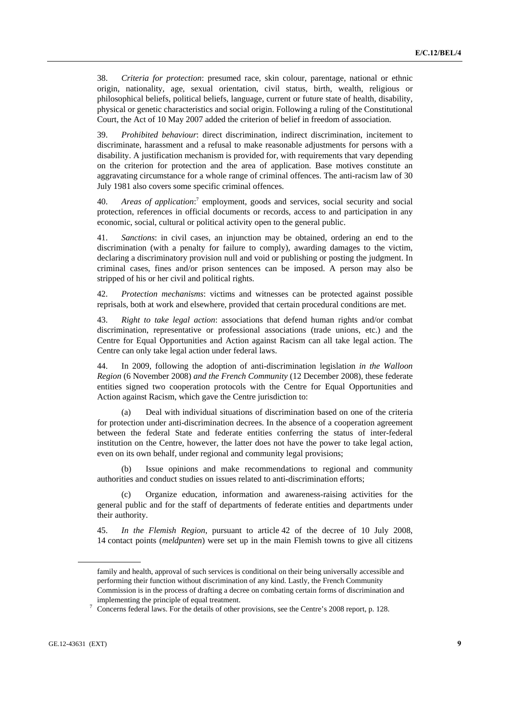38. *Criteria for protection*: presumed race, skin colour, parentage, national or ethnic origin, nationality, age, sexual orientation, civil status, birth, wealth, religious or philosophical beliefs, political beliefs, language, current or future state of health, disability, physical or genetic characteristics and social origin. Following a ruling of the Constitutional Court, the Act of 10 May 2007 added the criterion of belief in freedom of association.

39. *Prohibited behaviour*: direct discrimination, indirect discrimination, incitement to discriminate, harassment and a refusal to make reasonable adjustments for persons with a disability. A justification mechanism is provided for, with requirements that vary depending on the criterion for protection and the area of application. Base motives constitute an aggravating circumstance for a whole range of criminal offences. The anti-racism law of 30 July 1981 also covers some specific criminal offences.

40. Areas of application:<sup>7</sup> employment, goods and services, social security and social protection, references in official documents or records, access to and participation in any economic, social, cultural or political activity open to the general public.

41. *Sanctions*: in civil cases, an injunction may be obtained, ordering an end to the discrimination (with a penalty for failure to comply), awarding damages to the victim, declaring a discriminatory provision null and void or publishing or posting the judgment. In criminal cases, fines and/or prison sentences can be imposed. A person may also be stripped of his or her civil and political rights.

42. *Protection mechanisms*: victims and witnesses can be protected against possible reprisals, both at work and elsewhere, provided that certain procedural conditions are met.

43. *Right to take legal action*: associations that defend human rights and/or combat discrimination, representative or professional associations (trade unions, etc.) and the Centre for Equal Opportunities and Action against Racism can all take legal action. The Centre can only take legal action under federal laws.

44. In 2009, following the adoption of anti-discrimination legislation *in the Walloon Region* (6 November 2008) *and the French Community* (12 December 2008), these federate entities signed two cooperation protocols with the Centre for Equal Opportunities and Action against Racism, which gave the Centre jurisdiction to:

Deal with individual situations of discrimination based on one of the criteria for protection under anti-discrimination decrees. In the absence of a cooperation agreement between the federal State and federate entities conferring the status of inter-federal institution on the Centre, however, the latter does not have the power to take legal action, even on its own behalf, under regional and community legal provisions;

 (b) Issue opinions and make recommendations to regional and community authorities and conduct studies on issues related to anti-discrimination efforts;

 (c) Organize education, information and awareness-raising activities for the general public and for the staff of departments of federate entities and departments under their authority.

45. *In the Flemish Region*, pursuant to article 42 of the decree of 10 July 2008, 14 contact points (*meldpunten*) were set up in the main Flemish towns to give all citizens

family and health, approval of such services is conditional on their being universally accessible and performing their function without discrimination of any kind. Lastly, the French Community Commission is in the process of drafting a decree on combating certain forms of discrimination and

implementing the principle of equal treatment.<br><sup>7</sup> Concerns federal laws. For the details of other provisions, see the Centre's 2008 report, p. 128.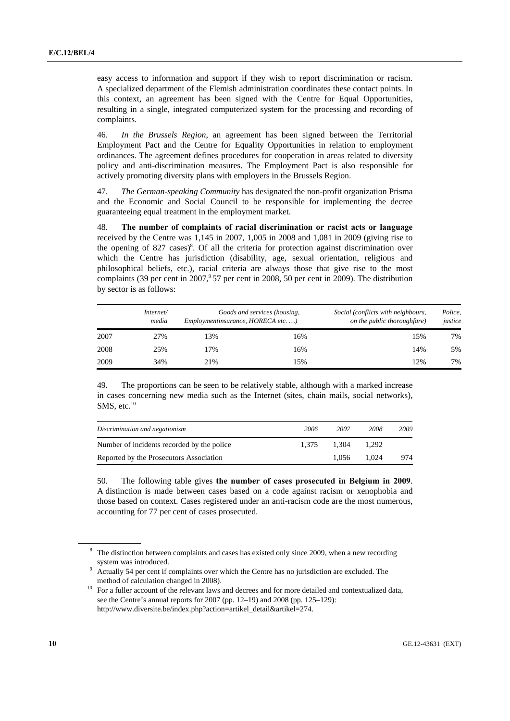easy access to information and support if they wish to report discrimination or racism. A specialized department of the Flemish administration coordinates these contact points. In this context, an agreement has been signed with the Centre for Equal Opportunities, resulting in a single, integrated computerized system for the processing and recording of complaints.

46. *In the Brussels Region*, an agreement has been signed between the Territorial Employment Pact and the Centre for Equality Opportunities in relation to employment ordinances. The agreement defines procedures for cooperation in areas related to diversity policy and anti-discrimination measures. The Employment Pact is also responsible for actively promoting diversity plans with employers in the Brussels Region.

47. *The German-speaking Community* has designated the non-profit organization Prisma and the Economic and Social Council to be responsible for implementing the decree guaranteeing equal treatment in the employment market.

48. **The number of complaints of racial discrimination or racist acts or language**  received by the Centre was 1,145 in 2007, 1,005 in 2008 and 1,081 in 2009 (giving rise to the opening of 827 cases)<sup>8</sup>. Of all the criteria for protection against discrimination over which the Centre has jurisdiction (disability, age, sexual orientation, religious and philosophical beliefs, etc.), racial criteria are always those that give rise to the most complaints (39 per cent in  $2007$ ,  $57$  per cent in 2008, 50 per cent in 2009). The distribution by sector is as follows:

|      | Internet/<br>media | Employmentinsurance, HORECA etc) | Goods and services (housing, | Social (conflicts with neighbours,<br>on the public thoroughfare) | Police,<br>justice |
|------|--------------------|----------------------------------|------------------------------|-------------------------------------------------------------------|--------------------|
| 2007 | 27%                | 3%                               | 16%                          | 15%                                                               | 7%                 |
| 2008 | 25%                | .7%                              | 16%                          | 14%                                                               | 5%                 |
| 2009 | 34%                | 21%                              | 15%                          | 12%                                                               | 7%                 |

49. The proportions can be seen to be relatively stable, although with a marked increase in cases concerning new media such as the Internet (sites, chain mails, social networks),  $SMS$ , etc.<sup>10</sup>

| Discrimination and negationism              | 2006  | 2007  | 2008  | 2009 |
|---------------------------------------------|-------|-------|-------|------|
| Number of incidents recorded by the police. | 1.375 | 1.304 | 1.292 |      |
| Reported by the Prosecutors Association     |       | 1.056 | 1.024 | 974  |

50. The following table gives **the number of cases prosecuted in Belgium in 2009**. A distinction is made between cases based on a code against racism or xenophobia and those based on context. Cases registered under an anti-racism code are the most numerous, accounting for 77 per cent of cases prosecuted.

<sup>&</sup>lt;sup>8</sup> The distinction between complaints and cases has existed only since 2009, when a new recording

system was introduced. 9 Actually 54 per cent if complaints over which the Centre has no jurisdiction are excluded. The

method of calculation changed in 2008).<br><sup>10</sup> For a fuller account of the relevant laws and decrees and for more detailed and contextualized data, see the Centre's annual reports for 2007 (pp. 12–19) and 2008 (pp. 125–129): http://www.diversite.be/index.php?action=artikel\_detail&artikel=274.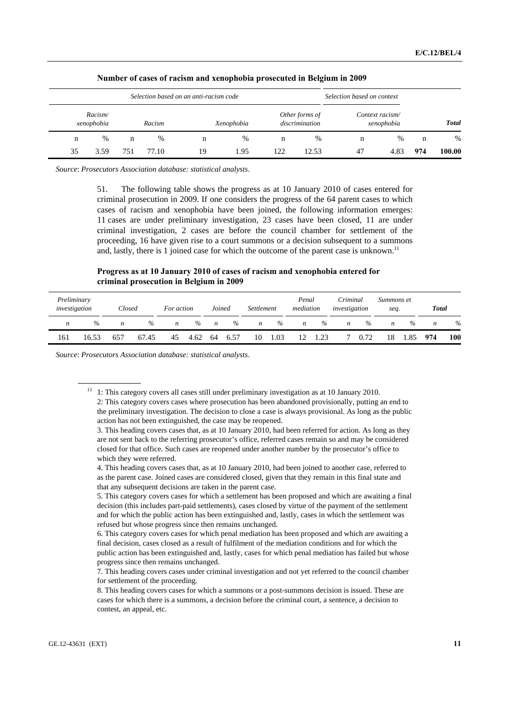|              |     |      | Selection based on context    |               | Selection based on an anti-racism code |            |    |        |     |                       |    |
|--------------|-----|------|-------------------------------|---------------|----------------------------------------|------------|----|--------|-----|-----------------------|----|
| <b>Total</b> |     |      | Context racism/<br>xenophobia |               | Other forms of<br>discrimination       | Xenophobia |    | Racism |     | Racism/<br>xenophobia |    |
| $\%$         | n   | $\%$ | n                             | $\frac{0}{0}$ | n                                      | $\%$       | n  | $\%$   | n   | $\%$                  | n  |
| 100.00       | 974 | 4.83 | 47                            | 12.53         | 122                                    | 1.95       | 19 | 77.10  | 751 | 3.59                  | 35 |

 **Number of cases of racism and xenophobia prosecuted in Belgium in 2009** 

*Source*: *Prosecutors Association database: statistical analysts*.

51. The following table shows the progress as at 10 January 2010 of cases entered for criminal prosecution in 2009. If one considers the progress of the 64 parent cases to which cases of racism and xenophobia have been joined, the following information emerges: 11 cases are under preliminary investigation, 23 cases have been closed, 11 are under criminal investigation, 2 cases are before the council chamber for settlement of the proceeding, 16 have given rise to a court summons or a decision subsequent to a summons and, lastly, there is 1 joined case for which the outcome of the parent case is unknown.<sup>11</sup>

## **Progress as at 10 January 2010 of cases of racism and xenophobia entered for criminal prosecution in Belgium in 2009**

| Preliminary<br>investigation |               | Closed |       | For action |      | Joined           |      | Settlement |      | Penal<br>mediation |      | Criminal<br>investigation |      | Summons et<br>seq. |      | <b>Total</b> |      |
|------------------------------|---------------|--------|-------|------------|------|------------------|------|------------|------|--------------------|------|---------------------------|------|--------------------|------|--------------|------|
| n                            | $\frac{0}{0}$ | n      | $\%$  | n          | $\%$ | $\boldsymbol{n}$ | $\%$ | n          | $\%$ | n                  | %    | n                         | $\%$ | n                  | $\%$ | n            | $\%$ |
| 161                          | 16.53         | 657    | 67.45 | 45         | 4.62 | 64               | 6.57 | 10         | 1.03 |                    | 1.23 |                           | 0.72 | 18                 |      | 974          | 100  |

*Source*: *Prosecutors Association database: statistical analysts*.

 $11$  1: This category covers all cases still under preliminary investigation as at 10 January 2010. 2: This category covers cases where prosecution has been abandoned provisionally, putting an end to the preliminary investigation. The decision to close a case is always provisional. As long as the public action has not been extinguished, the case may be reopened.

 <sup>3.</sup> This heading covers cases that, as at 10 January 2010, had been referred for action. As long as they are not sent back to the referring prosecutor's office, referred cases remain so and may be considered closed for that office. Such cases are reopened under another number by the prosecutor's office to which they were referred.

 <sup>4.</sup> This heading covers cases that, as at 10 January 2010, had been joined to another case, referred to as the parent case. Joined cases are considered closed, given that they remain in this final state and that any subsequent decisions are taken in the parent case.

 <sup>5.</sup> This category covers cases for which a settlement has been proposed and which are awaiting a final decision (this includes part-paid settlements), cases closed by virtue of the payment of the settlement and for which the public action has been extinguished and, lastly, cases in which the settlement was refused but whose progress since then remains unchanged.

 <sup>6.</sup> This category covers cases for which penal mediation has been proposed and which are awaiting a final decision, cases closed as a result of fulfilment of the mediation conditions and for which the public action has been extinguished and, lastly, cases for which penal mediation has failed but whose progress since then remains unchanged.

 <sup>7.</sup> This heading covers cases under criminal investigation and not yet referred to the council chamber for settlement of the proceeding.

 <sup>8.</sup> This heading covers cases for which a summons or a post-summons decision is issued. These are cases for which there is a summons, a decision before the criminal court, a sentence, a decision to contest, an appeal, etc.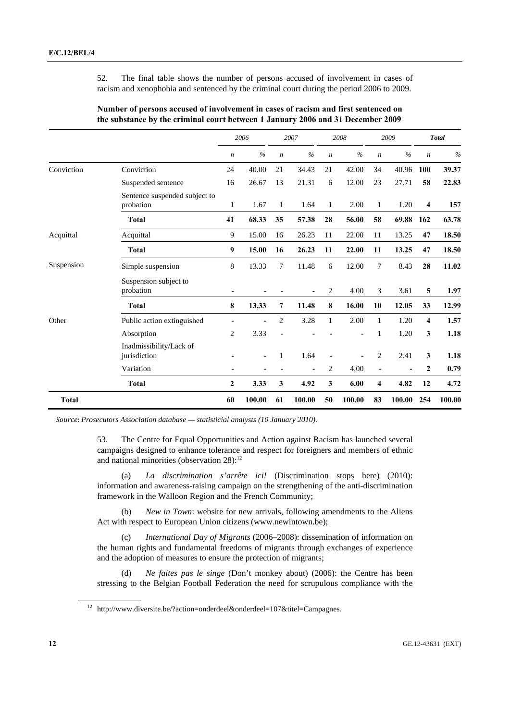52. The final table shows the number of persons accused of involvement in cases of racism and xenophobia and sentenced by the criminal court during the period 2006 to 2009.

|              |                                            |                          | 2006          |                          | 2007                     |                  | 2008          |                          | 2009           |                         | <b>Total</b>  |
|--------------|--------------------------------------------|--------------------------|---------------|--------------------------|--------------------------|------------------|---------------|--------------------------|----------------|-------------------------|---------------|
|              |                                            | $\boldsymbol{n}$         | $\frac{0}{6}$ | $\boldsymbol{n}$         | $\frac{0}{0}$            | $\boldsymbol{n}$ | $\frac{0}{0}$ | $\boldsymbol{n}$         | $\frac{0}{0}$  | $\boldsymbol{n}$        | $\frac{0}{0}$ |
| Conviction   | Conviction                                 | 24                       | 40.00         | 21                       | 34.43                    | 21               | 42.00         | 34                       | 40.96          | 100                     | 39.37         |
|              | Suspended sentence                         | 16                       | 26.67         | 13                       | 21.31                    | 6                | 12.00         | 23                       | 27.71          | 58                      | 22.83         |
|              | Sentence suspended subject to<br>probation | $\mathbf{1}$             | 1.67          | 1                        | 1.64                     | 1                | 2.00          | $\mathbf{1}$             | 1.20           | $\overline{\mathbf{4}}$ | 157           |
|              | <b>Total</b>                               | 41                       | 68.33         | 35                       | 57.38                    | 28               | 56.00         | 58                       | 69.88          | 162                     | 63.78         |
| Acquittal    | Acquittal                                  | 9                        | 15.00         | 16                       | 26.23                    | 11               | 22.00         | 11                       | 13.25          | 47                      | 18.50         |
|              | <b>Total</b>                               | 9                        | 15.00         | 16                       | 26.23                    | 11               | 22.00         | 11                       | 13.25          | 47                      | 18.50         |
| Suspension   | Simple suspension                          | 8                        | 13.33         | 7                        | 11.48                    | 6                | 12.00         | $\overline{7}$           | 8.43           | 28                      | 11.02         |
|              | Suspension subject to<br>probation         |                          |               |                          |                          | 2                | 4.00          | 3                        | 3.61           | 5                       | 1.97          |
|              | <b>Total</b>                               | 8                        | 13,33         | 7                        | 11.48                    | 8                | 16.00         | 10                       | 12.05          | 33                      | 12.99         |
| Other        | Public action extinguished                 |                          |               | $\overline{c}$           | 3.28                     | 1                | 2.00          | $\mathbf{1}$             | 1.20           | 4                       | 1.57          |
|              | Absorption                                 | $\overline{2}$           | 3.33          |                          |                          |                  |               | 1                        | 1.20           | 3                       | 1.18          |
|              | Inadmissibility/Lack of<br>jurisdiction    |                          |               | 1                        | 1.64                     |                  |               | $\overline{c}$           | 2.41           | 3                       | 1.18          |
|              | Variation                                  | $\overline{\phantom{a}}$ |               | $\overline{\phantom{a}}$ | $\overline{\phantom{a}}$ | 2                | 4,00          | $\overline{\phantom{a}}$ | $\overline{a}$ | $\mathbf{2}$            | 0.79          |
|              | <b>Total</b>                               | $\boldsymbol{2}$         | 3.33          | 3                        | 4.92                     | 3                | 6.00          | $\boldsymbol{4}$         | 4.82           | 12                      | 4.72          |
| <b>Total</b> |                                            | 60                       | 100.00        | 61                       | 100.00                   | 50               | 100.00        | 83                       | 100.00         | 254                     | 100.00        |

 **Number of persons accused of involvement in cases of racism and first sentenced on the substance by the criminal court between 1 January 2006 and 31 December 2009** 

*Source*: *Prosecutors Association database — statisticial analysts (10 January 2010)*.

53. The Centre for Equal Opportunities and Action against Racism has launched several campaigns designed to enhance tolerance and respect for foreigners and members of ethnic and national minorities (observation  $28$ ):<sup>12</sup>

 (a) *La discrimination s'arrête ici!* (Discrimination stops here) (2010): information and awareness-raising campaign on the strengthening of the anti-discrimination framework in the Walloon Region and the French Community;

 (b) *New in Town*: website for new arrivals, following amendments to the Aliens Act with respect to European Union citizens (www.newintown.be);

 (c) *International Day of Migrants* (2006–2008): dissemination of information on the human rights and fundamental freedoms of migrants through exchanges of experience and the adoption of measures to ensure the protection of migrants;

 (d) *Ne faites pas le singe* (Don't monkey about) (2006): the Centre has been stressing to the Belgian Football Federation the need for scrupulous compliance with the

<sup>&</sup>lt;sup>12</sup> http://www.diversite.be/?action=onderdeel&onderdeel=107&titel=Campagnes.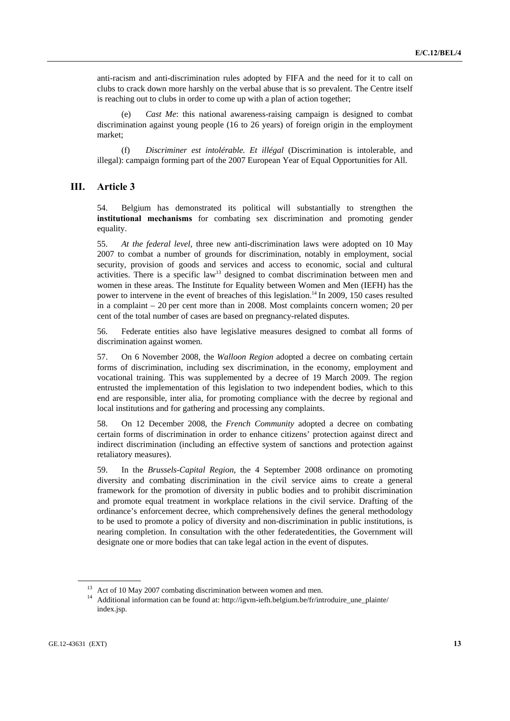anti-racism and anti-discrimination rules adopted by FIFA and the need for it to call on clubs to crack down more harshly on the verbal abuse that is so prevalent. The Centre itself is reaching out to clubs in order to come up with a plan of action together;

*Cast Me*: this national awareness-raising campaign is designed to combat discrimination against young people (16 to 26 years) of foreign origin in the employment market;

 (f) *Discriminer est intolérable. Et illégal* (Discrimination is intolerable, and illegal): campaign forming part of the 2007 European Year of Equal Opportunities for All.

## **III. Article 3**

54. Belgium has demonstrated its political will substantially to strengthen the **institutional mechanisms** for combating sex discrimination and promoting gender equality.

55. *At the federal level*, three new anti-discrimination laws were adopted on 10 May 2007 to combat a number of grounds for discrimination, notably in employment, social security, provision of goods and services and access to economic, social and cultural activities. There is a specific  $law<sup>13</sup>$  designed to combat discrimination between men and women in these areas. The Institute for Equality between Women and Men (IEFH) has the power to intervene in the event of breaches of this legislation.14 In 2009, 150 cases resulted in a complaint – 20 per cent more than in 2008. Most complaints concern women; 20 per cent of the total number of cases are based on pregnancy-related disputes.

56. Federate entities also have legislative measures designed to combat all forms of discrimination against women.

57. On 6 November 2008, the *Walloon Region* adopted a decree on combating certain forms of discrimination, including sex discrimination, in the economy, employment and vocational training. This was supplemented by a decree of 19 March 2009. The region entrusted the implementation of this legislation to two independent bodies, which to this end are responsible, inter alia, for promoting compliance with the decree by regional and local institutions and for gathering and processing any complaints.

58. On 12 December 2008, the *French Community* adopted a decree on combating certain forms of discrimination in order to enhance citizens' protection against direct and indirect discrimination (including an effective system of sanctions and protection against retaliatory measures).

59. In the *Brussels-Capital Region*, the 4 September 2008 ordinance on promoting diversity and combating discrimination in the civil service aims to create a general framework for the promotion of diversity in public bodies and to prohibit discrimination and promote equal treatment in workplace relations in the civil service. Drafting of the ordinance's enforcement decree, which comprehensively defines the general methodology to be used to promote a policy of diversity and non-discrimination in public institutions, is nearing completion. In consultation with the other federatedentities, the Government will designate one or more bodies that can take legal action in the event of disputes.

<sup>&</sup>lt;sup>13</sup> Act of 10 May 2007 combating discrimination between women and men.<br><sup>14</sup> Additional information can be found at: http://igvm-iefh.belgium.be/fr/introduire\_une\_plainte/ index.jsp.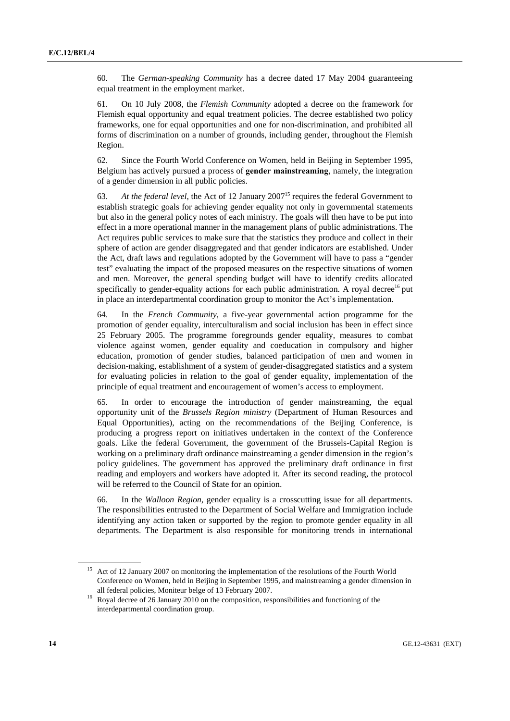60. The *German-speaking Community* has a decree dated 17 May 2004 guaranteeing equal treatment in the employment market.

61. On 10 July 2008, the *Flemish Community* adopted a decree on the framework for Flemish equal opportunity and equal treatment policies. The decree established two policy frameworks, one for equal opportunities and one for non-discrimination, and prohibited all forms of discrimination on a number of grounds, including gender, throughout the Flemish Region.

62. Since the Fourth World Conference on Women, held in Beijing in September 1995, Belgium has actively pursued a process of **gender mainstreaming**, namely, the integration of a gender dimension in all public policies.

63. *At the federal level*, the Act of 12 January 200715 requires the federal Government to establish strategic goals for achieving gender equality not only in governmental statements but also in the general policy notes of each ministry. The goals will then have to be put into effect in a more operational manner in the management plans of public administrations. The Act requires public services to make sure that the statistics they produce and collect in their sphere of action are gender disaggregated and that gender indicators are established. Under the Act, draft laws and regulations adopted by the Government will have to pass a "gender test" evaluating the impact of the proposed measures on the respective situations of women and men. Moreover, the general spending budget will have to identify credits allocated specifically to gender-equality actions for each public administration. A royal decree<sup>16</sup> put in place an interdepartmental coordination group to monitor the Act's implementation.

64. In the *French Community*, a five-year governmental action programme for the promotion of gender equality, interculturalism and social inclusion has been in effect since 25 February 2005. The programme foregrounds gender equality, measures to combat violence against women, gender equality and coeducation in compulsory and higher education, promotion of gender studies, balanced participation of men and women in decision-making, establishment of a system of gender-disaggregated statistics and a system for evaluating policies in relation to the goal of gender equality, implementation of the principle of equal treatment and encouragement of women's access to employment.

65. In order to encourage the introduction of gender mainstreaming, the equal opportunity unit of the *Brussels Region ministry* (Department of Human Resources and Equal Opportunities), acting on the recommendations of the Beijing Conference, is producing a progress report on initiatives undertaken in the context of the Conference goals. Like the federal Government, the government of the Brussels-Capital Region is working on a preliminary draft ordinance mainstreaming a gender dimension in the region's policy guidelines. The government has approved the preliminary draft ordinance in first reading and employers and workers have adopted it. After its second reading, the protocol will be referred to the Council of State for an opinion.

66. In the *Walloon Region*, gender equality is a crosscutting issue for all departments. The responsibilities entrusted to the Department of Social Welfare and Immigration include identifying any action taken or supported by the region to promote gender equality in all departments. The Department is also responsible for monitoring trends in international

<sup>&</sup>lt;sup>15</sup> Act of 12 January 2007 on monitoring the implementation of the resolutions of the Fourth World Conference on Women, held in Beijing in September 1995, and mainstreaming a gender dimension in

all federal policies, Moniteur belge of 13 February 2007. 16 Royal decree of 26 January 2010 on the composition, responsibilities and functioning of the interdepartmental coordination group.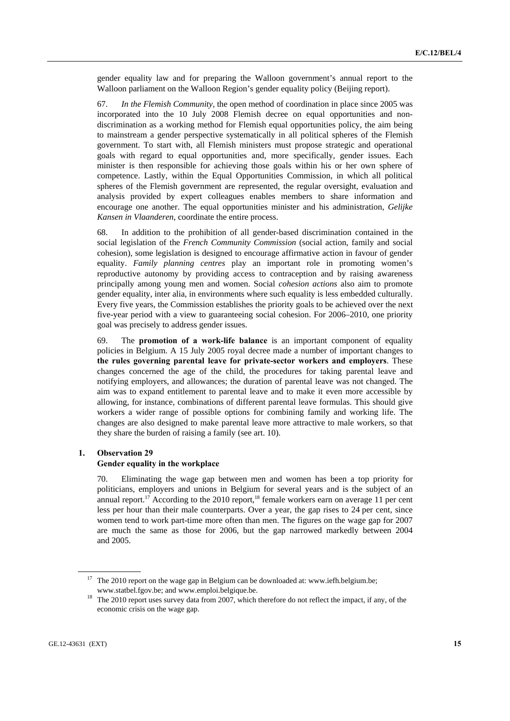gender equality law and for preparing the Walloon government's annual report to the Walloon parliament on the Walloon Region's gender equality policy (Beijing report).

67. *In the Flemish Community*, the open method of coordination in place since 2005 was incorporated into the 10 July 2008 Flemish decree on equal opportunities and nondiscrimination as a working method for Flemish equal opportunities policy, the aim being to mainstream a gender perspective systematically in all political spheres of the Flemish government. To start with, all Flemish ministers must propose strategic and operational goals with regard to equal opportunities and, more specifically, gender issues. Each minister is then responsible for achieving those goals within his or her own sphere of competence. Lastly, within the Equal Opportunities Commission, in which all political spheres of the Flemish government are represented, the regular oversight, evaluation and analysis provided by expert colleagues enables members to share information and encourage one another. The equal opportunities minister and his administration, *Gelijke Kansen in Vlaanderen*, coordinate the entire process.

68. In addition to the prohibition of all gender-based discrimination contained in the social legislation of the *French Community Commission* (social action, family and social cohesion), some legislation is designed to encourage affirmative action in favour of gender equality. *Family planning centres* play an important role in promoting women's reproductive autonomy by providing access to contraception and by raising awareness principally among young men and women. Social *cohesion actions* also aim to promote gender equality, inter alia, in environments where such equality is less embedded culturally. Every five years, the Commission establishes the priority goals to be achieved over the next five-year period with a view to guaranteeing social cohesion. For 2006–2010, one priority goal was precisely to address gender issues.

69. The **promotion of a work-life balance** is an important component of equality policies in Belgium. A 15 July 2005 royal decree made a number of important changes to **the rules governing parental leave for private-sector workers and employers**. These changes concerned the age of the child, the procedures for taking parental leave and notifying employers, and allowances; the duration of parental leave was not changed. The aim was to expand entitlement to parental leave and to make it even more accessible by allowing, for instance, combinations of different parental leave formulas. This should give workers a wider range of possible options for combining family and working life. The changes are also designed to make parental leave more attractive to male workers, so that they share the burden of raising a family (see art. 10).

## **1. Observation 29**

## **Gender equality in the workplace**

70. Eliminating the wage gap between men and women has been a top priority for politicians, employers and unions in Belgium for several years and is the subject of an annual report.<sup>17</sup> According to the 2010 report,<sup>18</sup> female workers earn on average 11 per cent less per hour than their male counterparts. Over a year, the gap rises to 24 per cent, since women tend to work part-time more often than men. The figures on the wage gap for 2007 are much the same as those for 2006, but the gap narrowed markedly between 2004 and 2005.

 $17$  The 2010 report on the wage gap in Belgium can be downloaded at: www.iefh.belgium.be;

www.statbel.fgov.be; and www.emploi.belgique.be.<br><sup>18</sup> The 2010 report uses survey data from 2007, which therefore do not reflect the impact, if any, of the economic crisis on the wage gap.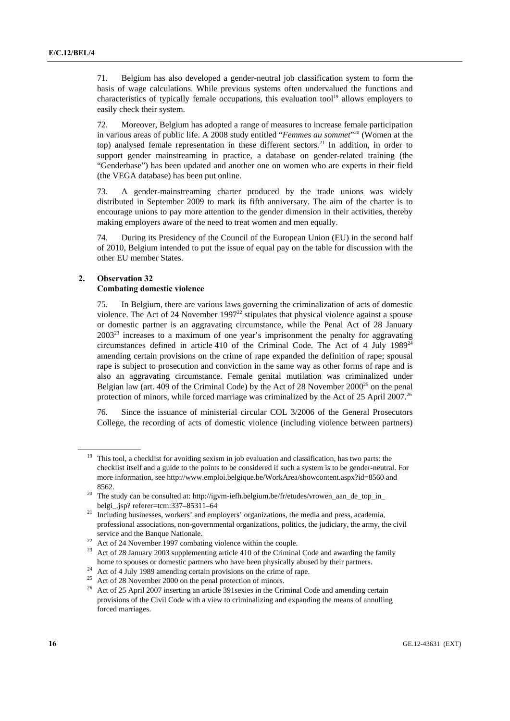71. Belgium has also developed a gender-neutral job classification system to form the basis of wage calculations. While previous systems often undervalued the functions and characteristics of typically female occupations, this evaluation tool<sup>19</sup> allows employers to easily check their system.

72. Moreover, Belgium has adopted a range of measures to increase female participation in various areas of public life. A 2008 study entitled "*Femmes au sommet*"20 (Women at the top) analysed female representation in these different sectors.<sup>21</sup> In addition, in order to support gender mainstreaming in practice, a database on gender-related training (the "Genderbase") has been updated and another one on women who are experts in their field (the VEGA database) has been put online.

73. A gender-mainstreaming charter produced by the trade unions was widely distributed in September 2009 to mark its fifth anniversary. The aim of the charter is to encourage unions to pay more attention to the gender dimension in their activities, thereby making employers aware of the need to treat women and men equally.

74. During its Presidency of the Council of the European Union (EU) in the second half of 2010, Belgium intended to put the issue of equal pay on the table for discussion with the other EU member States.

## **2. Observation 32 Combating domestic violence**

75. In Belgium, there are various laws governing the criminalization of acts of domestic violence. The Act of 24 November 1997 $^{22}$  stipulates that physical violence against a spouse or domestic partner is an aggravating circumstance, while the Penal Act of 28 January  $2003<sup>23</sup>$  increases to a maximum of one year's imprisonment the penalty for aggravating circumstances defined in article 410 of the Criminal Code. The Act of 4 July  $1989^{24}$ amending certain provisions on the crime of rape expanded the definition of rape; spousal rape is subject to prosecution and conviction in the same way as other forms of rape and is also an aggravating circumstance. Female genital mutilation was criminalized under Belgian law (art. 409 of the Criminal Code) by the Act of 28 November  $2000^{25}$  on the penal protection of minors, while forced marriage was criminalized by the Act of 25 April 2007.<sup>26</sup>

76. Since the issuance of ministerial circular COL 3/2006 of the General Prosecutors College, the recording of acts of domestic violence (including violence between partners)

<sup>&</sup>lt;sup>19</sup> This tool, a checklist for avoiding sexism in job evaluation and classification, has two parts: the checklist itself and a guide to the points to be considered if such a system is to be gender-neutral. For more information, see http://www.emploi.belgique.be/WorkArea/showcontent.aspx?id=8560 and 8562.<br><sup>20</sup> The study can be consulted at: http://igym-iefh.belgium.be/fr/etudes/vrowen\_aan\_de\_top\_in\_

belgi\_.jsp? referer=tcm:337–85311–64<br><sup>21</sup> Including businesses, workers' and employers' organizations, the media and press, academia, professional associations, non-governmental organizations, politics, the judiciary, the army, the civil service and the Banque Nationale.<br><sup>22</sup> Act of 24 November 1997 combating violence within the couple.<br><sup>23</sup> Act of 28 J

<sup>23</sup> Act of 28 January 2003 supplementing article 410 of the Criminal Code and awarding the family home to spouses or domestic partners who have been physically abused by their partners. Act of 4 July 1989 amending certain provisions on the crime of rape.

<sup>&</sup>lt;sup>25</sup> Act of 28 November 2000 on the penal protection of minors.

<sup>&</sup>lt;sup>26</sup> Act of 25 April 2007 inserting an article 391 sexies in the Criminal Code and amending certain provisions of the Civil Code with a view to criminalizing and expanding the means of annulling forced marriages.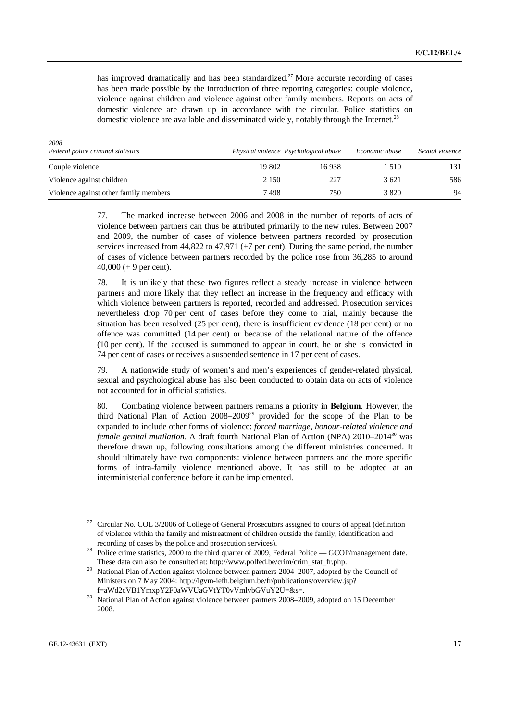has improved dramatically and has been standardized.<sup>27</sup> More accurate recording of cases has been made possible by the introduction of three reporting categories: couple violence, violence against children and violence against other family members. Reports on acts of domestic violence are drawn up in accordance with the circular. Police statistics on domestic violence are available and disseminated widely, notably through the Internet.<sup>28</sup>

| 2008                                  |         |                                       |                |                 |
|---------------------------------------|---------|---------------------------------------|----------------|-----------------|
| Federal police criminal statistics    |         | Physical violence Psychological abuse | Economic abuse | Sexual violence |
| Couple violence                       | 19 802  | 16938                                 | 1510           | 131             |
| Violence against children             | 2 1 5 0 | 227                                   | 3621           | 586             |
| Violence against other family members | 7498    | 750                                   | 3 8 2 0        | 94              |

77. The marked increase between 2006 and 2008 in the number of reports of acts of violence between partners can thus be attributed primarily to the new rules. Between 2007 and 2009, the number of cases of violence between partners recorded by prosecution services increased from 44,822 to 47,971 (+7 per cent). During the same period, the number of cases of violence between partners recorded by the police rose from 36,285 to around 40,000 (+ 9 per cent).

78. It is unlikely that these two figures reflect a steady increase in violence between partners and more likely that they reflect an increase in the frequency and efficacy with which violence between partners is reported, recorded and addressed. Prosecution services nevertheless drop 70 per cent of cases before they come to trial, mainly because the situation has been resolved (25 per cent), there is insufficient evidence (18 per cent) or no offence was committed (14 per cent) or because of the relational nature of the offence (10 per cent). If the accused is summoned to appear in court, he or she is convicted in 74 per cent of cases or receives a suspended sentence in 17 per cent of cases.

79. A nationwide study of women's and men's experiences of gender-related physical, sexual and psychological abuse has also been conducted to obtain data on acts of violence not accounted for in official statistics.

80. Combating violence between partners remains a priority in **Belgium**. However, the third National Plan of Action  $2008-2009^{29}$  provided for the scope of the Plan to be expanded to include other forms of violence: *forced marriage, honour-related violence and female genital mutilation*. A draft fourth National Plan of Action (NPA) 2010–2014<sup>30</sup> was therefore drawn up, following consultations among the different ministries concerned. It should ultimately have two components: violence between partners and the more specific forms of intra-family violence mentioned above. It has still to be adopted at an interministerial conference before it can be implemented.

<sup>27</sup> Circular No. COL 3/2006 of College of General Prosecutors assigned to courts of appeal (definition of violence within the family and mistreatment of children outside the family, identification and

recording of cases by the police and prosecution services). 28 Police crime statistics, 2000 to the third quarter of 2009, Federal Police — GCOP/management date.

These data can also be consulted at: http://www.polfed.be/crim/crim\_stat\_fr.php. 29 National Plan of Action against violence between partners 2004–2007, adopted by the Council of Ministers on 7 May 2004: http://igvm-iefh.belgium.be/fr/publications/overview.jsp?

f=aWd2cVB1YmxpY2F0aWVUaGVtYT0vVmlvbGVuY2U=&s=. 30 National Plan of Action against violence between partners 2008–2009, adopted on 15 December 2008.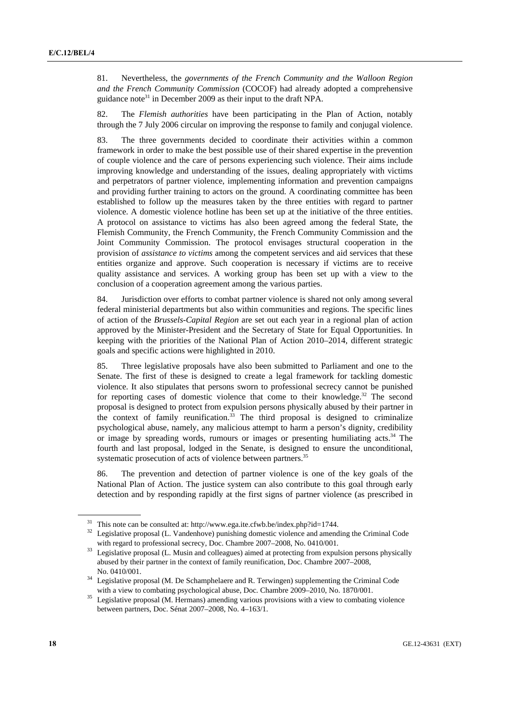81. Nevertheless, the *governments of the French Community and the Walloon Region and the French Community Commission* (COCOF) had already adopted a comprehensive guidance note31 in December 2009 as their input to the draft NPA.

82. The *Flemish authorities* have been participating in the Plan of Action, notably through the 7 July 2006 circular on improving the response to family and conjugal violence.

83. The three governments decided to coordinate their activities within a common framework in order to make the best possible use of their shared expertise in the prevention of couple violence and the care of persons experiencing such violence. Their aims include improving knowledge and understanding of the issues, dealing appropriately with victims and perpetrators of partner violence, implementing information and prevention campaigns and providing further training to actors on the ground. A coordinating committee has been established to follow up the measures taken by the three entities with regard to partner violence. A domestic violence hotline has been set up at the initiative of the three entities. A protocol on assistance to victims has also been agreed among the federal State, the Flemish Community, the French Community, the French Community Commission and the Joint Community Commission. The protocol envisages structural cooperation in the provision of *assistance to victims* among the competent services and aid services that these entities organize and approve. Such cooperation is necessary if victims are to receive quality assistance and services. A working group has been set up with a view to the conclusion of a cooperation agreement among the various parties.

84. Jurisdiction over efforts to combat partner violence is shared not only among several federal ministerial departments but also within communities and regions. The specific lines of action of the *Brussels-Capital Region* are set out each year in a regional plan of action approved by the Minister-President and the Secretary of State for Equal Opportunities. In keeping with the priorities of the National Plan of Action 2010–2014, different strategic goals and specific actions were highlighted in 2010.

85. Three legislative proposals have also been submitted to Parliament and one to the Senate. The first of these is designed to create a legal framework for tackling domestic violence. It also stipulates that persons sworn to professional secrecy cannot be punished for reporting cases of domestic violence that come to their knowledge. $32$  The second proposal is designed to protect from expulsion persons physically abused by their partner in the context of family reunification. $33$  The third proposal is designed to criminalize psychological abuse, namely, any malicious attempt to harm a person's dignity, credibility or image by spreading words, rumours or images or presenting humiliating acts.<sup>34</sup> The fourth and last proposal, lodged in the Senate, is designed to ensure the unconditional, systematic prosecution of acts of violence between partners.<sup>35</sup>

86. The prevention and detection of partner violence is one of the key goals of the National Plan of Action. The justice system can also contribute to this goal through early detection and by responding rapidly at the first signs of partner violence (as prescribed in

<sup>&</sup>lt;sup>31</sup> This note can be consulted at: http://www.ega.ite.cfwb.be/index.php?id=1744.<br><sup>32</sup> Legislative proposal (L. Vandenhove) punishing domestic violence and amending the Criminal Code

with regard to professional secrecy, Doc. Chambre 2007–2008, No. 0410/001.<br><sup>33</sup> Legislative proposal (L. Musin and colleagues) aimed at protecting from expulsion persons physically abused by their partner in the context of family reunification, Doc. Chambre 2007–2008,

No. 0410/001. 34 Legislative proposal (M. De Schamphelaere and R. Terwingen) supplementing the Criminal Code

with a view to combating psychological abuse, Doc. Chambre 2009–2010, No. 1870/001.<br><sup>35</sup> Legislative proposal (M. Hermans) amending various provisions with a view to combating violence between partners, Doc. Sénat 2007–2008, No. 4–163/1.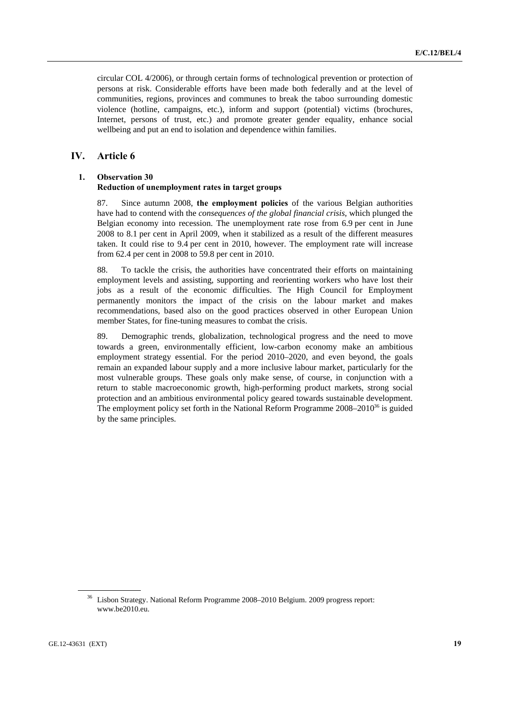circular COL 4/2006), or through certain forms of technological prevention or protection of persons at risk. Considerable efforts have been made both federally and at the level of communities, regions, provinces and communes to break the taboo surrounding domestic violence (hotline, campaigns, etc.), inform and support (potential) victims (brochures, Internet, persons of trust, etc.) and promote greater gender equality, enhance social wellbeing and put an end to isolation and dependence within families.

## **IV. Article 6**

## **1. Observation 30 Reduction of unemployment rates in target groups**

87. Since autumn 2008, **the employment policies** of the various Belgian authorities have had to contend with the *consequences of the global financial crisis*, which plunged the Belgian economy into recession. The unemployment rate rose from 6.9 per cent in June 2008 to 8.1 per cent in April 2009, when it stabilized as a result of the different measures taken. It could rise to 9.4 per cent in 2010, however. The employment rate will increase from 62.4 per cent in 2008 to 59.8 per cent in 2010.

88. To tackle the crisis, the authorities have concentrated their efforts on maintaining employment levels and assisting, supporting and reorienting workers who have lost their jobs as a result of the economic difficulties. The High Council for Employment permanently monitors the impact of the crisis on the labour market and makes recommendations, based also on the good practices observed in other European Union member States, for fine-tuning measures to combat the crisis.

89. Demographic trends, globalization, technological progress and the need to move towards a green, environmentally efficient, low-carbon economy make an ambitious employment strategy essential. For the period 2010–2020, and even beyond, the goals remain an expanded labour supply and a more inclusive labour market, particularly for the most vulnerable groups. These goals only make sense, of course, in conjunction with a return to stable macroeconomic growth, high-performing product markets, strong social protection and an ambitious environmental policy geared towards sustainable development. The employment policy set forth in the National Reform Programme  $2008-2010^{36}$  is guided by the same principles.

<sup>36</sup> Lisbon Strategy. National Reform Programme 2008–2010 Belgium. 2009 progress report: www.be2010.eu.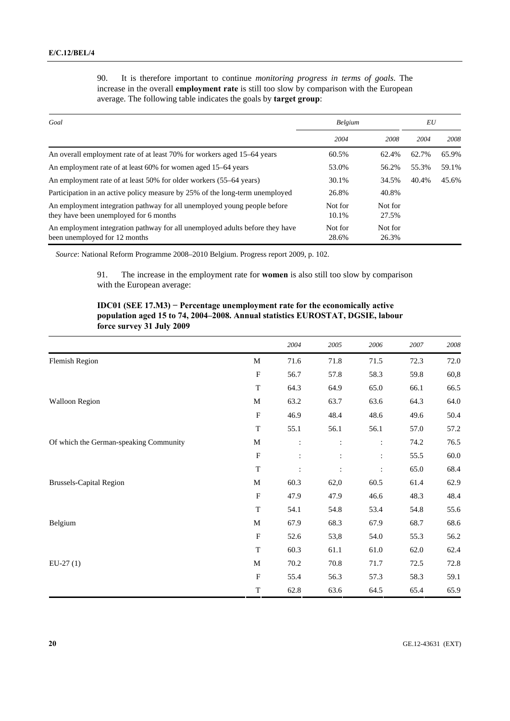| 90. | It is therefore important to continue <i>monitoring progress in terms of goals</i> . The         |  |  |  |  |
|-----|--------------------------------------------------------------------------------------------------|--|--|--|--|
|     | increase in the overall <b>employment rate</b> is still too slow by comparison with the European |  |  |  |  |
|     | average. The following table indicates the goals by <b>target group</b> :                        |  |  |  |  |

| Goal                                                                                                               | Belgium          |                  | EU    |       |  |
|--------------------------------------------------------------------------------------------------------------------|------------------|------------------|-------|-------|--|
|                                                                                                                    | 2004             | 2008             | 2004  | 2008  |  |
| An overall employment rate of at least 70% for workers aged 15–64 years                                            | 60.5%            | 62.4%            | 62.7% | 65.9% |  |
| An employment rate of at least 60% for women aged 15–64 years                                                      | 53.0%            | 56.2%            | 55.3% | 59.1% |  |
| An employment rate of at least 50% for older workers (55–64 years)                                                 | 30.1%            | 34.5%            | 40.4% | 45.6% |  |
| Participation in an active policy measure by 25% of the long-term unemployed                                       | 26.8%            | 40.8%            |       |       |  |
| An employment integration pathway for all unemployed young people before<br>they have been unemployed for 6 months | Not for<br>10.1% | Not for<br>27.5% |       |       |  |
| An employment integration pathway for all unemployed adults before they have<br>been unemployed for 12 months      | Not for<br>28.6% | Not for<br>26.3% |       |       |  |

*Source*: National Reform Programme 2008–2010 Belgium. Progress report 2009, p. 102.

91. The increase in the employment rate for **women** is also still too slow by comparison with the European average:

## **IDC01 (SEE 17.M3) − Percentage unemployment rate for the economically active population aged 15 to 74, 2004–2008. Annual statistics EUROSTAT, DGSIE, labour force survey 31 July 2009**

|                                        |                           | 2004           | 2005 | 2006           | 2007 | 2008     |
|----------------------------------------|---------------------------|----------------|------|----------------|------|----------|
| <b>Flemish Region</b>                  | $\mathbf M$               | 71.6           | 71.8 | 71.5           | 72.3 | 72.0     |
|                                        | $\boldsymbol{\mathrm{F}}$ | 56.7           | 57.8 | 58.3           | 59.8 | 60,8     |
|                                        | $\mathbf T$               | 64.3           | 64.9 | 65.0           | 66.1 | 66.5     |
| <b>Walloon Region</b>                  | M                         | 63.2           | 63.7 | 63.6           | 64.3 | 64.0     |
|                                        | $\mathbf F$               | 46.9           | 48.4 | 48.6           | 49.6 | 50.4     |
|                                        | $\mathbf T$               | 55.1           | 56.1 | 56.1           | 57.0 | 57.2     |
| Of which the German-speaking Community | $\mathbf M$               | $\ddot{\cdot}$ | ÷    | ÷              | 74.2 | 76.5     |
|                                        | $\mathbf F$               | $\ddot{\cdot}$ |      | ÷              | 55.5 | $60.0\,$ |
|                                        | $\mathbf T$               | $\ddot{\cdot}$ |      | $\ddot{\cdot}$ | 65.0 | 68.4     |
| <b>Brussels-Capital Region</b>         | $\mathbf M$               | 60.3           | 62,0 | 60.5           | 61.4 | 62.9     |
|                                        | $\mathbf F$               | 47.9           | 47.9 | 46.6           | 48.3 | 48.4     |
|                                        | $\mathbf T$               | 54.1           | 54.8 | 53.4           | 54.8 | 55.6     |
| Belgium                                | $\mathbf M$               | 67.9           | 68.3 | 67.9           | 68.7 | 68.6     |
|                                        | $\mathbf F$               | 52.6           | 53,8 | 54.0           | 55.3 | 56.2     |
|                                        | $\mathbf T$               | 60.3           | 61.1 | 61.0           | 62.0 | 62.4     |
| $EU-27(1)$                             | $\mathbf M$               | 70.2           | 70.8 | 71.7           | 72.5 | 72.8     |
|                                        | $\mathbf F$               | 55.4           | 56.3 | 57.3           | 58.3 | 59.1     |
|                                        | $\mathbf T$               | 62.8           | 63.6 | 64.5           | 65.4 | 65.9     |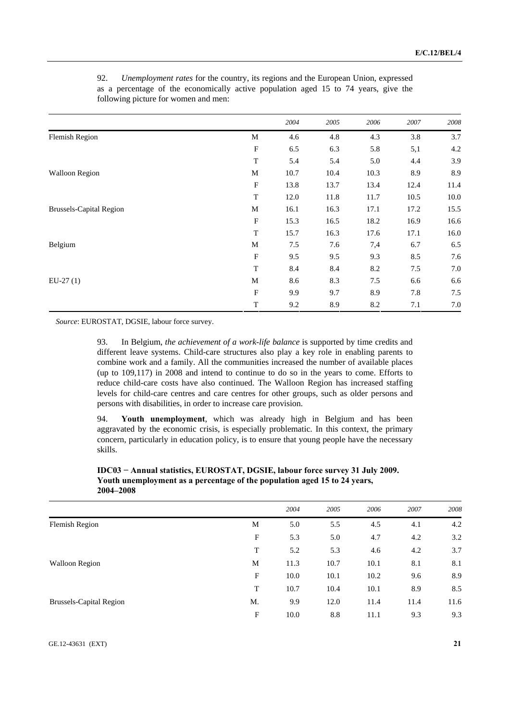|                                |                           | 2004 | 2005 | 2006 | 2007 | 2008 |
|--------------------------------|---------------------------|------|------|------|------|------|
| <b>Flemish Region</b>          | M                         | 4.6  | 4.8  | 4.3  | 3.8  | 3.7  |
|                                | F                         | 6.5  | 6.3  | 5.8  | 5,1  | 4.2  |
|                                | $\mathbf T$               | 5.4  | 5.4  | 5.0  | 4.4  | 3.9  |
| <b>Walloon Region</b>          | M                         | 10.7 | 10.4 | 10.3 | 8.9  | 8.9  |
|                                | $\boldsymbol{\mathrm{F}}$ | 13.8 | 13.7 | 13.4 | 12.4 | 11.4 |
|                                | $\mathbf T$               | 12.0 | 11.8 | 11.7 | 10.5 | 10.0 |
| <b>Brussels-Capital Region</b> | M                         | 16.1 | 16.3 | 17.1 | 17.2 | 15.5 |
|                                | $\boldsymbol{\mathrm{F}}$ | 15.3 | 16.5 | 18.2 | 16.9 | 16.6 |
|                                | $\mathbf T$               | 15.7 | 16.3 | 17.6 | 17.1 | 16.0 |
| Belgium                        | M                         | 7.5  | 7.6  | 7,4  | 6.7  | 6.5  |
|                                | $\mathbf F$               | 9.5  | 9.5  | 9.3  | 8.5  | 7.6  |
|                                | $\mathbf T$               | 8.4  | 8.4  | 8.2  | 7.5  | 7.0  |
| $EU-27(1)$                     | M                         | 8.6  | 8.3  | 7.5  | 6.6  | 6.6  |
|                                | $\boldsymbol{\mathrm{F}}$ | 9.9  | 9.7  | 8.9  | 7.8  | 7.5  |
|                                | $\mathbf T$               | 9.2  | 8.9  | 8.2  | 7.1  | 7.0  |

92. *Unemployment rates* for the country, its regions and the European Union, expressed as a percentage of the economically active population aged 15 to 74 years, give the following picture for women and men:

*Source*: EUROSTAT, DGSIE, labour force survey.

93. In Belgium, *the achievement of a work-life balance* is supported by time credits and different leave systems. Child-care structures also play a key role in enabling parents to combine work and a family. All the communities increased the number of available places (up to 109,117) in 2008 and intend to continue to do so in the years to come. Efforts to reduce child-care costs have also continued. The Walloon Region has increased staffing levels for child-care centres and care centres for other groups, such as older persons and persons with disabilities, in order to increase care provision.

94. **Youth unemployment**, which was already high in Belgium and has been aggravated by the economic crisis, is especially problematic. In this context, the primary concern, particularly in education policy, is to ensure that young people have the necessary skills.

|    | 2004 | 2005 | 2006 | 2007 | 2008 |
|----|------|------|------|------|------|
| M  | 5.0  | 5.5  | 4.5  | 4.1  | 4.2  |
| F  | 5.3  | 5.0  | 4.7  | 4.2  | 3.2  |
| T  | 5.2  | 5.3  | 4.6  | 4.2  | 3.7  |
| M  | 11.3 | 10.7 | 10.1 | 8.1  | 8.1  |
| F  | 10.0 | 10.1 | 10.2 | 9.6  | 8.9  |
| T  | 10.7 | 10.4 | 10.1 | 8.9  | 8.5  |
| M. | 9.9  | 12.0 | 11.4 | 11.4 | 11.6 |
| F  | 10.0 | 8.8  | 11.1 | 9.3  | 9.3  |
|    |      |      |      |      |      |

 **IDC03 − Annual statistics, EUROSTAT, DGSIE, labour force survey 31 July 2009. Youth unemployment as a percentage of the population aged 15 to 24 years, 2004–2008**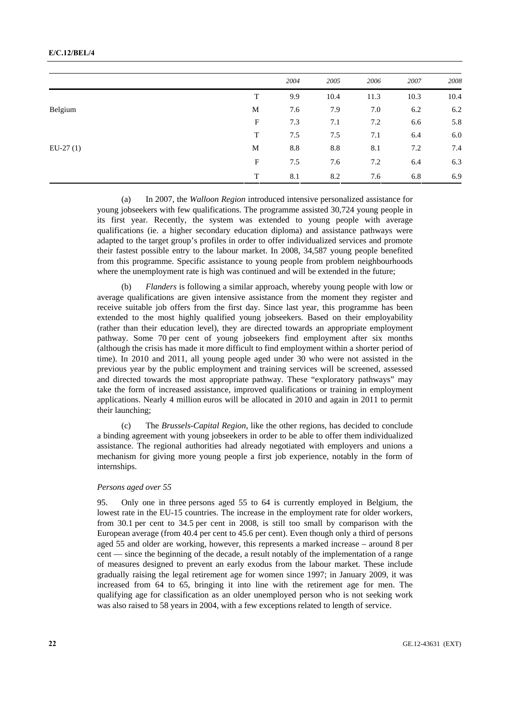## **E/C.12/BEL/4**

|            |             | 2004 | 2005 | 2006 | 2007 | 2008 |
|------------|-------------|------|------|------|------|------|
|            | T           | 9.9  | 10.4 | 11.3 | 10.3 | 10.4 |
| Belgium    | М           | 7.6  | 7.9  | 7.0  | 6.2  | 6.2  |
|            | $\mathbf F$ | 7.3  | 7.1  | 7.2  | 6.6  | 5.8  |
|            | T           | 7.5  | 7.5  | 7.1  | 6.4  | 6.0  |
| $EU-27(1)$ | M           | 8.8  | 8.8  | 8.1  | 7.2  | 7.4  |
|            | $\mathbf F$ | 7.5  | 7.6  | 7.2  | 6.4  | 6.3  |
|            | T           | 8.1  | 8.2  | 7.6  | 6.8  | 6.9  |

 (a) In 2007, the *Walloon Region* introduced intensive personalized assistance for young jobseekers with few qualifications. The programme assisted 30,724 young people in its first year. Recently, the system was extended to young people with average qualifications (ie. a higher secondary education diploma) and assistance pathways were adapted to the target group's profiles in order to offer individualized services and promote their fastest possible entry to the labour market. In 2008, 34,587 young people benefited from this programme. Specific assistance to young people from problem neighbourhoods where the unemployment rate is high was continued and will be extended in the future;

*Flanders* is following a similar approach, whereby young people with low or average qualifications are given intensive assistance from the moment they register and receive suitable job offers from the first day. Since last year, this programme has been extended to the most highly qualified young jobseekers. Based on their employability (rather than their education level), they are directed towards an appropriate employment pathway. Some 70 per cent of young jobseekers find employment after six months (although the crisis has made it more difficult to find employment within a shorter period of time). In 2010 and 2011, all young people aged under 30 who were not assisted in the previous year by the public employment and training services will be screened, assessed and directed towards the most appropriate pathway. These "exploratory pathways" may take the form of increased assistance, improved qualifications or training in employment applications. Nearly 4 million euros will be allocated in 2010 and again in 2011 to permit their launching;

 (c) The *Brussels-Capital Region*, like the other regions, has decided to conclude a binding agreement with young jobseekers in order to be able to offer them individualized assistance. The regional authorities had already negotiated with employers and unions a mechanism for giving more young people a first job experience, notably in the form of internships.

## *Persons aged over 55*

95. Only one in three persons aged 55 to 64 is currently employed in Belgium, the lowest rate in the EU-15 countries. The increase in the employment rate for older workers, from 30.1 per cent to 34.5 per cent in 2008, is still too small by comparison with the European average (from 40.4 per cent to 45.6 per cent). Even though only a third of persons aged 55 and older are working, however, this represents a marked increase – around 8 per cent — since the beginning of the decade, a result notably of the implementation of a range of measures designed to prevent an early exodus from the labour market. These include gradually raising the legal retirement age for women since 1997; in January 2009, it was increased from 64 to 65, bringing it into line with the retirement age for men. The qualifying age for classification as an older unemployed person who is not seeking work was also raised to 58 years in 2004, with a few exceptions related to length of service.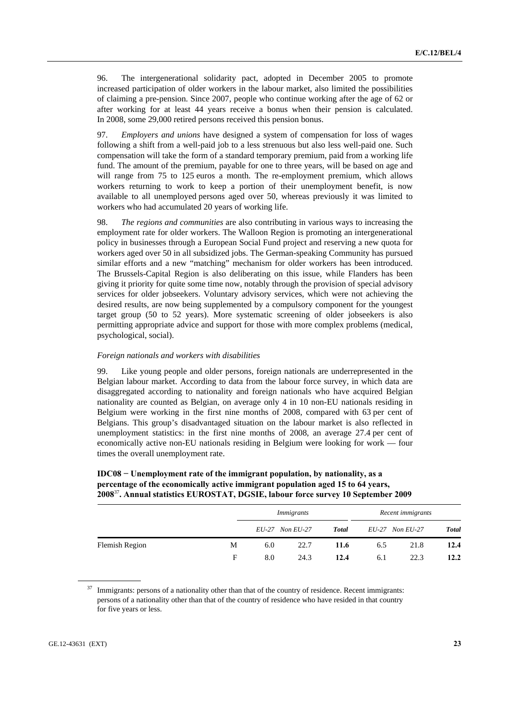96. The intergenerational solidarity pact, adopted in December 2005 to promote increased participation of older workers in the labour market, also limited the possibilities of claiming a pre-pension. Since 2007, people who continue working after the age of 62 or after working for at least 44 years receive a bonus when their pension is calculated. In 2008, some 29,000 retired persons received this pension bonus.

97. *Employers and unions* have designed a system of compensation for loss of wages following a shift from a well-paid job to a less strenuous but also less well-paid one. Such compensation will take the form of a standard temporary premium, paid from a working life fund. The amount of the premium, payable for one to three years, will be based on age and will range from 75 to 125 euros a month. The re-employment premium, which allows workers returning to work to keep a portion of their unemployment benefit, is now available to all unemployed persons aged over 50, whereas previously it was limited to workers who had accumulated 20 years of working life.

98. *The regions and communities* are also contributing in various ways to increasing the employment rate for older workers. The Walloon Region is promoting an intergenerational policy in businesses through a European Social Fund project and reserving a new quota for workers aged over 50 in all subsidized jobs. The German-speaking Community has pursued similar efforts and a new "matching" mechanism for older workers has been introduced. The Brussels-Capital Region is also deliberating on this issue, while Flanders has been giving it priority for quite some time now, notably through the provision of special advisory services for older jobseekers. Voluntary advisory services, which were not achieving the desired results, are now being supplemented by a compulsory component for the youngest target group (50 to 52 years). More systematic screening of older jobseekers is also permitting appropriate advice and support for those with more complex problems (medical, psychological, social).

## *Foreign nationals and workers with disabilities*

99. Like young people and older persons, foreign nationals are underrepresented in the Belgian labour market. According to data from the labour force survey, in which data are disaggregated according to nationality and foreign nationals who have acquired Belgian nationality are counted as Belgian, on average only 4 in 10 non-EU nationals residing in Belgium were working in the first nine months of 2008, compared with 63 per cent of Belgians. This group's disadvantaged situation on the labour market is also reflected in unemployment statistics: in the first nine months of 2008, an average 27.4 per cent of economically active non-EU nationals residing in Belgium were looking for work — four times the overall unemployment rate.

|                |   | Immigrants |                     |              | Recent immigrants |                     |              |
|----------------|---|------------|---------------------|--------------|-------------------|---------------------|--------------|
|                |   |            | $EU-27$ Non $EU-27$ | <b>Total</b> |                   | $EU-27$ Non $EU-27$ | <b>Total</b> |
| Flemish Region | М | 6.0        | 22.7                | 11.6         | 6.5               | 21.8                | 12.4         |
|                | F | 8.0        | 24.3                | 12.4         | 6.1               | 22.3                | 12.2         |

## **IDC08 − Unemployment rate of the immigrant population, by nationality, as a percentage of the economically active immigrant population aged 15 to 64 years, 2008**<sup>37</sup>**. Annual statistics EUROSTAT, DGSIE, labour force survey 10 September 2009**

<sup>37</sup> Immigrants: persons of a nationality other than that of the country of residence. Recent immigrants: persons of a nationality other than that of the country of residence who have resided in that country for five years or less.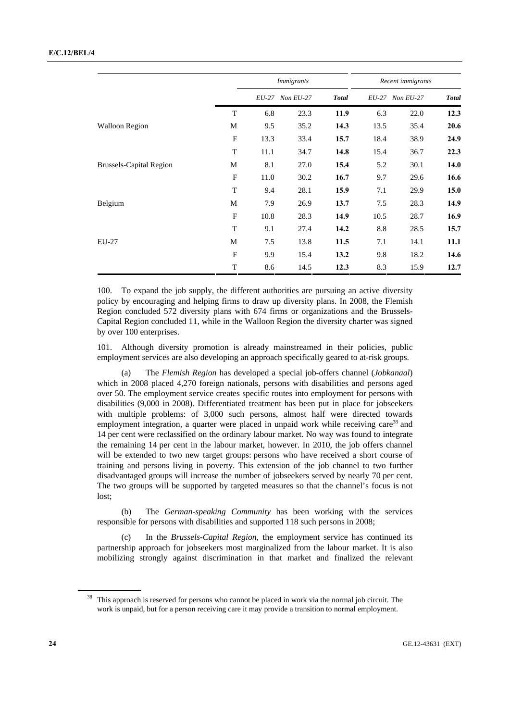|                                |              | <i>Immigrants</i> |           |              | Recent immigrants |                 |              |
|--------------------------------|--------------|-------------------|-----------|--------------|-------------------|-----------------|--------------|
|                                |              | <i>EU-27</i>      | Non EU-27 | <b>Total</b> |                   | EU-27 Non EU-27 | <b>Total</b> |
|                                | T            | 6.8               | 23.3      | 11.9         | 6.3               | 22.0            | 12.3         |
| <b>Walloon Region</b>          | М            | 9.5               | 35.2      | 14.3         | 13.5              | 35.4            | 20.6         |
|                                | $\mathbf{F}$ | 13.3              | 33.4      | 15.7         | 18.4              | 38.9            | 24.9         |
|                                | T            | 11.1              | 34.7      | 14.8         | 15.4              | 36.7            | 22.3         |
| <b>Brussels-Capital Region</b> | М            | 8.1               | 27.0      | 15.4         | 5.2               | 30.1            | 14.0         |
|                                | $\mathbf F$  | 11.0              | 30.2      | 16.7         | 9.7               | 29.6            | 16.6         |
|                                | T            | 9.4               | 28.1      | 15.9         | 7.1               | 29.9            | 15.0         |
| Belgium                        | М            | 7.9               | 26.9      | 13.7         | 7.5               | 28.3            | 14.9         |
|                                | $\mathbf F$  | 10.8              | 28.3      | 14.9         | 10.5              | 28.7            | 16.9         |
|                                | T            | 9.1               | 27.4      | 14.2         | 8.8               | 28.5            | 15.7         |
| EU-27                          | M            | 7.5               | 13.8      | 11.5         | 7.1               | 14.1            | 11.1         |
|                                | $\mathbf{F}$ | 9.9               | 15.4      | 13.2         | 9.8               | 18.2            | 14.6         |
|                                | T            | 8.6               | 14.5      | 12.3         | 8.3               | 15.9            | 12.7         |

100. To expand the job supply, the different authorities are pursuing an active diversity policy by encouraging and helping firms to draw up diversity plans. In 2008, the Flemish Region concluded 572 diversity plans with 674 firms or organizations and the Brussels-Capital Region concluded 11, while in the Walloon Region the diversity charter was signed by over 100 enterprises.

101. Although diversity promotion is already mainstreamed in their policies, public employment services are also developing an approach specifically geared to at-risk groups.

 (a) The *Flemish Region* has developed a special job-offers channel (*Jobkanaal*) which in 2008 placed 4,270 foreign nationals, persons with disabilities and persons aged over 50. The employment service creates specific routes into employment for persons with disabilities (9,000 in 2008). Differentiated treatment has been put in place for jobseekers with multiple problems: of 3,000 such persons, almost half were directed towards employment integration, a quarter were placed in unpaid work while receiving care<sup>38</sup> and 14 per cent were reclassified on the ordinary labour market. No way was found to integrate the remaining 14 per cent in the labour market, however. In 2010, the job offers channel will be extended to two new target groups: persons who have received a short course of training and persons living in poverty. This extension of the job channel to two further disadvantaged groups will increase the number of jobseekers served by nearly 70 per cent. The two groups will be supported by targeted measures so that the channel's focus is not lost;

 (b) The *German-speaking Community* has been working with the services responsible for persons with disabilities and supported 118 such persons in 2008;

 (c) In the *Brussels-Capital Region*, the employment service has continued its partnership approach for jobseekers most marginalized from the labour market. It is also mobilizing strongly against discrimination in that market and finalized the relevant

<sup>&</sup>lt;sup>38</sup> This approach is reserved for persons who cannot be placed in work via the normal job circuit. The work is unpaid, but for a person receiving care it may provide a transition to normal employment.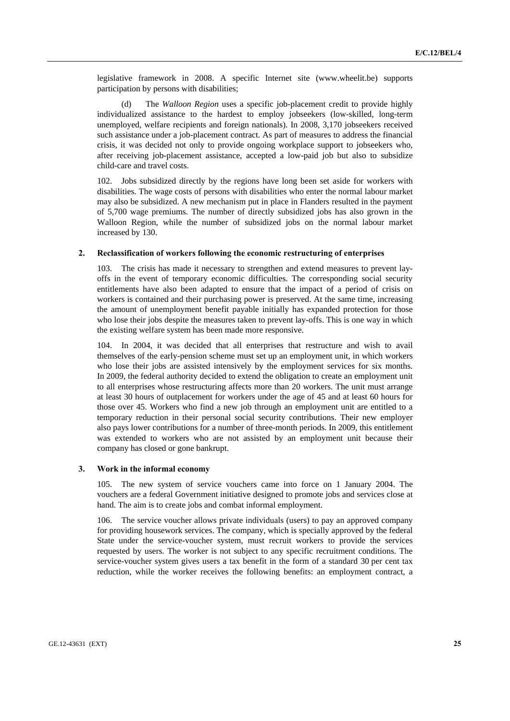legislative framework in 2008. A specific Internet site (www.wheelit.be) supports participation by persons with disabilities;

 (d) The *Walloon Region* uses a specific job-placement credit to provide highly individualized assistance to the hardest to employ jobseekers (low-skilled, long-term unemployed, welfare recipients and foreign nationals). In 2008, 3,170 jobseekers received such assistance under a job-placement contract. As part of measures to address the financial crisis, it was decided not only to provide ongoing workplace support to jobseekers who, after receiving job-placement assistance, accepted a low-paid job but also to subsidize child-care and travel costs.

102. Jobs subsidized directly by the regions have long been set aside for workers with disabilities. The wage costs of persons with disabilities who enter the normal labour market may also be subsidized. A new mechanism put in place in Flanders resulted in the payment of 5,700 wage premiums. The number of directly subsidized jobs has also grown in the Walloon Region, while the number of subsidized jobs on the normal labour market increased by 130.

#### **2. Reclassification of workers following the economic restructuring of enterprises**

103. The crisis has made it necessary to strengthen and extend measures to prevent layoffs in the event of temporary economic difficulties. The corresponding social security entitlements have also been adapted to ensure that the impact of a period of crisis on workers is contained and their purchasing power is preserved. At the same time, increasing the amount of unemployment benefit payable initially has expanded protection for those who lose their jobs despite the measures taken to prevent lay-offs. This is one way in which the existing welfare system has been made more responsive.

104. In 2004, it was decided that all enterprises that restructure and wish to avail themselves of the early-pension scheme must set up an employment unit, in which workers who lose their jobs are assisted intensively by the employment services for six months. In 2009, the federal authority decided to extend the obligation to create an employment unit to all enterprises whose restructuring affects more than 20 workers. The unit must arrange at least 30 hours of outplacement for workers under the age of 45 and at least 60 hours for those over 45. Workers who find a new job through an employment unit are entitled to a temporary reduction in their personal social security contributions. Their new employer also pays lower contributions for a number of three-month periods. In 2009, this entitlement was extended to workers who are not assisted by an employment unit because their company has closed or gone bankrupt.

## **3. Work in the informal economy**

105. The new system of service vouchers came into force on 1 January 2004. The vouchers are a federal Government initiative designed to promote jobs and services close at hand. The aim is to create jobs and combat informal employment.

106. The service voucher allows private individuals (users) to pay an approved company for providing housework services. The company, which is specially approved by the federal State under the service-voucher system, must recruit workers to provide the services requested by users. The worker is not subject to any specific recruitment conditions. The service-voucher system gives users a tax benefit in the form of a standard 30 per cent tax reduction, while the worker receives the following benefits: an employment contract, a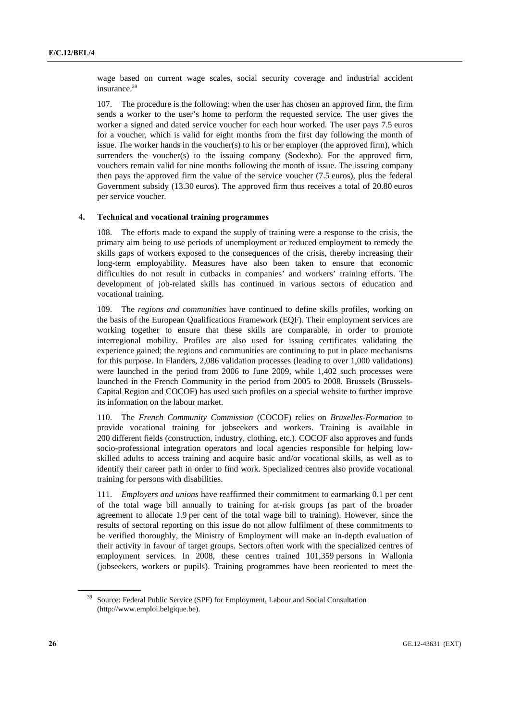wage based on current wage scales, social security coverage and industrial accident insurance.<sup>39</sup>

107. The procedure is the following: when the user has chosen an approved firm, the firm sends a worker to the user's home to perform the requested service. The user gives the worker a signed and dated service voucher for each hour worked. The user pays 7.5 euros for a voucher, which is valid for eight months from the first day following the month of issue. The worker hands in the voucher(s) to his or her employer (the approved firm), which surrenders the voucher(s) to the issuing company (Sodexho). For the approved firm, vouchers remain valid for nine months following the month of issue. The issuing company then pays the approved firm the value of the service voucher (7.5 euros), plus the federal Government subsidy (13.30 euros). The approved firm thus receives a total of 20.80 euros per service voucher.

## **4. Technical and vocational training programmes**

108. The efforts made to expand the supply of training were a response to the crisis, the primary aim being to use periods of unemployment or reduced employment to remedy the skills gaps of workers exposed to the consequences of the crisis, thereby increasing their long-term employability. Measures have also been taken to ensure that economic difficulties do not result in cutbacks in companies' and workers' training efforts. The development of job-related skills has continued in various sectors of education and vocational training.

109. The *regions and communities* have continued to define skills profiles, working on the basis of the European Qualifications Framework (EQF). Their employment services are working together to ensure that these skills are comparable, in order to promote interregional mobility. Profiles are also used for issuing certificates validating the experience gained; the regions and communities are continuing to put in place mechanisms for this purpose. In Flanders, 2,086 validation processes (leading to over 1,000 validations) were launched in the period from 2006 to June 2009, while 1,402 such processes were launched in the French Community in the period from 2005 to 2008. Brussels (Brussels-Capital Region and COCOF) has used such profiles on a special website to further improve its information on the labour market.

110. The *French Community Commission* (COCOF) relies on *Bruxelles-Formation* to provide vocational training for jobseekers and workers. Training is available in 200 different fields (construction, industry, clothing, etc.). COCOF also approves and funds socio-professional integration operators and local agencies responsible for helping lowskilled adults to access training and acquire basic and/or vocational skills, as well as to identify their career path in order to find work. Specialized centres also provide vocational training for persons with disabilities.

111. *Employers and unions* have reaffirmed their commitment to earmarking 0.1 per cent of the total wage bill annually to training for at-risk groups (as part of the broader agreement to allocate 1.9 per cent of the total wage bill to training). However, since the results of sectoral reporting on this issue do not allow fulfilment of these commitments to be verified thoroughly, the Ministry of Employment will make an in-depth evaluation of their activity in favour of target groups. Sectors often work with the specialized centres of employment services. In 2008, these centres trained 101,359 persons in Wallonia (jobseekers, workers or pupils). Training programmes have been reoriented to meet the

<sup>&</sup>lt;sup>39</sup> Source: Federal Public Service (SPF) for Employment, Labour and Social Consultation (http://www.emploi.belgique.be).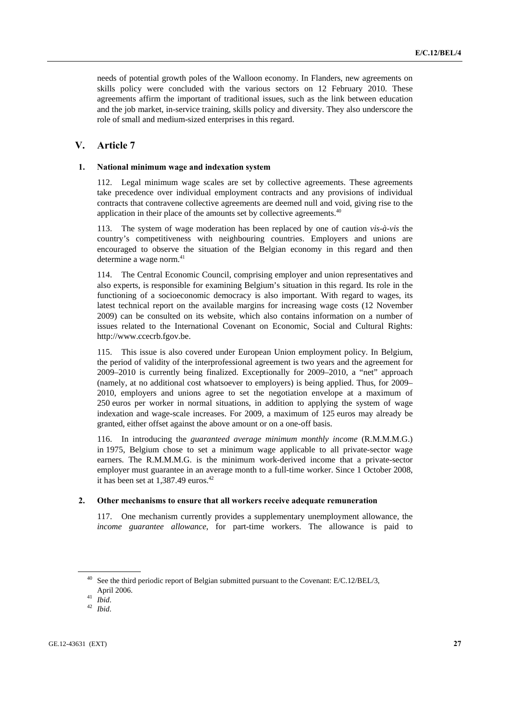needs of potential growth poles of the Walloon economy. In Flanders, new agreements on skills policy were concluded with the various sectors on 12 February 2010. These agreements affirm the important of traditional issues, such as the link between education and the job market, in-service training, skills policy and diversity. They also underscore the role of small and medium-sized enterprises in this regard.

## **V. Article 7**

## **1. National minimum wage and indexation system**

112. Legal minimum wage scales are set by collective agreements. These agreements take precedence over individual employment contracts and any provisions of individual contracts that contravene collective agreements are deemed null and void, giving rise to the application in their place of the amounts set by collective agreements.<sup>40</sup>

113. The system of wage moderation has been replaced by one of caution *vis-à-vis* the country's competitiveness with neighbouring countries. Employers and unions are encouraged to observe the situation of the Belgian economy in this regard and then determine a wage norm.<sup>41</sup>

114. The Central Economic Council, comprising employer and union representatives and also experts, is responsible for examining Belgium's situation in this regard. Its role in the functioning of a socioeconomic democracy is also important. With regard to wages, its latest technical report on the available margins for increasing wage costs (12 November 2009) can be consulted on its website, which also contains information on a number of issues related to the International Covenant on Economic, Social and Cultural Rights: http://www.ccecrb.fgov.be.

115. This issue is also covered under European Union employment policy. In Belgium, the period of validity of the interprofessional agreement is two years and the agreement for 2009–2010 is currently being finalized. Exceptionally for 2009–2010, a "net" approach (namely, at no additional cost whatsoever to employers) is being applied. Thus, for 2009– 2010, employers and unions agree to set the negotiation envelope at a maximum of 250 euros per worker in normal situations, in addition to applying the system of wage indexation and wage-scale increases. For 2009, a maximum of 125 euros may already be granted, either offset against the above amount or on a one-off basis.

116. In introducing the *guaranteed average minimum monthly income* (R.M.M.M.G.) in 1975, Belgium chose to set a minimum wage applicable to all private-sector wage earners. The R.M.M.M.G. is the minimum work-derived income that a private-sector employer must guarantee in an average month to a full-time worker. Since 1 October 2008, it has been set at 1,387.49 euros.<sup>42</sup>

## **2. Other mechanisms to ensure that all workers receive adequate remuneration**

117. One mechanism currently provides a supplementary unemployment allowance, the *income guarantee allowance*, for part-time workers. The allowance is paid to

See the third periodic report of Belgian submitted pursuant to the Covenant: E/C.12/BEL/3, April 2006. 41 *Ibid*. 42 *Ibid*.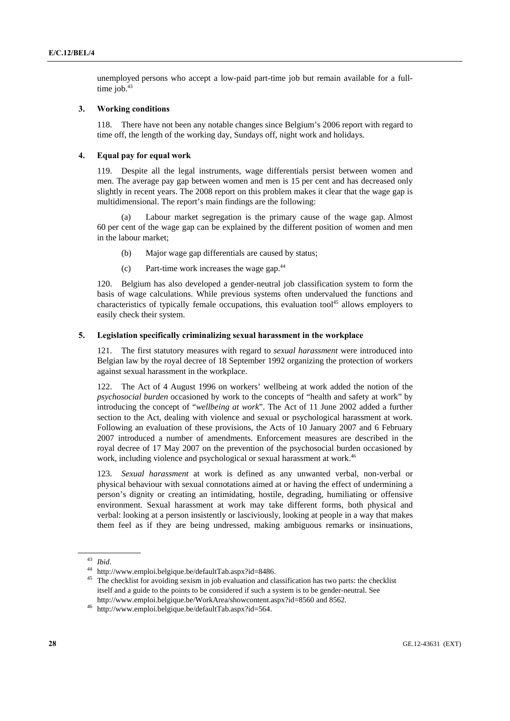unemployed persons who accept a low-paid part-time job but remain available for a fulltime job. $43$ 

## **3. Working conditions**

118. There have not been any notable changes since Belgium's 2006 report with regard to time off, the length of the working day, Sundays off, night work and holidays.

## **4. Equal pay for equal work**

119. Despite all the legal instruments, wage differentials persist between women and men. The average pay gap between women and men is 15 per cent and has decreased only slightly in recent years. The 2008 report on this problem makes it clear that the wage gap is multidimensional. The report's main findings are the following:

 (a) Labour market segregation is the primary cause of the wage gap. Almost 60 per cent of the wage gap can be explained by the different position of women and men in the labour market;

- (b) Major wage gap differentials are caused by status;
- (c) Part-time work increases the wage gap.44

120. Belgium has also developed a gender-neutral job classification system to form the basis of wage calculations. While previous systems often undervalued the functions and characteristics of typically female occupations, this evaluation tool<sup>45</sup> allows employers to easily check their system.

## **5. Legislation specifically criminalizing sexual harassment in the workplace**

121. The first statutory measures with regard to *sexual harassment* were introduced into Belgian law by the royal decree of 18 September 1992 organizing the protection of workers against sexual harassment in the workplace.

122. The Act of 4 August 1996 on workers' wellbeing at work added the notion of the *psychosocial burden* occasioned by work to the concepts of "health and safety at work" by introducing the concept of "*wellbeing at work*". The Act of 11 June 2002 added a further section to the Act, dealing with violence and sexual or psychological harassment at work. Following an evaluation of these provisions, the Acts of 10 January 2007 and 6 February 2007 introduced a number of amendments. Enforcement measures are described in the royal decree of 17 May 2007 on the prevention of the psychosocial burden occasioned by work, including violence and psychological or sexual harassment at work.<sup>46</sup>

123. *Sexual harassment* at work is defined as any unwanted verbal, non-verbal or physical behaviour with sexual connotations aimed at or having the effect of undermining a person's dignity or creating an intimidating, hostile, degrading, humiliating or offensive environment. Sexual harassment at work may take different forms, both physical and verbal: looking at a person insistently or lasciviously, looking at people in a way that makes them feel as if they are being undressed, making ambiguous remarks or insinuations,

<sup>43</sup> *Ibid*. 44 http://www.emploi.belgique.be/defaultTab.aspx?id=8486. 45 The checklist for avoiding sexism in job evaluation and classification has two parts: the checklist itself and a guide to the points to be considered if such a system is to be gender-neutral. See http://www.emploi.belgique.be/WorkArea/showcontent.aspx?id=8560 and 8562. 46 http://www.emploi.belgique.be/defaultTab.aspx?id=564.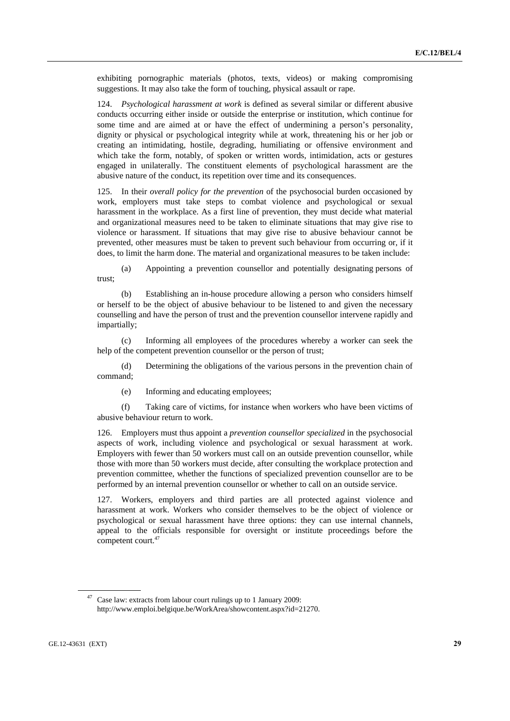exhibiting pornographic materials (photos, texts, videos) or making compromising suggestions. It may also take the form of touching, physical assault or rape.

124. *Psychological harassment at work* is defined as several similar or different abusive conducts occurring either inside or outside the enterprise or institution, which continue for some time and are aimed at or have the effect of undermining a person's personality, dignity or physical or psychological integrity while at work, threatening his or her job or creating an intimidating, hostile, degrading, humiliating or offensive environment and which take the form, notably, of spoken or written words, intimidation, acts or gestures engaged in unilaterally. The constituent elements of psychological harassment are the abusive nature of the conduct, its repetition over time and its consequences.

125. In their *overall policy for the prevention* of the psychosocial burden occasioned by work, employers must take steps to combat violence and psychological or sexual harassment in the workplace. As a first line of prevention, they must decide what material and organizational measures need to be taken to eliminate situations that may give rise to violence or harassment. If situations that may give rise to abusive behaviour cannot be prevented, other measures must be taken to prevent such behaviour from occurring or, if it does, to limit the harm done. The material and organizational measures to be taken include:

 (a) Appointing a prevention counsellor and potentially designating persons of trust;

 (b) Establishing an in-house procedure allowing a person who considers himself or herself to be the object of abusive behaviour to be listened to and given the necessary counselling and have the person of trust and the prevention counsellor intervene rapidly and impartially;

 (c) Informing all employees of the procedures whereby a worker can seek the help of the competent prevention counsellor or the person of trust;

 (d) Determining the obligations of the various persons in the prevention chain of command;

(e) Informing and educating employees;

 (f) Taking care of victims, for instance when workers who have been victims of abusive behaviour return to work.

126. Employers must thus appoint a *prevention counsellor specialized* in the psychosocial aspects of work, including violence and psychological or sexual harassment at work. Employers with fewer than 50 workers must call on an outside prevention counsellor, while those with more than 50 workers must decide, after consulting the workplace protection and prevention committee, whether the functions of specialized prevention counsellor are to be performed by an internal prevention counsellor or whether to call on an outside service.

127. Workers, employers and third parties are all protected against violence and harassment at work. Workers who consider themselves to be the object of violence or psychological or sexual harassment have three options: they can use internal channels, appeal to the officials responsible for oversight or institute proceedings before the competent court.<sup>47</sup>

<sup>47</sup> Case law: extracts from labour court rulings up to 1 January 2009: http://www.emploi.belgique.be/WorkArea/showcontent.aspx?id=21270.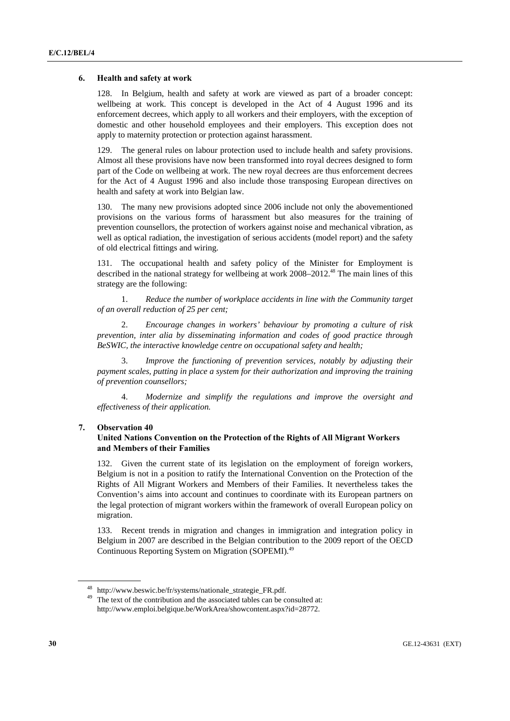## **6. Health and safety at work**

128. In Belgium, health and safety at work are viewed as part of a broader concept: wellbeing at work. This concept is developed in the Act of 4 August 1996 and its enforcement decrees, which apply to all workers and their employers, with the exception of domestic and other household employees and their employers. This exception does not apply to maternity protection or protection against harassment.

129. The general rules on labour protection used to include health and safety provisions. Almost all these provisions have now been transformed into royal decrees designed to form part of the Code on wellbeing at work. The new royal decrees are thus enforcement decrees for the Act of 4 August 1996 and also include those transposing European directives on health and safety at work into Belgian law.

130. The many new provisions adopted since 2006 include not only the abovementioned provisions on the various forms of harassment but also measures for the training of prevention counsellors, the protection of workers against noise and mechanical vibration, as well as optical radiation, the investigation of serious accidents (model report) and the safety of old electrical fittings and wiring.

131. The occupational health and safety policy of the Minister for Employment is described in the national strategy for wellbeing at work 2008–2012.<sup>48</sup> The main lines of this strategy are the following:

 1. *Reduce the number of workplace accidents in line with the Community target of an overall reduction of 25 per cent;* 

 2. *Encourage changes in workers' behaviour by promoting a culture of risk prevention, inter alia by disseminating information and codes of good practice through BeSWIC, the interactive knowledge centre on occupational safety and health;* 

 3. *Improve the functioning of prevention services, notably by adjusting their payment scales, putting in place a system for their authorization and improving the training of prevention counsellors;* 

 4. *Modernize and simplify the regulations and improve the oversight and effectiveness of their application.* 

## **7. Observation 40**

## **United Nations Convention on the Protection of the Rights of All Migrant Workers and Members of their Families**

132. Given the current state of its legislation on the employment of foreign workers, Belgium is not in a position to ratify the International Convention on the Protection of the Rights of All Migrant Workers and Members of their Families. It nevertheless takes the Convention's aims into account and continues to coordinate with its European partners on the legal protection of migrant workers within the framework of overall European policy on migration.

133. Recent trends in migration and changes in immigration and integration policy in Belgium in 2007 are described in the Belgian contribution to the 2009 report of the OECD Continuous Reporting System on Migration (SOPEMI).49

<sup>&</sup>lt;sup>48</sup> http://www.beswic.be/fr/systems/nationale\_strategie\_FR.pdf.<br><sup>49</sup> The text of the contribution and the associated tables can be consulted at: http://www.emploi.belgique.be/WorkArea/showcontent.aspx?id=28772.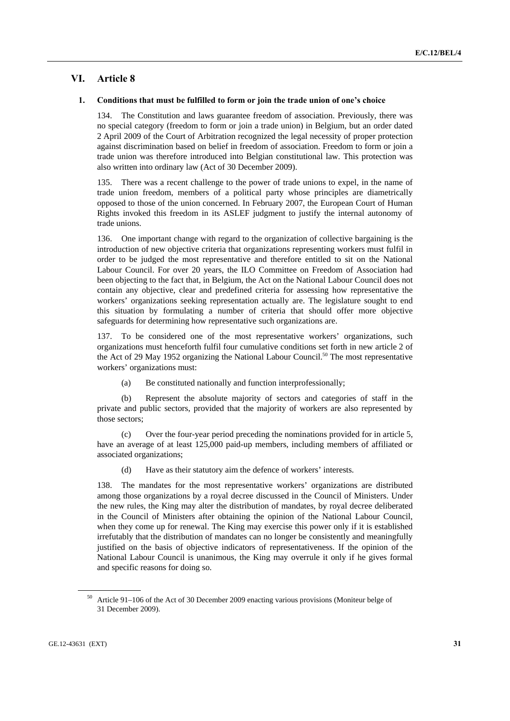## **VI. Article 8**

## **1. Conditions that must be fulfilled to form or join the trade union of one's choice**

134. The Constitution and laws guarantee freedom of association. Previously, there was no special category (freedom to form or join a trade union) in Belgium, but an order dated 2 April 2009 of the Court of Arbitration recognized the legal necessity of proper protection against discrimination based on belief in freedom of association. Freedom to form or join a trade union was therefore introduced into Belgian constitutional law. This protection was also written into ordinary law (Act of 30 December 2009).

135. There was a recent challenge to the power of trade unions to expel, in the name of trade union freedom, members of a political party whose principles are diametrically opposed to those of the union concerned. In February 2007, the European Court of Human Rights invoked this freedom in its ASLEF judgment to justify the internal autonomy of trade unions.

136. One important change with regard to the organization of collective bargaining is the introduction of new objective criteria that organizations representing workers must fulfil in order to be judged the most representative and therefore entitled to sit on the National Labour Council. For over 20 years, the ILO Committee on Freedom of Association had been objecting to the fact that, in Belgium, the Act on the National Labour Council does not contain any objective, clear and predefined criteria for assessing how representative the workers' organizations seeking representation actually are. The legislature sought to end this situation by formulating a number of criteria that should offer more objective safeguards for determining how representative such organizations are.

137. To be considered one of the most representative workers' organizations, such organizations must henceforth fulfil four cumulative conditions set forth in new article 2 of the Act of 29 May 1952 organizing the National Labour Council.<sup>50</sup> The most representative workers' organizations must:

(a) Be constituted nationally and function interprofessionally;

 (b) Represent the absolute majority of sectors and categories of staff in the private and public sectors, provided that the majority of workers are also represented by those sectors;

 (c) Over the four-year period preceding the nominations provided for in article 5, have an average of at least 125,000 paid-up members, including members of affiliated or associated organizations;

(d) Have as their statutory aim the defence of workers' interests.

138. The mandates for the most representative workers' organizations are distributed among those organizations by a royal decree discussed in the Council of Ministers. Under the new rules, the King may alter the distribution of mandates, by royal decree deliberated in the Council of Ministers after obtaining the opinion of the National Labour Council, when they come up for renewal. The King may exercise this power only if it is established irrefutably that the distribution of mandates can no longer be consistently and meaningfully justified on the basis of objective indicators of representativeness. If the opinion of the National Labour Council is unanimous, the King may overrule it only if he gives formal and specific reasons for doing so.

<sup>50</sup> Article 91–106 of the Act of 30 December 2009 enacting various provisions (Moniteur belge of 31 December 2009).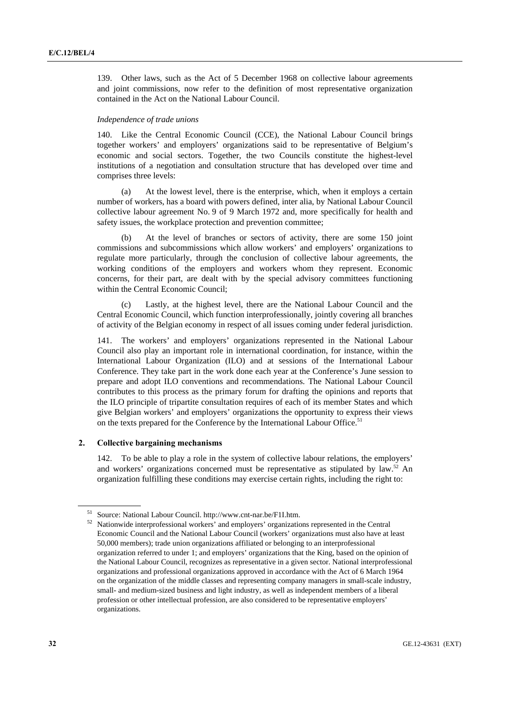139. Other laws, such as the Act of 5 December 1968 on collective labour agreements and joint commissions, now refer to the definition of most representative organization contained in the Act on the National Labour Council.

#### *Independence of trade unions*

140. Like the Central Economic Council (CCE), the National Labour Council brings together workers' and employers' organizations said to be representative of Belgium's economic and social sectors. Together, the two Councils constitute the highest-level institutions of a negotiation and consultation structure that has developed over time and comprises three levels:

 (a) At the lowest level, there is the enterprise, which, when it employs a certain number of workers, has a board with powers defined, inter alia, by National Labour Council collective labour agreement No. 9 of 9 March 1972 and, more specifically for health and safety issues, the workplace protection and prevention committee;

At the level of branches or sectors of activity, there are some 150 joint commissions and subcommissions which allow workers' and employers' organizations to regulate more particularly, through the conclusion of collective labour agreements, the working conditions of the employers and workers whom they represent. Economic concerns, for their part, are dealt with by the special advisory committees functioning within the Central Economic Council;

Lastly, at the highest level, there are the National Labour Council and the Central Economic Council, which function interprofessionally, jointly covering all branches of activity of the Belgian economy in respect of all issues coming under federal jurisdiction.

141. The workers' and employers' organizations represented in the National Labour Council also play an important role in international coordination, for instance, within the International Labour Organization (ILO) and at sessions of the International Labour Conference. They take part in the work done each year at the Conference's June session to prepare and adopt ILO conventions and recommendations. The National Labour Council contributes to this process as the primary forum for drafting the opinions and reports that the ILO principle of tripartite consultation requires of each of its member States and which give Belgian workers' and employers' organizations the opportunity to express their views on the texts prepared for the Conference by the International Labour Office.<sup>51</sup>

## **2. Collective bargaining mechanisms**

142. To be able to play a role in the system of collective labour relations, the employers' and workers' organizations concerned must be representative as stipulated by law. $52$  An organization fulfilling these conditions may exercise certain rights, including the right to:

<sup>&</sup>lt;sup>51</sup> Source: National Labour Council. http://www.cnt-nar.be/F1I.htm.<br><sup>52</sup> Nationwide interprofessional workers' and employers' organizations represented in the Central Economic Council and the National Labour Council (workers' organizations must also have at least 50,000 members); trade union organizations affiliated or belonging to an interprofessional organization referred to under 1; and employers' organizations that the King, based on the opinion of the National Labour Council, recognizes as representative in a given sector. National interprofessional organizations and professional organizations approved in accordance with the Act of 6 March 1964 on the organization of the middle classes and representing company managers in small-scale industry, small- and medium-sized business and light industry, as well as independent members of a liberal profession or other intellectual profession, are also considered to be representative employers' organizations.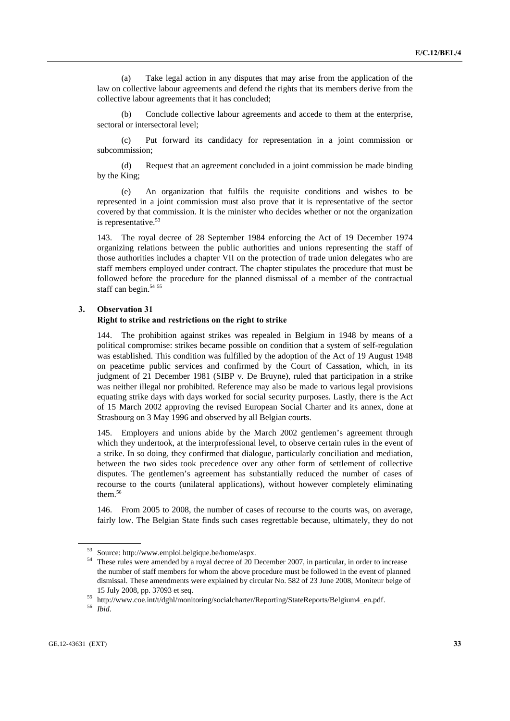(a) Take legal action in any disputes that may arise from the application of the law on collective labour agreements and defend the rights that its members derive from the collective labour agreements that it has concluded;

 (b) Conclude collective labour agreements and accede to them at the enterprise, sectoral or intersectoral level;

 (c) Put forward its candidacy for representation in a joint commission or subcommission;

 (d) Request that an agreement concluded in a joint commission be made binding by the King;

 (e) An organization that fulfils the requisite conditions and wishes to be represented in a joint commission must also prove that it is representative of the sector covered by that commission. It is the minister who decides whether or not the organization is representative.<sup>53</sup>

143. The royal decree of 28 September 1984 enforcing the Act of 19 December 1974 organizing relations between the public authorities and unions representing the staff of those authorities includes a chapter VII on the protection of trade union delegates who are staff members employed under contract. The chapter stipulates the procedure that must be followed before the procedure for the planned dismissal of a member of the contractual staff can begin.<sup>54 55</sup>

### **3. Observation 31**

## **Right to strike and restrictions on the right to strike**

144. The prohibition against strikes was repealed in Belgium in 1948 by means of a political compromise: strikes became possible on condition that a system of self-regulation was established. This condition was fulfilled by the adoption of the Act of 19 August 1948 on peacetime public services and confirmed by the Court of Cassation, which, in its judgment of 21 December 1981 (SIBP v. De Bruyne), ruled that participation in a strike was neither illegal nor prohibited. Reference may also be made to various legal provisions equating strike days with days worked for social security purposes. Lastly, there is the Act of 15 March 2002 approving the revised European Social Charter and its annex, done at Strasbourg on 3 May 1996 and observed by all Belgian courts.

145. Employers and unions abide by the March 2002 gentlemen's agreement through which they undertook, at the interprofessional level, to observe certain rules in the event of a strike. In so doing, they confirmed that dialogue, particularly conciliation and mediation, between the two sides took precedence over any other form of settlement of collective disputes. The gentlemen's agreement has substantially reduced the number of cases of recourse to the courts (unilateral applications), without however completely eliminating them.<sup>56</sup>

146. From 2005 to 2008, the number of cases of recourse to the courts was, on average, fairly low. The Belgian State finds such cases regrettable because, ultimately, they do not

<sup>53</sup> Source: http://www.emploi.belgique.be/home/aspx. 54 These rules were amended by a royal decree of 20 December 2007, in particular, in order to increase the number of staff members for whom the above procedure must be followed in the event of planned dismissal. These amendments were explained by circular No. 582 of 23 June 2008, Moniteur belge of

<sup>15</sup> July 2008, pp. 37093 et seq. 55 http://www.coe.int/t/dghl/monitoring/socialcharter/Reporting/StateReports/Belgium4\_en.pdf. 56 *Ibid*.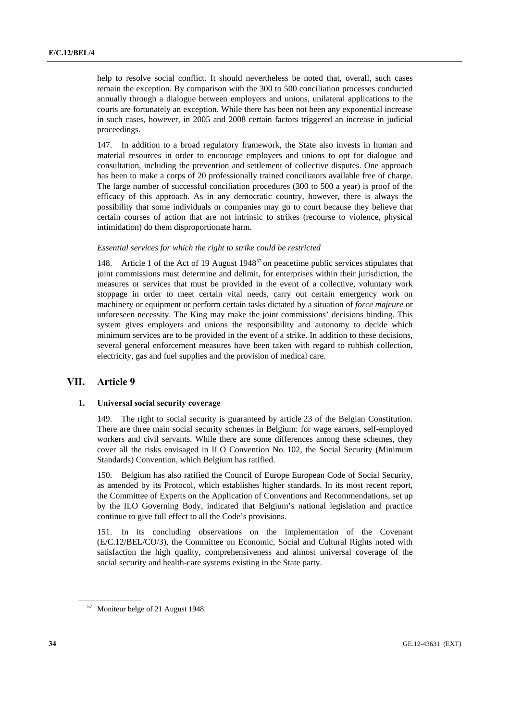help to resolve social conflict. It should nevertheless be noted that, overall, such cases remain the exception. By comparison with the 300 to 500 conciliation processes conducted annually through a dialogue between employers and unions, unilateral applications to the courts are fortunately an exception. While there has been not been any exponential increase in such cases, however, in 2005 and 2008 certain factors triggered an increase in judicial proceedings.

147. In addition to a broad regulatory framework, the State also invests in human and material resources in order to encourage employers and unions to opt for dialogue and consultation, including the prevention and settlement of collective disputes. One approach has been to make a corps of 20 professionally trained conciliators available free of charge. The large number of successful conciliation procedures (300 to 500 a year) is proof of the efficacy of this approach. As in any democratic country, however, there is always the possibility that some individuals or companies may go to court because they believe that certain courses of action that are not intrinsic to strikes (recourse to violence, physical intimidation) do them disproportionate harm.

## *Essential services for which the right to strike could be restricted*

148. Article 1 of the Act of 19 August 1948<sup>57</sup> on peacetime public services stipulates that joint commissions must determine and delimit, for enterprises within their jurisdiction, the measures or services that must be provided in the event of a collective, voluntary work stoppage in order to meet certain vital needs, carry out certain emergency work on machinery or equipment or perform certain tasks dictated by a situation of *force majeure* or unforeseen necessity. The King may make the joint commissions' decisions binding. This system gives employers and unions the responsibility and autonomy to decide which minimum services are to be provided in the event of a strike. In addition to these decisions, several general enforcement measures have been taken with regard to rubbish collection, electricity, gas and fuel supplies and the provision of medical care.

## **VII. Article 9**

## **1. Universal social security coverage**

149. The right to social security is guaranteed by article 23 of the Belgian Constitution. There are three main social security schemes in Belgium: for wage earners, self-employed workers and civil servants. While there are some differences among these schemes, they cover all the risks envisaged in ILO Convention No. 102, the Social Security (Minimum Standards) Convention, which Belgium has ratified.

150. Belgium has also ratified the Council of Europe European Code of Social Security, as amended by its Protocol, which establishes higher standards. In its most recent report, the Committee of Experts on the Application of Conventions and Recommendations, set up by the ILO Governing Body, indicated that Belgium's national legislation and practice continue to give full effect to all the Code's provisions.

151. In its concluding observations on the implementation of the Covenant (E/C.12/BEL/CO/3), the Committee on Economic, Social and Cultural Rights noted with satisfaction the high quality, comprehensiveness and almost universal coverage of the social security and health-care systems existing in the State party.

<sup>57</sup> Moniteur belge of 21 August 1948.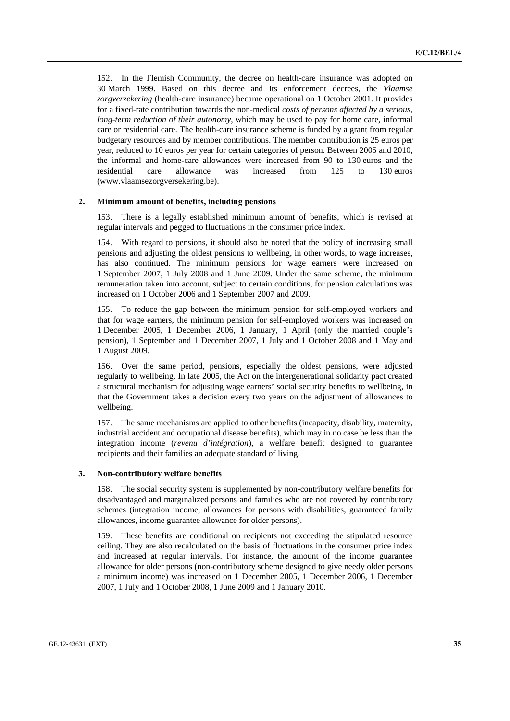152. In the Flemish Community, the decree on health-care insurance was adopted on 30 March 1999. Based on this decree and its enforcement decrees, the *Vlaamse zorgverzekering* (health-care insurance) became operational on 1 October 2001. It provides for a fixed-rate contribution towards the non-medical *costs of persons affected by a serious, long-term reduction of their autonomy*, which may be used to pay for home care, informal care or residential care. The health-care insurance scheme is funded by a grant from regular budgetary resources and by member contributions. The member contribution is 25 euros per year, reduced to 10 euros per year for certain categories of person. Between 2005 and 2010, the informal and home-care allowances were increased from 90 to 130 euros and the residential care allowance was increased from 125 to 130 euros (www.vlaamsezorgversekering.be).

#### **2. Minimum amount of benefits, including pensions**

153. There is a legally established minimum amount of benefits, which is revised at regular intervals and pegged to fluctuations in the consumer price index.

154. With regard to pensions, it should also be noted that the policy of increasing small pensions and adjusting the oldest pensions to wellbeing, in other words, to wage increases, has also continued. The minimum pensions for wage earners were increased on 1 September 2007, 1 July 2008 and 1 June 2009. Under the same scheme, the minimum remuneration taken into account, subject to certain conditions, for pension calculations was increased on 1 October 2006 and 1 September 2007 and 2009.

155. To reduce the gap between the minimum pension for self-employed workers and that for wage earners, the minimum pension for self-employed workers was increased on 1 December 2005, 1 December 2006, 1 January, 1 April (only the married couple's pension), 1 September and 1 December 2007, 1 July and 1 October 2008 and 1 May and 1 August 2009.

156. Over the same period, pensions, especially the oldest pensions, were adjusted regularly to wellbeing. In late 2005, the Act on the intergenerational solidarity pact created a structural mechanism for adjusting wage earners' social security benefits to wellbeing, in that the Government takes a decision every two years on the adjustment of allowances to wellbeing.

157. The same mechanisms are applied to other benefits (incapacity, disability, maternity, industrial accident and occupational disease benefits), which may in no case be less than the integration income (*revenu d'intégration*), a welfare benefit designed to guarantee recipients and their families an adequate standard of living.

## **3. Non-contributory welfare benefits**

158. The social security system is supplemented by non-contributory welfare benefits for disadvantaged and marginalized persons and families who are not covered by contributory schemes (integration income, allowances for persons with disabilities, guaranteed family allowances, income guarantee allowance for older persons).

159. These benefits are conditional on recipients not exceeding the stipulated resource ceiling. They are also recalculated on the basis of fluctuations in the consumer price index and increased at regular intervals. For instance, the amount of the income guarantee allowance for older persons (non-contributory scheme designed to give needy older persons a minimum income) was increased on 1 December 2005, 1 December 2006, 1 December 2007, 1 July and 1 October 2008, 1 June 2009 and 1 January 2010.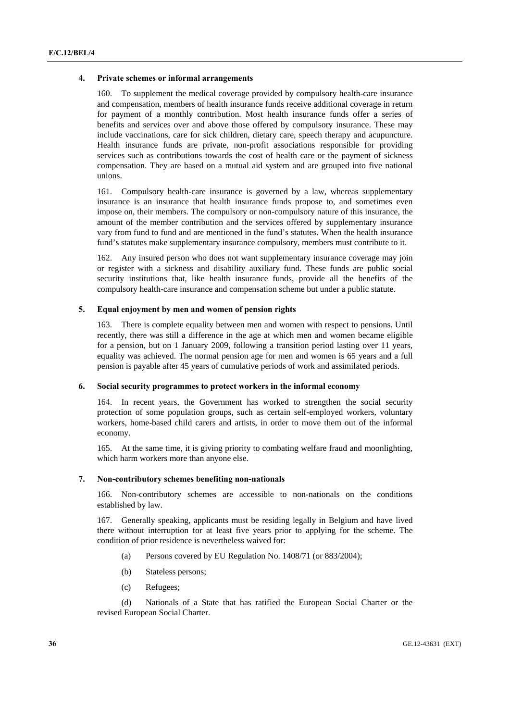#### **4. Private schemes or informal arrangements**

160. To supplement the medical coverage provided by compulsory health-care insurance and compensation, members of health insurance funds receive additional coverage in return for payment of a monthly contribution. Most health insurance funds offer a series of benefits and services over and above those offered by compulsory insurance. These may include vaccinations, care for sick children, dietary care, speech therapy and acupuncture. Health insurance funds are private, non-profit associations responsible for providing services such as contributions towards the cost of health care or the payment of sickness compensation. They are based on a mutual aid system and are grouped into five national unions.

161. Compulsory health-care insurance is governed by a law, whereas supplementary insurance is an insurance that health insurance funds propose to, and sometimes even impose on, their members. The compulsory or non-compulsory nature of this insurance, the amount of the member contribution and the services offered by supplementary insurance vary from fund to fund and are mentioned in the fund's statutes. When the health insurance fund's statutes make supplementary insurance compulsory, members must contribute to it.

162. Any insured person who does not want supplementary insurance coverage may join or register with a sickness and disability auxiliary fund. These funds are public social security institutions that, like health insurance funds, provide all the benefits of the compulsory health-care insurance and compensation scheme but under a public statute.

## **5. Equal enjoyment by men and women of pension rights**

163. There is complete equality between men and women with respect to pensions. Until recently, there was still a difference in the age at which men and women became eligible for a pension, but on 1 January 2009, following a transition period lasting over 11 years, equality was achieved. The normal pension age for men and women is 65 years and a full pension is payable after 45 years of cumulative periods of work and assimilated periods.

#### **6. Social security programmes to protect workers in the informal economy**

164. In recent years, the Government has worked to strengthen the social security protection of some population groups, such as certain self-employed workers, voluntary workers, home-based child carers and artists, in order to move them out of the informal economy.

165. At the same time, it is giving priority to combating welfare fraud and moonlighting, which harm workers more than anyone else.

### **7. Non-contributory schemes benefiting non-nationals**

166. Non-contributory schemes are accessible to non-nationals on the conditions established by law.

167. Generally speaking, applicants must be residing legally in Belgium and have lived there without interruption for at least five years prior to applying for the scheme. The condition of prior residence is nevertheless waived for:

- (a) Persons covered by EU Regulation No. 1408/71 (or 883/2004);
- (b) Stateless persons;
- (c) Refugees;

 (d) Nationals of a State that has ratified the European Social Charter or the revised European Social Charter.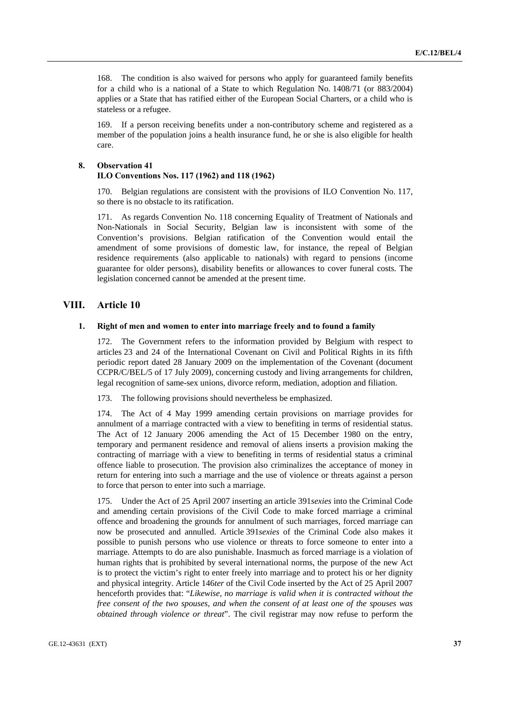168. The condition is also waived for persons who apply for guaranteed family benefits for a child who is a national of a State to which Regulation No. 1408/71 (or 883/2004) applies or a State that has ratified either of the European Social Charters, or a child who is stateless or a refugee.

169. If a person receiving benefits under a non-contributory scheme and registered as a member of the population joins a health insurance fund, he or she is also eligible for health care.

# **8. Observation 41**

# **ILO Conventions Nos. 117 (1962) and 118 (1962)**

170. Belgian regulations are consistent with the provisions of ILO Convention No. 117, so there is no obstacle to its ratification.

171. As regards Convention No. 118 concerning Equality of Treatment of Nationals and Non-Nationals in Social Security, Belgian law is inconsistent with some of the Convention's provisions. Belgian ratification of the Convention would entail the amendment of some provisions of domestic law, for instance, the repeal of Belgian residence requirements (also applicable to nationals) with regard to pensions (income guarantee for older persons), disability benefits or allowances to cover funeral costs. The legislation concerned cannot be amended at the present time.

# **VIII. Article 10**

#### **1. Right of men and women to enter into marriage freely and to found a family**

172. The Government refers to the information provided by Belgium with respect to articles 23 and 24 of the International Covenant on Civil and Political Rights in its fifth periodic report dated 28 January 2009 on the implementation of the Covenant (document CCPR/C/BEL/5 of 17 July 2009), concerning custody and living arrangements for children, legal recognition of same-sex unions, divorce reform, mediation, adoption and filiation.

173. The following provisions should nevertheless be emphasized.

174. The Act of 4 May 1999 amending certain provisions on marriage provides for annulment of a marriage contracted with a view to benefiting in terms of residential status. The Act of 12 January 2006 amending the Act of 15 December 1980 on the entry, temporary and permanent residence and removal of aliens inserts a provision making the contracting of marriage with a view to benefiting in terms of residential status a criminal offence liable to prosecution. The provision also criminalizes the acceptance of money in return for entering into such a marriage and the use of violence or threats against a person to force that person to enter into such a marriage.

175. Under the Act of 25 April 2007 inserting an article 391*sexies* into the Criminal Code and amending certain provisions of the Civil Code to make forced marriage a criminal offence and broadening the grounds for annulment of such marriages, forced marriage can now be prosecuted and annulled. Article 391*sexies* of the Criminal Code also makes it possible to punish persons who use violence or threats to force someone to enter into a marriage. Attempts to do are also punishable. Inasmuch as forced marriage is a violation of human rights that is prohibited by several international norms, the purpose of the new Act is to protect the victim's right to enter freely into marriage and to protect his or her dignity and physical integrity. Article 146*ter* of the Civil Code inserted by the Act of 25 April 2007 henceforth provides that: "*Likewise, no marriage is valid when it is contracted without the free consent of the two spouses, and when the consent of at least one of the spouses was obtained through violence or threat*". The civil registrar may now refuse to perform the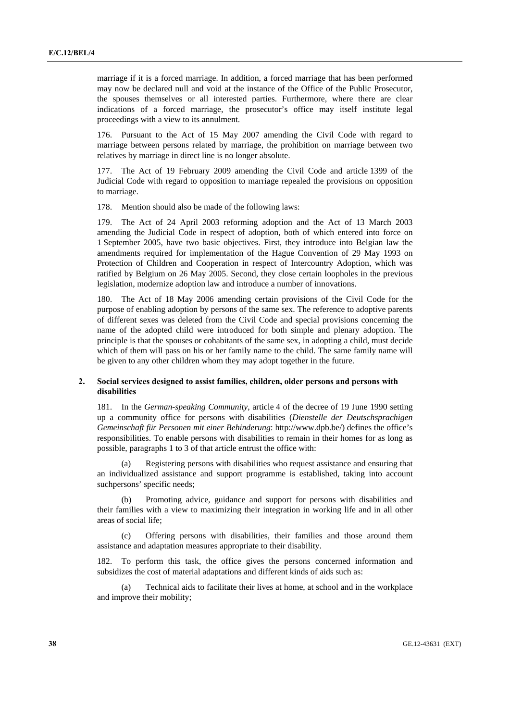marriage if it is a forced marriage. In addition, a forced marriage that has been performed may now be declared null and void at the instance of the Office of the Public Prosecutor, the spouses themselves or all interested parties. Furthermore, where there are clear indications of a forced marriage, the prosecutor's office may itself institute legal proceedings with a view to its annulment.

176. Pursuant to the Act of 15 May 2007 amending the Civil Code with regard to marriage between persons related by marriage, the prohibition on marriage between two relatives by marriage in direct line is no longer absolute.

177. The Act of 19 February 2009 amending the Civil Code and article 1399 of the Judicial Code with regard to opposition to marriage repealed the provisions on opposition to marriage.

178. Mention should also be made of the following laws:

179. The Act of 24 April 2003 reforming adoption and the Act of 13 March 2003 amending the Judicial Code in respect of adoption, both of which entered into force on 1 September 2005, have two basic objectives. First, they introduce into Belgian law the amendments required for implementation of the Hague Convention of 29 May 1993 on Protection of Children and Cooperation in respect of Intercountry Adoption, which was ratified by Belgium on 26 May 2005. Second, they close certain loopholes in the previous legislation, modernize adoption law and introduce a number of innovations.

180. The Act of 18 May 2006 amending certain provisions of the Civil Code for the purpose of enabling adoption by persons of the same sex. The reference to adoptive parents of different sexes was deleted from the Civil Code and special provisions concerning the name of the adopted child were introduced for both simple and plenary adoption. The principle is that the spouses or cohabitants of the same sex, in adopting a child, must decide which of them will pass on his or her family name to the child. The same family name will be given to any other children whom they may adopt together in the future.

# **2. Social services designed to assist families, children, older persons and persons with disabilities**

181. In the *German-speaking Community*, article 4 of the decree of 19 June 1990 setting up a community office for persons with disabilities (*Dienstelle der Deutschsprachigen Gemeinschaft für Personen mit einer Behinderung*: http://www.dpb.be/) defines the office's responsibilities. To enable persons with disabilities to remain in their homes for as long as possible, paragraphs 1 to 3 of that article entrust the office with:

 (a) Registering persons with disabilities who request assistance and ensuring that an individualized assistance and support programme is established, taking into account suchpersons' specific needs;

 (b) Promoting advice, guidance and support for persons with disabilities and their families with a view to maximizing their integration in working life and in all other areas of social life;

Offering persons with disabilities, their families and those around them assistance and adaptation measures appropriate to their disability.

182. To perform this task, the office gives the persons concerned information and subsidizes the cost of material adaptations and different kinds of aids such as:

 (a) Technical aids to facilitate their lives at home, at school and in the workplace and improve their mobility;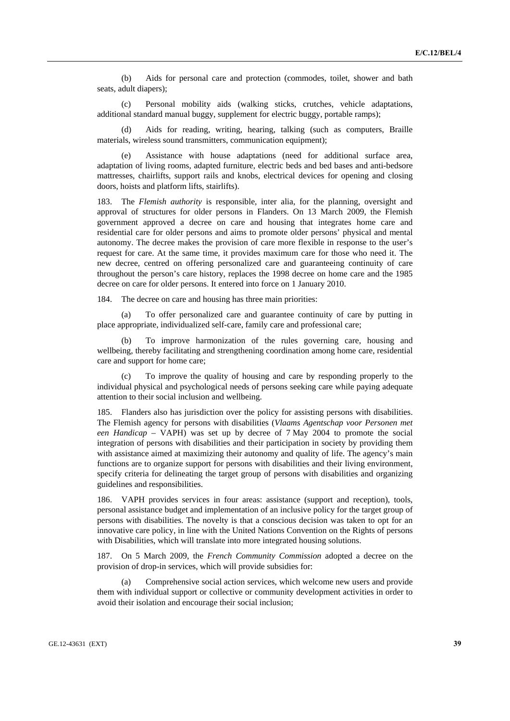(b) Aids for personal care and protection (commodes, toilet, shower and bath seats, adult diapers);

 (c) Personal mobility aids (walking sticks, crutches, vehicle adaptations, additional standard manual buggy, supplement for electric buggy, portable ramps);

Aids for reading, writing, hearing, talking (such as computers, Braille materials, wireless sound transmitters, communication equipment);

 (e) Assistance with house adaptations (need for additional surface area, adaptation of living rooms, adapted furniture, electric beds and bed bases and anti-bedsore mattresses, chairlifts, support rails and knobs, electrical devices for opening and closing doors, hoists and platform lifts, stairlifts).

183. The *Flemish authority* is responsible, inter alia, for the planning, oversight and approval of structures for older persons in Flanders. On 13 March 2009, the Flemish government approved a decree on care and housing that integrates home care and residential care for older persons and aims to promote older persons' physical and mental autonomy. The decree makes the provision of care more flexible in response to the user's request for care. At the same time, it provides maximum care for those who need it. The new decree, centred on offering personalized care and guaranteeing continuity of care throughout the person's care history, replaces the 1998 decree on home care and the 1985 decree on care for older persons. It entered into force on 1 January 2010.

184. The decree on care and housing has three main priorities:

 (a) To offer personalized care and guarantee continuity of care by putting in place appropriate, individualized self-care, family care and professional care;

To improve harmonization of the rules governing care, housing and wellbeing, thereby facilitating and strengthening coordination among home care, residential care and support for home care;

 (c) To improve the quality of housing and care by responding properly to the individual physical and psychological needs of persons seeking care while paying adequate attention to their social inclusion and wellbeing.

185. Flanders also has jurisdiction over the policy for assisting persons with disabilities. The Flemish agency for persons with disabilities (*Vlaams Agentschap voor Personen met een Handicap* – VAPH) was set up by decree of 7 May 2004 to promote the social integration of persons with disabilities and their participation in society by providing them with assistance aimed at maximizing their autonomy and quality of life. The agency's main functions are to organize support for persons with disabilities and their living environment, specify criteria for delineating the target group of persons with disabilities and organizing guidelines and responsibilities.

186. VAPH provides services in four areas: assistance (support and reception), tools, personal assistance budget and implementation of an inclusive policy for the target group of persons with disabilities. The novelty is that a conscious decision was taken to opt for an innovative care policy, in line with the United Nations Convention on the Rights of persons with Disabilities, which will translate into more integrated housing solutions.

187. On 5 March 2009, the *French Community Commission* adopted a decree on the provision of drop-in services, which will provide subsidies for:

 (a) Comprehensive social action services, which welcome new users and provide them with individual support or collective or community development activities in order to avoid their isolation and encourage their social inclusion;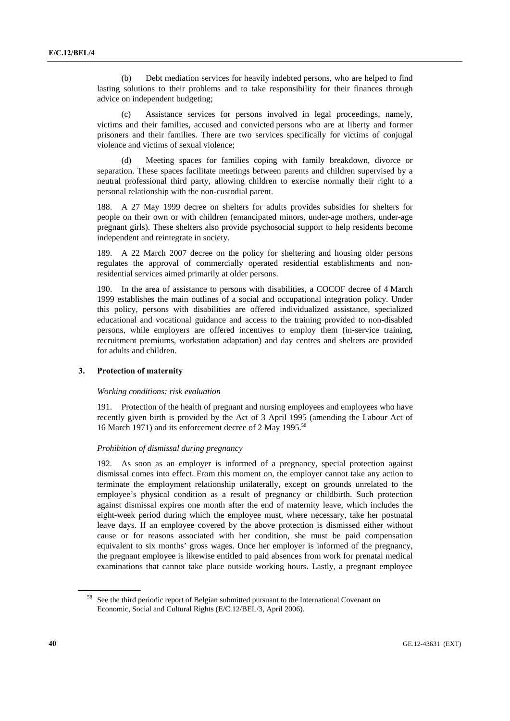(b) Debt mediation services for heavily indebted persons, who are helped to find lasting solutions to their problems and to take responsibility for their finances through advice on independent budgeting;

 (c) Assistance services for persons involved in legal proceedings, namely, victims and their families, accused and convicted persons who are at liberty and former prisoners and their families. There are two services specifically for victims of conjugal violence and victims of sexual violence;

 (d) Meeting spaces for families coping with family breakdown, divorce or separation. These spaces facilitate meetings between parents and children supervised by a neutral professional third party, allowing children to exercise normally their right to a personal relationship with the non-custodial parent.

188. A 27 May 1999 decree on shelters for adults provides subsidies for shelters for people on their own or with children (emancipated minors, under-age mothers, under-age pregnant girls). These shelters also provide psychosocial support to help residents become independent and reintegrate in society.

189. A 22 March 2007 decree on the policy for sheltering and housing older persons regulates the approval of commercially operated residential establishments and nonresidential services aimed primarily at older persons.

190. In the area of assistance to persons with disabilities, a COCOF decree of 4 March 1999 establishes the main outlines of a social and occupational integration policy. Under this policy, persons with disabilities are offered individualized assistance, specialized educational and vocational guidance and access to the training provided to non-disabled persons, while employers are offered incentives to employ them (in-service training, recruitment premiums, workstation adaptation) and day centres and shelters are provided for adults and children.

## **3. Protection of maternity**

## *Working conditions: risk evaluation*

191. Protection of the health of pregnant and nursing employees and employees who have recently given birth is provided by the Act of 3 April 1995 (amending the Labour Act of 16 March 1971) and its enforcement decree of 2 May 1995.58

## *Prohibition of dismissal during pregnancy*

192. As soon as an employer is informed of a pregnancy, special protection against dismissal comes into effect. From this moment on, the employer cannot take any action to terminate the employment relationship unilaterally, except on grounds unrelated to the employee's physical condition as a result of pregnancy or childbirth. Such protection against dismissal expires one month after the end of maternity leave, which includes the eight-week period during which the employee must, where necessary, take her postnatal leave days. If an employee covered by the above protection is dismissed either without cause or for reasons associated with her condition, she must be paid compensation equivalent to six months' gross wages. Once her employer is informed of the pregnancy, the pregnant employee is likewise entitled to paid absences from work for prenatal medical examinations that cannot take place outside working hours. Lastly, a pregnant employee

<sup>&</sup>lt;sup>58</sup> See the third periodic report of Belgian submitted pursuant to the International Covenant on Economic, Social and Cultural Rights (E/C.12/BEL/3, April 2006).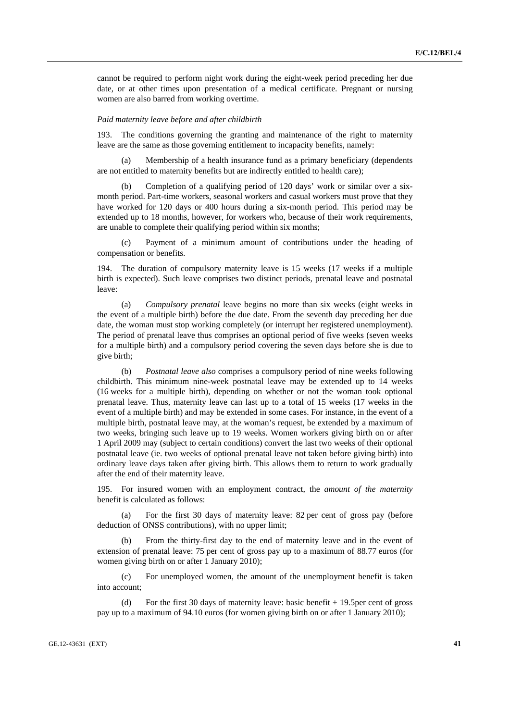cannot be required to perform night work during the eight-week period preceding her due date, or at other times upon presentation of a medical certificate. Pregnant or nursing women are also barred from working overtime.

#### *Paid maternity leave before and after childbirth*

193. The conditions governing the granting and maintenance of the right to maternity leave are the same as those governing entitlement to incapacity benefits, namely:

 (a) Membership of a health insurance fund as a primary beneficiary (dependents are not entitled to maternity benefits but are indirectly entitled to health care);

 (b) Completion of a qualifying period of 120 days' work or similar over a sixmonth period. Part-time workers, seasonal workers and casual workers must prove that they have worked for 120 days or 400 hours during a six-month period. This period may be extended up to 18 months, however, for workers who, because of their work requirements, are unable to complete their qualifying period within six months;

 (c) Payment of a minimum amount of contributions under the heading of compensation or benefits.

194. The duration of compulsory maternity leave is 15 weeks (17 weeks if a multiple birth is expected). Such leave comprises two distinct periods, prenatal leave and postnatal leave:

 (a) *Compulsory prenatal* leave begins no more than six weeks (eight weeks in the event of a multiple birth) before the due date. From the seventh day preceding her due date, the woman must stop working completely (or interrupt her registered unemployment). The period of prenatal leave thus comprises an optional period of five weeks (seven weeks for a multiple birth) and a compulsory period covering the seven days before she is due to give birth;

 (b) *Postnatal leave also* comprises a compulsory period of nine weeks following childbirth. This minimum nine-week postnatal leave may be extended up to 14 weeks (16 weeks for a multiple birth), depending on whether or not the woman took optional prenatal leave. Thus, maternity leave can last up to a total of 15 weeks (17 weeks in the event of a multiple birth) and may be extended in some cases. For instance, in the event of a multiple birth, postnatal leave may, at the woman's request, be extended by a maximum of two weeks, bringing such leave up to 19 weeks. Women workers giving birth on or after 1 April 2009 may (subject to certain conditions) convert the last two weeks of their optional postnatal leave (ie. two weeks of optional prenatal leave not taken before giving birth) into ordinary leave days taken after giving birth. This allows them to return to work gradually after the end of their maternity leave.

195. For insured women with an employment contract, the *amount of the maternity* benefit is calculated as follows:

 (a) For the first 30 days of maternity leave: 82 per cent of gross pay (before deduction of ONSS contributions), with no upper limit;

 (b) From the thirty-first day to the end of maternity leave and in the event of extension of prenatal leave: 75 per cent of gross pay up to a maximum of 88.77 euros (for women giving birth on or after 1 January 2010);

 (c) For unemployed women, the amount of the unemployment benefit is taken into account;

 (d) For the first 30 days of maternity leave: basic benefit + 19.5per cent of gross pay up to a maximum of 94.10 euros (for women giving birth on or after 1 January 2010);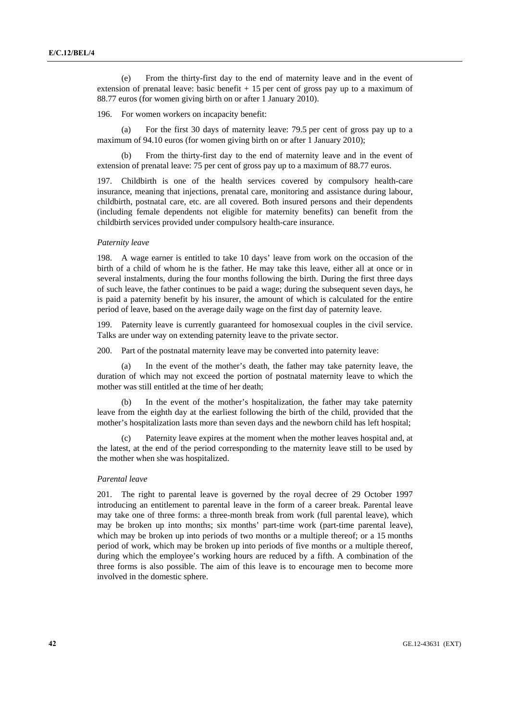(e) From the thirty-first day to the end of maternity leave and in the event of extension of prenatal leave: basic benefit  $+15$  per cent of gross pay up to a maximum of 88.77 euros (for women giving birth on or after 1 January 2010).

196. For women workers on incapacity benefit:

 (a) For the first 30 days of maternity leave: 79.5 per cent of gross pay up to a maximum of 94.10 euros (for women giving birth on or after 1 January 2010);

 (b) From the thirty-first day to the end of maternity leave and in the event of extension of prenatal leave: 75 per cent of gross pay up to a maximum of 88.77 euros.

197. Childbirth is one of the health services covered by compulsory health-care insurance, meaning that injections, prenatal care, monitoring and assistance during labour, childbirth, postnatal care, etc. are all covered. Both insured persons and their dependents (including female dependents not eligible for maternity benefits) can benefit from the childbirth services provided under compulsory health-care insurance.

#### *Paternity leave*

198. A wage earner is entitled to take 10 days' leave from work on the occasion of the birth of a child of whom he is the father. He may take this leave, either all at once or in several instalments, during the four months following the birth. During the first three days of such leave, the father continues to be paid a wage; during the subsequent seven days, he is paid a paternity benefit by his insurer, the amount of which is calculated for the entire period of leave, based on the average daily wage on the first day of paternity leave.

199. Paternity leave is currently guaranteed for homosexual couples in the civil service. Talks are under way on extending paternity leave to the private sector.

200. Part of the postnatal maternity leave may be converted into paternity leave:

 (a) In the event of the mother's death, the father may take paternity leave, the duration of which may not exceed the portion of postnatal maternity leave to which the mother was still entitled at the time of her death;

In the event of the mother's hospitalization, the father may take paternity leave from the eighth day at the earliest following the birth of the child, provided that the mother's hospitalization lasts more than seven days and the newborn child has left hospital;

 (c) Paternity leave expires at the moment when the mother leaves hospital and, at the latest, at the end of the period corresponding to the maternity leave still to be used by the mother when she was hospitalized.

#### *Parental leave*

201. The right to parental leave is governed by the royal decree of 29 October 1997 introducing an entitlement to parental leave in the form of a career break. Parental leave may take one of three forms: a three-month break from work (full parental leave), which may be broken up into months; six months' part-time work (part-time parental leave), which may be broken up into periods of two months or a multiple thereof; or a 15 months period of work, which may be broken up into periods of five months or a multiple thereof, during which the employee's working hours are reduced by a fifth. A combination of the three forms is also possible. The aim of this leave is to encourage men to become more involved in the domestic sphere.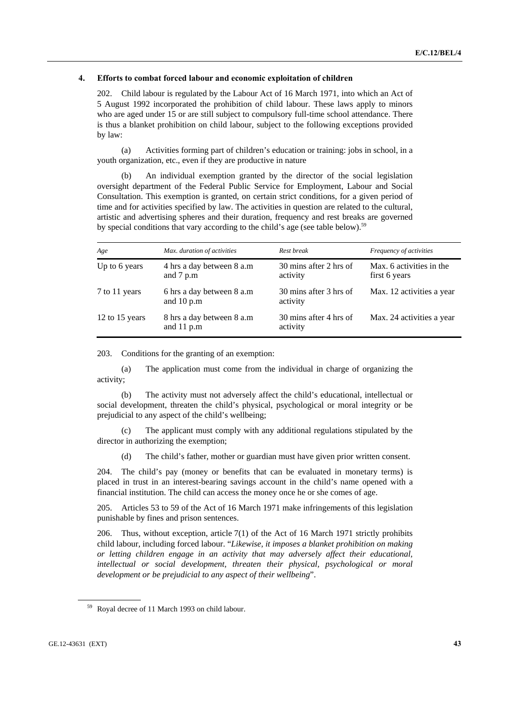### **4. Efforts to combat forced labour and economic exploitation of children**

202. Child labour is regulated by the Labour Act of 16 March 1971, into which an Act of 5 August 1992 incorporated the prohibition of child labour. These laws apply to minors who are aged under 15 or are still subject to compulsory full-time school attendance. There is thus a blanket prohibition on child labour, subject to the following exceptions provided by law:

 (a) Activities forming part of children's education or training: jobs in school, in a youth organization, etc., even if they are productive in nature

 (b) An individual exemption granted by the director of the social legislation oversight department of the Federal Public Service for Employment, Labour and Social Consultation. This exemption is granted, on certain strict conditions, for a given period of time and for activities specified by law. The activities in question are related to the cultural, artistic and advertising spheres and their duration, frequency and rest breaks are governed by special conditions that vary according to the child's age (see table below).<sup>59</sup>

| Age            | Max. duration of activities                | Rest break                         | Frequency of activities                   |
|----------------|--------------------------------------------|------------------------------------|-------------------------------------------|
| Up to 6 years  | 4 hrs a day between 8 a.m.<br>and 7 p.m    | 30 mins after 2 hrs of<br>activity | Max. 6 activities in the<br>first 6 years |
| 7 to 11 years  | 6 hrs a day between 8 a.m<br>and $10 p.m$  | 30 mins after 3 hrs of<br>activity | Max. 12 activities a year                 |
| 12 to 15 years | 8 hrs a day between 8 a.m.<br>and $11$ p.m | 30 mins after 4 hrs of<br>activity | Max. 24 activities a year                 |

203. Conditions for the granting of an exemption:

 (a) The application must come from the individual in charge of organizing the activity;

 (b) The activity must not adversely affect the child's educational, intellectual or social development, threaten the child's physical, psychological or moral integrity or be prejudicial to any aspect of the child's wellbeing;

 (c) The applicant must comply with any additional regulations stipulated by the director in authorizing the exemption;

(d) The child's father, mother or guardian must have given prior written consent.

204. The child's pay (money or benefits that can be evaluated in monetary terms) is placed in trust in an interest-bearing savings account in the child's name opened with a financial institution. The child can access the money once he or she comes of age.

205. Articles 53 to 59 of the Act of 16 March 1971 make infringements of this legislation punishable by fines and prison sentences.

206. Thus, without exception, article 7(1) of the Act of 16 March 1971 strictly prohibits child labour, including forced labour. "*Likewise, it imposes a blanket prohibition on making or letting children engage in an activity that may adversely affect their educational, intellectual or social development, threaten their physical, psychological or moral development or be prejudicial to any aspect of their wellbeing*".

<sup>59</sup> Royal decree of 11 March 1993 on child labour.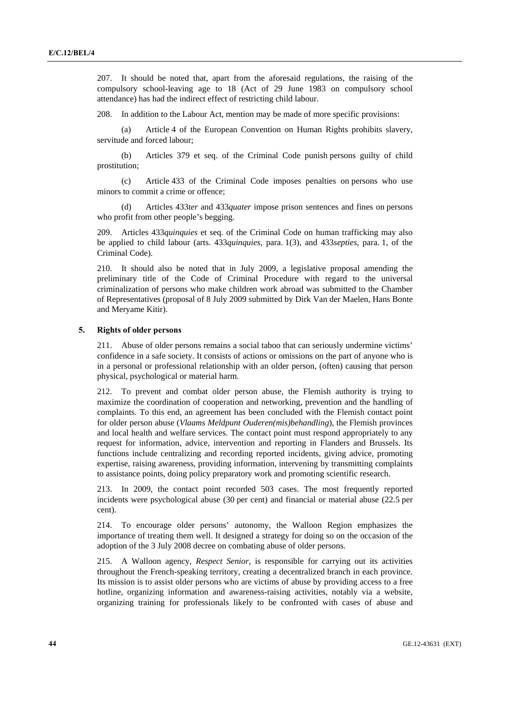207. It should be noted that, apart from the aforesaid regulations, the raising of the compulsory school-leaving age to 18 (Act of 29 June 1983 on compulsory school attendance) has had the indirect effect of restricting child labour.

208. In addition to the Labour Act, mention may be made of more specific provisions:

 (a) Article 4 of the European Convention on Human Rights prohibits slavery, servitude and forced labour;

 (b) Articles 379 et seq. of the Criminal Code punish persons guilty of child prostitution;

 (c) Article 433 of the Criminal Code imposes penalties on persons who use minors to commit a crime or offence;

 (d) Articles 433*ter* and 433*quater* impose prison sentences and fines on persons who profit from other people's begging.

209. Articles 433*quinquies* et seq. of the Criminal Code on human trafficking may also be applied to child labour (arts. 433*quinquies*, para. 1(3), and 433*septies*, para. 1, of the Criminal Code).

210. It should also be noted that in July 2009, a legislative proposal amending the preliminary title of the Code of Criminal Procedure with regard to the universal criminalization of persons who make children work abroad was submitted to the Chamber of Representatives (proposal of 8 July 2009 submitted by Dirk Van der Maelen, Hans Bonte and Meryame Kitir).

### **5. Rights of older persons**

211. Abuse of older persons remains a social taboo that can seriously undermine victims' confidence in a safe society. It consists of actions or omissions on the part of anyone who is in a personal or professional relationship with an older person, (often) causing that person physical, psychological or material harm.

212. To prevent and combat older person abuse, the Flemish authority is trying to maximize the coordination of cooperation and networking, prevention and the handling of complaints. To this end, an agreement has been concluded with the Flemish contact point for older person abuse (*Vlaams Meldpunt Ouderen(mis)behandling*), the Flemish provinces and local health and welfare services. The contact point must respond appropriately to any request for information, advice, intervention and reporting in Flanders and Brussels. Its functions include centralizing and recording reported incidents, giving advice, promoting expertise, raising awareness, providing information, intervening by transmitting complaints to assistance points, doing policy preparatory work and promoting scientific research.

213. In 2009, the contact point recorded 503 cases. The most frequently reported incidents were psychological abuse (30 per cent) and financial or material abuse (22.5 per cent).

214. To encourage older persons' autonomy, the Walloon Region emphasizes the importance of treating them well. It designed a strategy for doing so on the occasion of the adoption of the 3 July 2008 decree on combating abuse of older persons.

215. A Walloon agency, *Respect Senior*, is responsible for carrying out its activities throughout the French-speaking territory, creating a decentralized branch in each province. Its mission is to assist older persons who are victims of abuse by providing access to a free hotline, organizing information and awareness-raising activities, notably via a website, organizing training for professionals likely to be confronted with cases of abuse and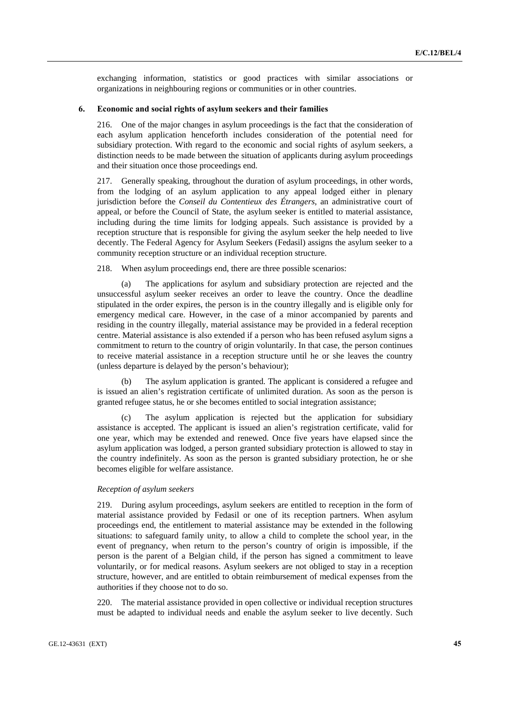exchanging information, statistics or good practices with similar associations or organizations in neighbouring regions or communities or in other countries.

## **6. Economic and social rights of asylum seekers and their families**

216. One of the major changes in asylum proceedings is the fact that the consideration of each asylum application henceforth includes consideration of the potential need for subsidiary protection. With regard to the economic and social rights of asylum seekers, a distinction needs to be made between the situation of applicants during asylum proceedings and their situation once those proceedings end.

217. Generally speaking, throughout the duration of asylum proceedings, in other words, from the lodging of an asylum application to any appeal lodged either in plenary jurisdiction before the *Conseil du Contentieux des Étrangers*, an administrative court of appeal, or before the Council of State, the asylum seeker is entitled to material assistance, including during the time limits for lodging appeals. Such assistance is provided by a reception structure that is responsible for giving the asylum seeker the help needed to live decently. The Federal Agency for Asylum Seekers (Fedasil) assigns the asylum seeker to a community reception structure or an individual reception structure.

218. When asylum proceedings end, there are three possible scenarios:

 (a) The applications for asylum and subsidiary protection are rejected and the unsuccessful asylum seeker receives an order to leave the country. Once the deadline stipulated in the order expires, the person is in the country illegally and is eligible only for emergency medical care. However, in the case of a minor accompanied by parents and residing in the country illegally, material assistance may be provided in a federal reception centre. Material assistance is also extended if a person who has been refused asylum signs a commitment to return to the country of origin voluntarily. In that case, the person continues to receive material assistance in a reception structure until he or she leaves the country (unless departure is delayed by the person's behaviour);

The asylum application is granted. The applicant is considered a refugee and is issued an alien's registration certificate of unlimited duration. As soon as the person is granted refugee status, he or she becomes entitled to social integration assistance;

The asylum application is rejected but the application for subsidiary assistance is accepted. The applicant is issued an alien's registration certificate, valid for one year, which may be extended and renewed. Once five years have elapsed since the asylum application was lodged, a person granted subsidiary protection is allowed to stay in the country indefinitely. As soon as the person is granted subsidiary protection, he or she becomes eligible for welfare assistance.

#### *Reception of asylum seekers*

219. During asylum proceedings, asylum seekers are entitled to reception in the form of material assistance provided by Fedasil or one of its reception partners. When asylum proceedings end, the entitlement to material assistance may be extended in the following situations: to safeguard family unity, to allow a child to complete the school year, in the event of pregnancy, when return to the person's country of origin is impossible, if the person is the parent of a Belgian child, if the person has signed a commitment to leave voluntarily, or for medical reasons. Asylum seekers are not obliged to stay in a reception structure, however, and are entitled to obtain reimbursement of medical expenses from the authorities if they choose not to do so.

220. The material assistance provided in open collective or individual reception structures must be adapted to individual needs and enable the asylum seeker to live decently. Such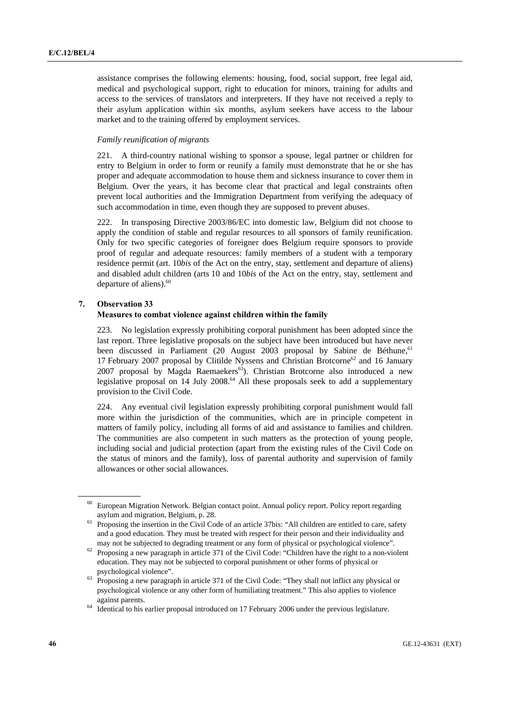assistance comprises the following elements: housing, food, social support, free legal aid, medical and psychological support, right to education for minors, training for adults and access to the services of translators and interpreters. If they have not received a reply to their asylum application within six months, asylum seekers have access to the labour market and to the training offered by employment services.

### *Family reunification of migrants*

221. A third-country national wishing to sponsor a spouse, legal partner or children for entry to Belgium in order to form or reunify a family must demonstrate that he or she has proper and adequate accommodation to house them and sickness insurance to cover them in Belgium. Over the years, it has become clear that practical and legal constraints often prevent local authorities and the Immigration Department from verifying the adequacy of such accommodation in time, even though they are supposed to prevent abuses.

222. In transposing Directive 2003/86/EC into domestic law, Belgium did not choose to apply the condition of stable and regular resources to all sponsors of family reunification. Only for two specific categories of foreigner does Belgium require sponsors to provide proof of regular and adequate resources: family members of a student with a temporary residence permit (art. 10*bis* of the Act on the entry, stay, settlement and departure of aliens) and disabled adult children (arts 10 and 10*bis* of the Act on the entry, stay, settlement and departure of aliens). $60$ 

## **7. Observation 33**

### **Measures to combat violence against children within the family**

223. No legislation expressly prohibiting corporal punishment has been adopted since the last report. Three legislative proposals on the subject have been introduced but have never been discussed in Parliament (20 August 2003 proposal by Sabine de Béthune,<sup>61</sup> 17 February 2007 proposal by Clitilde Nyssens and Christian Brotcorne<sup>62</sup> and 16 January 2007 proposal by Magda Raemaekers<sup>63</sup>). Christian Brotcorne also introduced a new legislative proposal on  $14$  July 2008.<sup>64</sup> All these proposals seek to add a supplementary provision to the Civil Code.

224. Any eventual civil legislation expressly prohibiting corporal punishment would fall more within the jurisdiction of the communities, which are in principle competent in matters of family policy, including all forms of aid and assistance to families and children. The communities are also competent in such matters as the protection of young people, including social and judicial protection (apart from the existing rules of the Civil Code on the status of minors and the family), loss of parental authority and supervision of family allowances or other social allowances.

<sup>&</sup>lt;sup>60</sup> European Migration Network. Belgian contact point. Annual policy report. Policy report regarding

asylum and migration, Belgium, p. 28. <sup>61</sup> Proposing the insertion in the Civil Code of an article 37bis: "All children are entitled to care, safety and a good education. They must be treated with respect for their person and their individuality and

may not be subjected to degrading treatment or any form of physical or psychological violence".<br><sup>62</sup> Proposing a new paragraph in article 371 of the Civil Code: "Children have the right to a non-violent education. They may not be subjected to corporal punishment or other forms of physical or

psychological violence". 63 Proposing a new paragraph in article 371 of the Civil Code: "They shall not inflict any physical or psychological violence or any other form of humiliating treatment." This also applies to violence

against parents. 64 Identical to his earlier proposal introduced on 17 February 2006 under the previous legislature.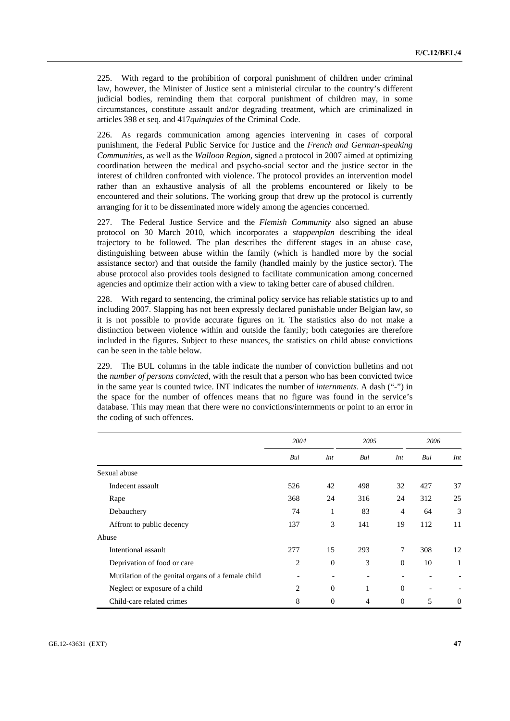225. With regard to the prohibition of corporal punishment of children under criminal law, however, the Minister of Justice sent a ministerial circular to the country's different judicial bodies, reminding them that corporal punishment of children may, in some circumstances, constitute assault and/or degrading treatment, which are criminalized in articles 398 et seq. and 417*quinquies* of the Criminal Code.

226. As regards communication among agencies intervening in cases of corporal punishment, the Federal Public Service for Justice and the *French and German-speaking Communities*, as well as the *Walloon Region*, signed a protocol in 2007 aimed at optimizing coordination between the medical and psycho-social sector and the justice sector in the interest of children confronted with violence. The protocol provides an intervention model rather than an exhaustive analysis of all the problems encountered or likely to be encountered and their solutions. The working group that drew up the protocol is currently arranging for it to be disseminated more widely among the agencies concerned.

227. The Federal Justice Service and the *Flemish Community* also signed an abuse protocol on 30 March 2010, which incorporates a *stappenplan* describing the ideal trajectory to be followed. The plan describes the different stages in an abuse case, distinguishing between abuse within the family (which is handled more by the social assistance sector) and that outside the family (handled mainly by the justice sector). The abuse protocol also provides tools designed to facilitate communication among concerned agencies and optimize their action with a view to taking better care of abused children.

228. With regard to sentencing, the criminal policy service has reliable statistics up to and including 2007. Slapping has not been expressly declared punishable under Belgian law, so it is not possible to provide accurate figures on it. The statistics also do not make a distinction between violence within and outside the family; both categories are therefore included in the figures. Subject to these nuances, the statistics on child abuse convictions can be seen in the table below.

229. The BUL columns in the table indicate the number of conviction bulletins and not the *number of persons convicted*, with the result that a person who has been convicted twice in the same year is counted twice. INT indicates the number of *internments*. A dash ("-") in the space for the number of offences means that no figure was found in the service's database. This may mean that there were no convictions/internments or point to an error in the coding of such offences.

|                                                    | 2004 |          | 2005 |                | 2006 |     |
|----------------------------------------------------|------|----------|------|----------------|------|-----|
|                                                    | Bul  | Int      | Bul  | Int            | Bul  | Int |
| Sexual abuse                                       |      |          |      |                |      |     |
| Indecent assault                                   | 526  | 42       | 498  | 32             | 427  | 37  |
| Rape                                               | 368  | 24       | 316  | 24             | 312  | 25  |
| Debauchery                                         | 74   | 1        | 83   | $\overline{4}$ | 64   | 3   |
| Affront to public decency                          | 137  | 3        | 141  | 19             | 112  | 11  |
| Abuse                                              |      |          |      |                |      |     |
| Intentional assault                                | 277  | 15       | 293  | 7              | 308  | 12  |
| Deprivation of food or care                        | 2    | $\theta$ | 3    | $\theta$       | 10   |     |
| Mutilation of the genital organs of a female child |      |          |      |                |      |     |
| Neglect or exposure of a child                     | 2    | $\theta$ | 1    | $\mathbf{0}$   |      |     |
| Child-care related crimes                          | 8    | $\theta$ | 4    | $\mathbf{0}$   | 5    | 0   |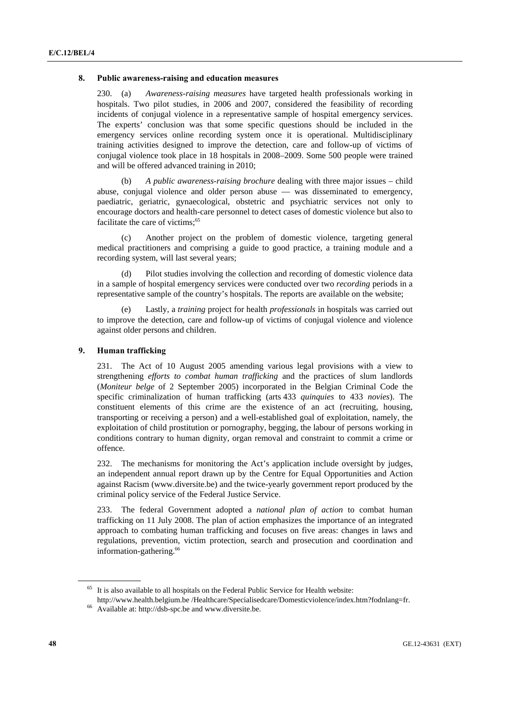### **8. Public awareness-raising and education measures**

230. (a) *Awareness-raising measures* have targeted health professionals working in hospitals. Two pilot studies, in 2006 and 2007, considered the feasibility of recording incidents of conjugal violence in a representative sample of hospital emergency services. The experts' conclusion was that some specific questions should be included in the emergency services online recording system once it is operational. Multidisciplinary training activities designed to improve the detection, care and follow-up of victims of conjugal violence took place in 18 hospitals in 2008–2009. Some 500 people were trained and will be offered advanced training in 2010;

 (b) *A public awareness-raising brochure* dealing with three major issues – child abuse, conjugal violence and older person abuse — was disseminated to emergency, paediatric, geriatric, gynaecological, obstetric and psychiatric services not only to encourage doctors and health-care personnel to detect cases of domestic violence but also to facilitate the care of victims:<sup>65</sup>

Another project on the problem of domestic violence, targeting general medical practitioners and comprising a guide to good practice, a training module and a recording system, will last several years;

 (d) Pilot studies involving the collection and recording of domestic violence data in a sample of hospital emergency services were conducted over two *recording* periods in a representative sample of the country's hospitals. The reports are available on the website;

 (e) Lastly, a *training* project for health *professionals* in hospitals was carried out to improve the detection, care and follow-up of victims of conjugal violence and violence against older persons and children.

# **9. Human trafficking**

231. The Act of 10 August 2005 amending various legal provisions with a view to strengthening *efforts to combat human trafficking* and the practices of slum landlords (*Moniteur belge* of 2 September 2005) incorporated in the Belgian Criminal Code the specific criminalization of human trafficking (arts 433 *quinquies* to 433 *novies*). The constituent elements of this crime are the existence of an act (recruiting, housing, transporting or receiving a person) and a well-established goal of exploitation, namely, the exploitation of child prostitution or pornography, begging, the labour of persons working in conditions contrary to human dignity, organ removal and constraint to commit a crime or offence.

232. The mechanisms for monitoring the Act's application include oversight by judges, an independent annual report drawn up by the Centre for Equal Opportunities and Action against Racism (www.diversite.be) and the twice-yearly government report produced by the criminal policy service of the Federal Justice Service.

233. The federal Government adopted a *national plan of action* to combat human trafficking on 11 July 2008. The plan of action emphasizes the importance of an integrated approach to combating human trafficking and focuses on five areas: changes in laws and regulations, prevention, victim protection, search and prosecution and coordination and information-gathering.<sup>66</sup>

<sup>65</sup> It is also available to all hospitals on the Federal Public Service for Health website:

http://www.health.belgium.be /Healthcare/Specialisedcare/Domesticviolence/index.htm?fodnlang=fr. 66 Available at: http://dsb-spc.be and www.diversite.be.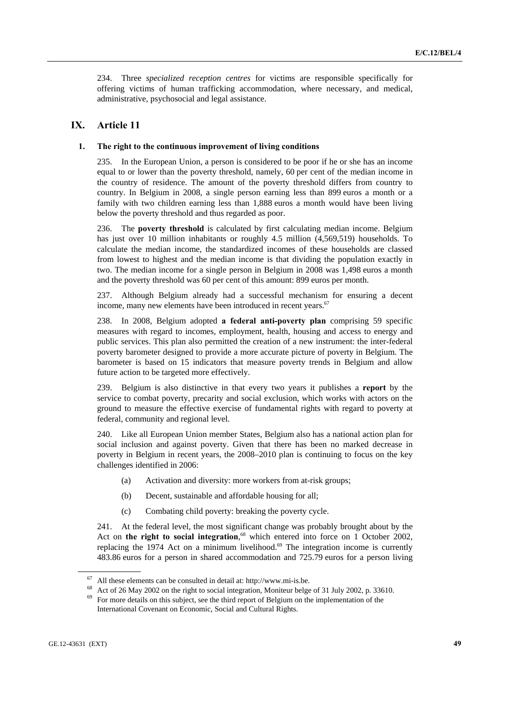234. Three *specialized reception centres* for victims are responsible specifically for offering victims of human trafficking accommodation, where necessary, and medical, administrative, psychosocial and legal assistance.

# **IX. Article 11**

#### **1. The right to the continuous improvement of living conditions**

235. In the European Union, a person is considered to be poor if he or she has an income equal to or lower than the poverty threshold, namely, 60 per cent of the median income in the country of residence. The amount of the poverty threshold differs from country to country. In Belgium in 2008, a single person earning less than 899 euros a month or a family with two children earning less than 1,888 euros a month would have been living below the poverty threshold and thus regarded as poor.

236. The **poverty threshold** is calculated by first calculating median income. Belgium has just over 10 million inhabitants or roughly 4.5 million (4,569,519) households. To calculate the median income, the standardized incomes of these households are classed from lowest to highest and the median income is that dividing the population exactly in two. The median income for a single person in Belgium in 2008 was 1,498 euros a month and the poverty threshold was 60 per cent of this amount: 899 euros per month.

237. Although Belgium already had a successful mechanism for ensuring a decent income, many new elements have been introduced in recent years.<sup>67</sup>

238. In 2008, Belgium adopted **a federal anti-poverty plan** comprising 59 specific measures with regard to incomes, employment, health, housing and access to energy and public services. This plan also permitted the creation of a new instrument: the inter-federal poverty barometer designed to provide a more accurate picture of poverty in Belgium. The barometer is based on 15 indicators that measure poverty trends in Belgium and allow future action to be targeted more effectively.

239. Belgium is also distinctive in that every two years it publishes a **report** by the service to combat poverty, precarity and social exclusion, which works with actors on the ground to measure the effective exercise of fundamental rights with regard to poverty at federal, community and regional level.

240. Like all European Union member States, Belgium also has a national action plan for social inclusion and against poverty. Given that there has been no marked decrease in poverty in Belgium in recent years, the 2008–2010 plan is continuing to focus on the key challenges identified in 2006:

- (a) Activation and diversity: more workers from at-risk groups;
- (b) Decent, sustainable and affordable housing for all;
- (c) Combating child poverty: breaking the poverty cycle.

241. At the federal level, the most significant change was probably brought about by the Act on **the right to social integration**, 68 which entered into force on 1 October 2002, replacing the 1974 Act on a minimum livelihood.<sup>69</sup> The integration income is currently 483.86 euros for a person in shared accommodation and 725.79 euros for a person living

<sup>&</sup>lt;sup>67</sup> All these elements can be consulted in detail at: http://www.mi-is.be.<br><sup>68</sup> Act of 26 May 2002 on the right to social integration, Moniteur belge of 31 July 2002, p. 33610.<br><sup>69</sup> For more details on this subject, see International Covenant on Economic, Social and Cultural Rights.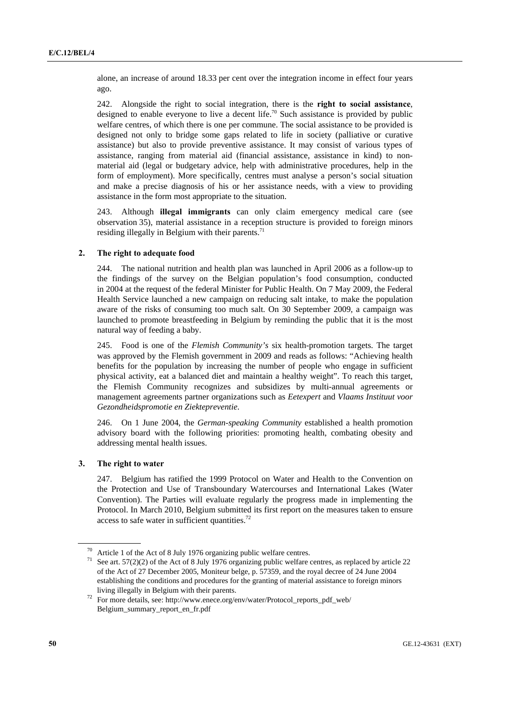alone, an increase of around 18.33 per cent over the integration income in effect four years ago.

242. Alongside the right to social integration, there is the **right to social assistance**, designed to enable everyone to live a decent life.<sup>70</sup> Such assistance is provided by public welfare centres, of which there is one per commune. The social assistance to be provided is designed not only to bridge some gaps related to life in society (palliative or curative assistance) but also to provide preventive assistance. It may consist of various types of assistance, ranging from material aid (financial assistance, assistance in kind) to nonmaterial aid (legal or budgetary advice, help with administrative procedures, help in the form of employment). More specifically, centres must analyse a person's social situation and make a precise diagnosis of his or her assistance needs, with a view to providing assistance in the form most appropriate to the situation.

243. Although **illegal immigrants** can only claim emergency medical care (see observation 35), material assistance in a reception structure is provided to foreign minors residing illegally in Belgium with their parents. $^{71}$ 

# **2. The right to adequate food**

244. The national nutrition and health plan was launched in April 2006 as a follow-up to the findings of the survey on the Belgian population's food consumption, conducted in 2004 at the request of the federal Minister for Public Health. On 7 May 2009, the Federal Health Service launched a new campaign on reducing salt intake, to make the population aware of the risks of consuming too much salt. On 30 September 2009, a campaign was launched to promote breastfeeding in Belgium by reminding the public that it is the most natural way of feeding a baby.

245. Food is one of the *Flemish Community's* six health-promotion targets. The target was approved by the Flemish government in 2009 and reads as follows: "Achieving health benefits for the population by increasing the number of people who engage in sufficient physical activity, eat a balanced diet and maintain a healthy weight". To reach this target, the Flemish Community recognizes and subsidizes by multi-annual agreements or management agreements partner organizations such as *Eetexpert* and *Vlaams Instituut voor Gezondheidspromotie en Ziektepreventie*.

246. On 1 June 2004, the *German-speaking Community* established a health promotion advisory board with the following priorities: promoting health, combating obesity and addressing mental health issues.

# **3. The right to water**

247. Belgium has ratified the 1999 Protocol on Water and Health to the Convention on the Protection and Use of Transboundary Watercourses and International Lakes (Water Convention). The Parties will evaluate regularly the progress made in implementing the Protocol. In March 2010, Belgium submitted its first report on the measures taken to ensure access to safe water in sufficient quantities.72

<sup>&</sup>lt;sup>70</sup> Article 1 of the Act of 8 July 1976 organizing public welfare centres.<br><sup>71</sup> See art. 57(2)(2) of the Act of 8 July 1976 organizing public welfare centres, as replaced by article 22 of the Act of 27 December 2005, Moniteur belge, p. 57359, and the royal decree of 24 June 2004 establishing the conditions and procedures for the granting of material assistance to foreign minors

living illegally in Belgium with their parents.<br><sup>72</sup> For more details, see: http://www.enece.org/env/water/Protocol\_reports\_pdf\_web/ Belgium\_summary\_report\_en\_fr.pdf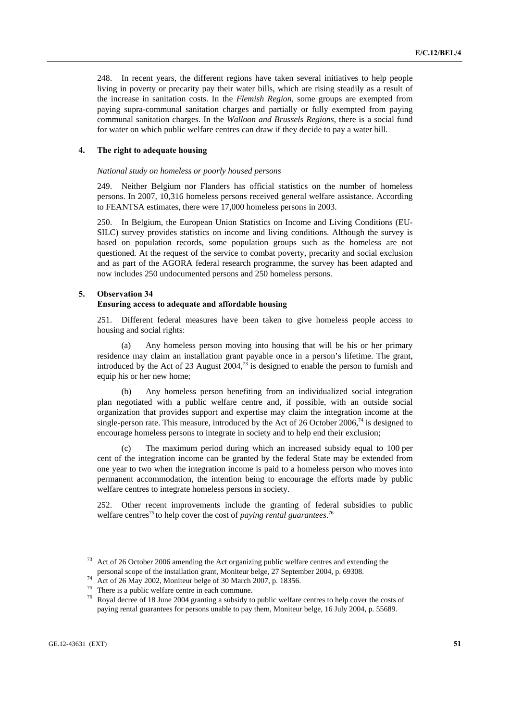248. In recent years, the different regions have taken several initiatives to help people living in poverty or precarity pay their water bills, which are rising steadily as a result of the increase in sanitation costs. In the *Flemish Region*, some groups are exempted from paying supra-communal sanitation charges and partially or fully exempted from paying communal sanitation charges. In the *Walloon and Brussels Regions*, there is a social fund for water on which public welfare centres can draw if they decide to pay a water bill.

## **4. The right to adequate housing**

### *National study on homeless or poorly housed persons*

249. Neither Belgium nor Flanders has official statistics on the number of homeless persons. In 2007, 10,316 homeless persons received general welfare assistance. According to FEANTSA estimates, there were 17,000 homeless persons in 2003.

250. In Belgium, the European Union Statistics on Income and Living Conditions (EU-SILC) survey provides statistics on income and living conditions. Although the survey is based on population records, some population groups such as the homeless are not questioned. At the request of the service to combat poverty, precarity and social exclusion and as part of the AGORA federal research programme, the survey has been adapted and now includes 250 undocumented persons and 250 homeless persons.

#### **5. Observation 34**

# **Ensuring access to adequate and affordable housing**

251. Different federal measures have been taken to give homeless people access to housing and social rights:

 (a) Any homeless person moving into housing that will be his or her primary residence may claim an installation grant payable once in a person's lifetime. The grant, introduced by the Act of 23 August  $2004<sup>73</sup>$  is designed to enable the person to furnish and equip his or her new home;

 (b) Any homeless person benefiting from an individualized social integration plan negotiated with a public welfare centre and, if possible, with an outside social organization that provides support and expertise may claim the integration income at the single-person rate. This measure, introduced by the Act of 26 October 2006, $^{74}$  is designed to encourage homeless persons to integrate in society and to help end their exclusion;

 (c) The maximum period during which an increased subsidy equal to 100 per cent of the integration income can be granted by the federal State may be extended from one year to two when the integration income is paid to a homeless person who moves into permanent accommodation, the intention being to encourage the efforts made by public welfare centres to integrate homeless persons in society.

252. Other recent improvements include the granting of federal subsidies to public welfare centres<sup>75</sup> to help cover the cost of *paying rental guarantees*.<sup>76</sup>

<sup>&</sup>lt;sup>73</sup> Act of 26 October 2006 amending the Act organizing public welfare centres and extending the personal scope of the installation grant, Moniteur belge, 27 September 2004, p. 69308. 74 Act of 26 May 2002, Moniteur belge of 30 March 2007, p. 18356. 75 There is a public welfare centre in each commune.

<sup>76</sup> Royal decree of 18 June 2004 granting a subsidy to public welfare centres to help cover the costs of paying rental guarantees for persons unable to pay them, Moniteur belge, 16 July 2004, p. 55689.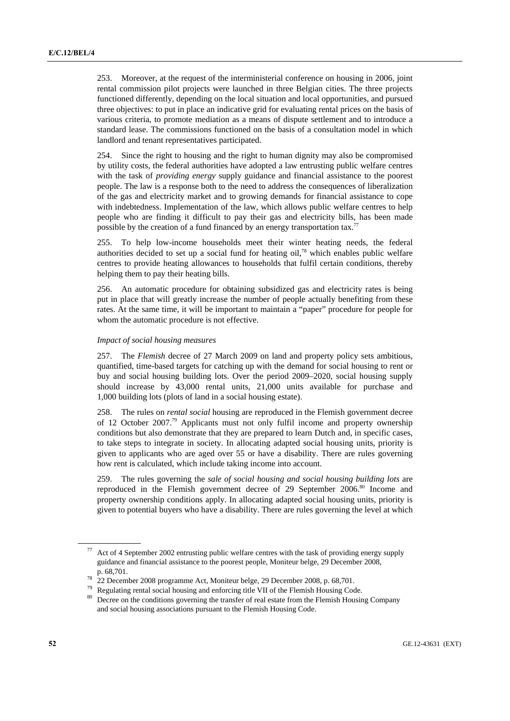253. Moreover, at the request of the interministerial conference on housing in 2006, joint rental commission pilot projects were launched in three Belgian cities. The three projects functioned differently, depending on the local situation and local opportunities, and pursued three objectives: to put in place an indicative grid for evaluating rental prices on the basis of various criteria, to promote mediation as a means of dispute settlement and to introduce a standard lease. The commissions functioned on the basis of a consultation model in which landlord and tenant representatives participated.

254. Since the right to housing and the right to human dignity may also be compromised by utility costs, the federal authorities have adopted a law entrusting public welfare centres with the task of *providing energy* supply guidance and financial assistance to the poorest people. The law is a response both to the need to address the consequences of liberalization of the gas and electricity market and to growing demands for financial assistance to cope with indebtedness. Implementation of the law, which allows public welfare centres to help people who are finding it difficult to pay their gas and electricity bills, has been made possible by the creation of a fund financed by an energy transportation tax.<sup>77</sup>

255. To help low-income households meet their winter heating needs, the federal authorities decided to set up a social fund for heating oil, $78$  which enables public welfare centres to provide heating allowances to households that fulfil certain conditions, thereby helping them to pay their heating bills.

256. An automatic procedure for obtaining subsidized gas and electricity rates is being put in place that will greatly increase the number of people actually benefiting from these rates. At the same time, it will be important to maintain a "paper" procedure for people for whom the automatic procedure is not effective.

#### *Impact of social housing measures*

257. The *Flemish* decree of 27 March 2009 on land and property policy sets ambitious, quantified, time-based targets for catching up with the demand for social housing to rent or buy and social housing building lots. Over the period 2009–2020, social housing supply should increase by 43,000 rental units, 21,000 units available for purchase and 1,000 building lots (plots of land in a social housing estate).

258. The rules on *rental social* housing are reproduced in the Flemish government decree of 12 October 2007.<sup>79</sup> Applicants must not only fulfil income and property ownership conditions but also demonstrate that they are prepared to learn Dutch and, in specific cases, to take steps to integrate in society. In allocating adapted social housing units, priority is given to applicants who are aged over 55 or have a disability. There are rules governing how rent is calculated, which include taking income into account.

259. The rules governing the *sale of social housing and social housing building lots* are reproduced in the Flemish government decree of 29 September 2006.<sup>80</sup> Income and property ownership conditions apply. In allocating adapted social housing units, priority is given to potential buyers who have a disability. There are rules governing the level at which

Act of 4 September 2002 entrusting public welfare centres with the task of providing energy supply guidance and financial assistance to the poorest people, Moniteur belge, 29 December 2008, p. 68,701.<br>
<sup>78</sup> 22 December 2008 programme Act, Moniteur belge, 29 December 2008, p. 68,701.<br>
<sup>79</sup> Regulating rental social housing and enforcing title VII of the Flemish Housing Code.

<sup>&</sup>lt;sup>80</sup> Decree on the conditions governing the transfer of real estate from the Flemish Housing Company and social housing associations pursuant to the Flemish Housing Code.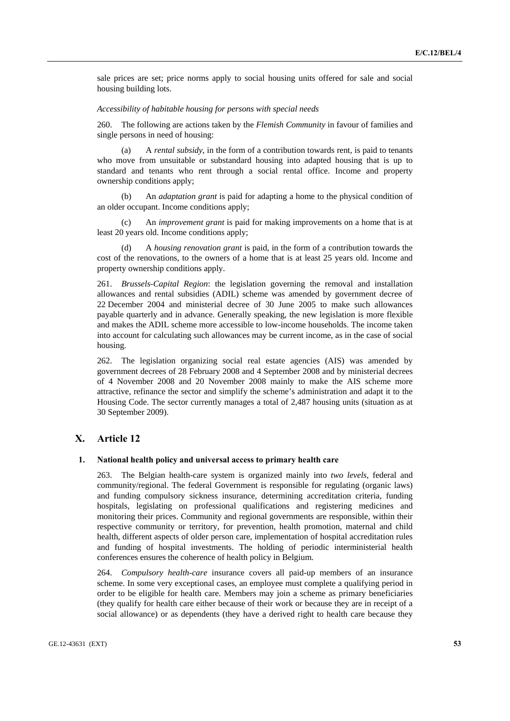sale prices are set; price norms apply to social housing units offered for sale and social housing building lots.

## *Accessibility of habitable housing for persons with special needs*

260. The following are actions taken by the *Flemish Community* in favour of families and single persons in need of housing:

 (a) A *rental subsidy*, in the form of a contribution towards rent, is paid to tenants who move from unsuitable or substandard housing into adapted housing that is up to standard and tenants who rent through a social rental office. Income and property ownership conditions apply;

 (b) An *adaptation grant* is paid for adapting a home to the physical condition of an older occupant. Income conditions apply;

 (c) An *improvement grant* is paid for making improvements on a home that is at least 20 years old. Income conditions apply;

 (d) A *housing renovation grant* is paid, in the form of a contribution towards the cost of the renovations, to the owners of a home that is at least 25 years old. Income and property ownership conditions apply.

261. *Brussels-Capital Region*: the legislation governing the removal and installation allowances and rental subsidies (ADIL) scheme was amended by government decree of 22 December 2004 and ministerial decree of 30 June 2005 to make such allowances payable quarterly and in advance. Generally speaking, the new legislation is more flexible and makes the ADIL scheme more accessible to low-income households. The income taken into account for calculating such allowances may be current income, as in the case of social housing.

262. The legislation organizing social real estate agencies (AIS) was amended by government decrees of 28 February 2008 and 4 September 2008 and by ministerial decrees of 4 November 2008 and 20 November 2008 mainly to make the AIS scheme more attractive, refinance the sector and simplify the scheme's administration and adapt it to the Housing Code. The sector currently manages a total of 2,487 housing units (situation as at 30 September 2009).

# **X. Article 12**

#### **1. National health policy and universal access to primary health care**

263. The Belgian health-care system is organized mainly into *two levels*, federal and community/regional. The federal Government is responsible for regulating (organic laws) and funding compulsory sickness insurance, determining accreditation criteria, funding hospitals, legislating on professional qualifications and registering medicines and monitoring their prices. Community and regional governments are responsible, within their respective community or territory, for prevention, health promotion, maternal and child health, different aspects of older person care, implementation of hospital accreditation rules and funding of hospital investments. The holding of periodic interministerial health conferences ensures the coherence of health policy in Belgium.

264. *Compulsory health-care* insurance covers all paid-up members of an insurance scheme. In some very exceptional cases, an employee must complete a qualifying period in order to be eligible for health care. Members may join a scheme as primary beneficiaries (they qualify for health care either because of their work or because they are in receipt of a social allowance) or as dependents (they have a derived right to health care because they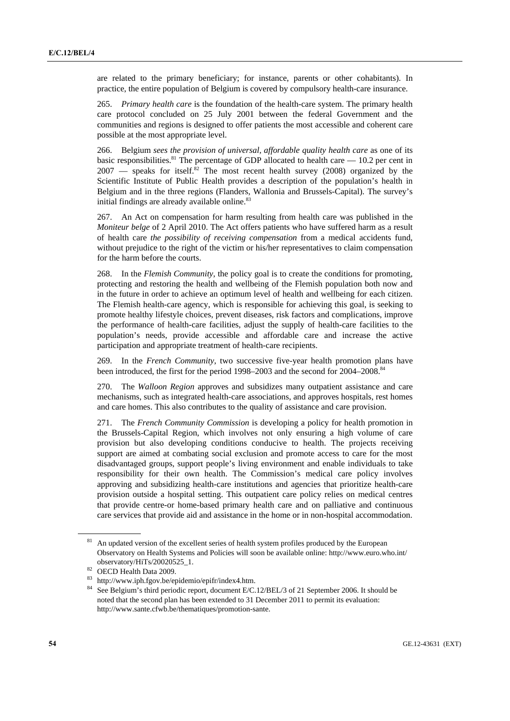are related to the primary beneficiary; for instance, parents or other cohabitants). In practice, the entire population of Belgium is covered by compulsory health-care insurance.

265. *Primary health care* is the foundation of the health-care system. The primary health care protocol concluded on 25 July 2001 between the federal Government and the communities and regions is designed to offer patients the most accessible and coherent care possible at the most appropriate level.

266. Belgium *sees the provision of universal, affordable quality health care* as one of its basic responsibilities.<sup>81</sup> The percentage of GDP allocated to health care  $-10.2$  per cent in  $2007$  — speaks for itself.<sup>82</sup> The most recent health survey (2008) organized by the Scientific Institute of Public Health provides a description of the population's health in Belgium and in the three regions (Flanders, Wallonia and Brussels-Capital). The survey's initial findings are already available online.<sup>83</sup>

267. An Act on compensation for harm resulting from health care was published in the *Moniteur belge* of 2 April 2010. The Act offers patients who have suffered harm as a result of health care *the possibility of receiving compensation* from a medical accidents fund, without prejudice to the right of the victim or his/her representatives to claim compensation for the harm before the courts.

268. In the *Flemish Community*, the policy goal is to create the conditions for promoting, protecting and restoring the health and wellbeing of the Flemish population both now and in the future in order to achieve an optimum level of health and wellbeing for each citizen. The Flemish health-care agency, which is responsible for achieving this goal, is seeking to promote healthy lifestyle choices, prevent diseases, risk factors and complications, improve the performance of health-care facilities, adjust the supply of health-care facilities to the population's needs, provide accessible and affordable care and increase the active participation and appropriate treatment of health-care recipients.

269. In the *French Community*, two successive five-year health promotion plans have been introduced, the first for the period 1998–2003 and the second for 2004–2008.<sup>84</sup>

270. The *Walloon Region* approves and subsidizes many outpatient assistance and care mechanisms, such as integrated health-care associations, and approves hospitals, rest homes and care homes. This also contributes to the quality of assistance and care provision.

271. The *French Community Commission* is developing a policy for health promotion in the Brussels-Capital Region, which involves not only ensuring a high volume of care provision but also developing conditions conducive to health. The projects receiving support are aimed at combating social exclusion and promote access to care for the most disadvantaged groups, support people's living environment and enable individuals to take responsibility for their own health. The Commission's medical care policy involves approving and subsidizing health-care institutions and agencies that prioritize health-care provision outside a hospital setting. This outpatient care policy relies on medical centres that provide centre-or home-based primary health care and on palliative and continuous care services that provide aid and assistance in the home or in non-hospital accommodation.

<sup>&</sup>lt;sup>81</sup> An updated version of the excellent series of health system profiles produced by the European Observatory on Health Systems and Policies will soon be available online: http://www.euro.who.int/ observatory/HiTs/20020525\_1. 82 OECD Health Data 2009.

<sup>&</sup>lt;sup>83</sup> http://www.iph.fgov.be/epidemio/epifr/index4.htm.<br><sup>84</sup> See Belgium's third periodic report, document E/C.12/BEL/3 of 21 September 2006. It should be noted that the second plan has been extended to 31 December 2011 to permit its evaluation: http://www.sante.cfwb.be/thematiques/promotion-sante.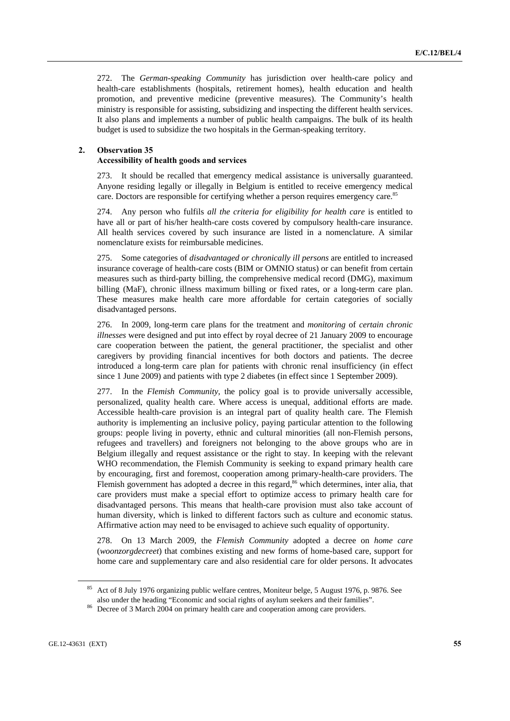272. The *German-speaking Community* has jurisdiction over health-care policy and health-care establishments (hospitals, retirement homes), health education and health promotion, and preventive medicine (preventive measures). The Community's health ministry is responsible for assisting, subsidizing and inspecting the different health services. It also plans and implements a number of public health campaigns. The bulk of its health budget is used to subsidize the two hospitals in the German-speaking territory.

## **2. Observation 35**

### **Accessibility of health goods and services**

273. It should be recalled that emergency medical assistance is universally guaranteed. Anyone residing legally or illegally in Belgium is entitled to receive emergency medical care. Doctors are responsible for certifying whether a person requires emergency care.<sup>85</sup>

274. Any person who fulfils *all the criteria for eligibility for health care* is entitled to have all or part of his/her health-care costs covered by compulsory health-care insurance. All health services covered by such insurance are listed in a nomenclature. A similar nomenclature exists for reimbursable medicines.

275. Some categories of *disadvantaged or chronically ill persons* are entitled to increased insurance coverage of health-care costs (BIM or OMNIO status) or can benefit from certain measures such as third-party billing, the comprehensive medical record (DMG), maximum billing (MaF), chronic illness maximum billing or fixed rates, or a long-term care plan. These measures make health care more affordable for certain categories of socially disadvantaged persons.

276. In 2009, long-term care plans for the treatment and *monitoring* of *certain chronic illnesses* were designed and put into effect by royal decree of 21 January 2009 to encourage care cooperation between the patient, the general practitioner, the specialist and other caregivers by providing financial incentives for both doctors and patients. The decree introduced a long-term care plan for patients with chronic renal insufficiency (in effect since 1 June 2009) and patients with type 2 diabetes (in effect since 1 September 2009).

277. In the *Flemish Community*, the policy goal is to provide universally accessible, personalized, quality health care. Where access is unequal, additional efforts are made. Accessible health-care provision is an integral part of quality health care. The Flemish authority is implementing an inclusive policy, paying particular attention to the following groups: people living in poverty, ethnic and cultural minorities (all non-Flemish persons, refugees and travellers) and foreigners not belonging to the above groups who are in Belgium illegally and request assistance or the right to stay. In keeping with the relevant WHO recommendation, the Flemish Community is seeking to expand primary health care by encouraging, first and foremost, cooperation among primary-health-care providers. The Flemish government has adopted a decree in this regard,<sup>86</sup> which determines, inter alia, that care providers must make a special effort to optimize access to primary health care for disadvantaged persons. This means that health-care provision must also take account of human diversity, which is linked to different factors such as culture and economic status. Affirmative action may need to be envisaged to achieve such equality of opportunity.

278. On 13 March 2009, the *Flemish Community* adopted a decree on *home care* (*woonzorgdecreet*) that combines existing and new forms of home-based care, support for home care and supplementary care and also residential care for older persons. It advocates

<sup>&</sup>lt;sup>85</sup> Act of 8 July 1976 organizing public welfare centres, Moniteur belge, 5 August 1976, p. 9876. See also under the heading "Economic and social rights of asylum seekers and their families".

<sup>&</sup>lt;sup>86</sup> Decree of 3 March 2004 on primary health care and cooperation among care providers.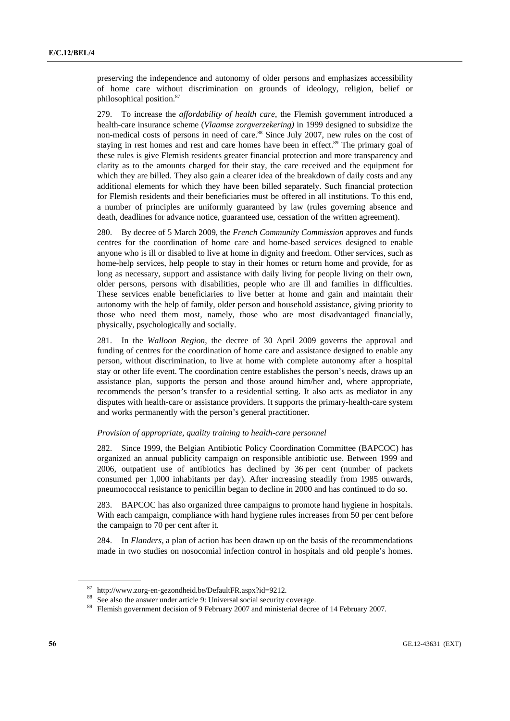preserving the independence and autonomy of older persons and emphasizes accessibility of home care without discrimination on grounds of ideology, religion, belief or philosophical position.87

279. To increase the *affordability of health care*, the Flemish government introduced a health-care insurance scheme (*Vlaamse zorgverzekering)* in 1999 designed to subsidize the non-medical costs of persons in need of care.<sup>88</sup> Since July 2007, new rules on the cost of staying in rest homes and rest and care homes have been in effect.<sup>89</sup> The primary goal of these rules is give Flemish residents greater financial protection and more transparency and clarity as to the amounts charged for their stay, the care received and the equipment for which they are billed. They also gain a clearer idea of the breakdown of daily costs and any additional elements for which they have been billed separately. Such financial protection for Flemish residents and their beneficiaries must be offered in all institutions. To this end, a number of principles are uniformly guaranteed by law (rules governing absence and death, deadlines for advance notice, guaranteed use, cessation of the written agreement).

280. By decree of 5 March 2009, the *French Community Commission* approves and funds centres for the coordination of home care and home-based services designed to enable anyone who is ill or disabled to live at home in dignity and freedom. Other services, such as home-help services, help people to stay in their homes or return home and provide, for as long as necessary, support and assistance with daily living for people living on their own, older persons, persons with disabilities, people who are ill and families in difficulties. These services enable beneficiaries to live better at home and gain and maintain their autonomy with the help of family, older person and household assistance, giving priority to those who need them most, namely, those who are most disadvantaged financially, physically, psychologically and socially.

281. In the *Walloon Region*, the decree of 30 April 2009 governs the approval and funding of centres for the coordination of home care and assistance designed to enable any person, without discrimination, to live at home with complete autonomy after a hospital stay or other life event. The coordination centre establishes the person's needs, draws up an assistance plan, supports the person and those around him/her and, where appropriate, recommends the person's transfer to a residential setting. It also acts as mediator in any disputes with health-care or assistance providers. It supports the primary-health-care system and works permanently with the person's general practitioner.

#### *Provision of appropriate, quality training to health-care personnel*

282. Since 1999, the Belgian Antibiotic Policy Coordination Committee (BAPCOC) has organized an annual publicity campaign on responsible antibiotic use. Between 1999 and 2006, outpatient use of antibiotics has declined by 36 per cent (number of packets consumed per 1,000 inhabitants per day). After increasing steadily from 1985 onwards, pneumococcal resistance to penicillin began to decline in 2000 and has continued to do so.

283. BAPCOC has also organized three campaigns to promote hand hygiene in hospitals. With each campaign, compliance with hand hygiene rules increases from 50 per cent before the campaign to 70 per cent after it.

284. In *Flanders*, a plan of action has been drawn up on the basis of the recommendations made in two studies on nosocomial infection control in hospitals and old people's homes.

<sup>&</sup>lt;sup>87</sup> http://www.zorg-en-gezondheid.be/DefaultFR.aspx?id=9212.<br><sup>88</sup> See also the answer under article 9: Universal social security coverage.<br><sup>89</sup> Flemish government decision of 9 February 2007 and ministerial decree of 14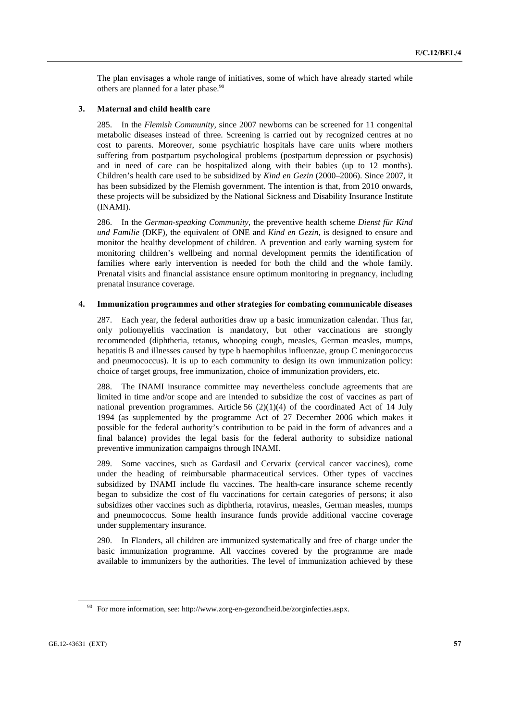The plan envisages a whole range of initiatives, some of which have already started while others are planned for a later phase.<sup>90</sup>

# **3. Maternal and child health care**

285. In the *Flemish Community*, since 2007 newborns can be screened for 11 congenital metabolic diseases instead of three. Screening is carried out by recognized centres at no cost to parents. Moreover, some psychiatric hospitals have care units where mothers suffering from postpartum psychological problems (postpartum depression or psychosis) and in need of care can be hospitalized along with their babies (up to 12 months). Children's health care used to be subsidized by *Kind en Gezin* (2000–2006). Since 2007, it has been subsidized by the Flemish government. The intention is that, from 2010 onwards, these projects will be subsidized by the National Sickness and Disability Insurance Institute (INAMI).

286. In the *German-speaking Community*, the preventive health scheme *Dienst für Kind und Familie* (DKF), the equivalent of ONE and *Kind en Gezin,* is designed to ensure and monitor the healthy development of children. A prevention and early warning system for monitoring children's wellbeing and normal development permits the identification of families where early intervention is needed for both the child and the whole family. Prenatal visits and financial assistance ensure optimum monitoring in pregnancy, including prenatal insurance coverage.

### **4. Immunization programmes and other strategies for combating communicable diseases**

287. Each year, the federal authorities draw up a basic immunization calendar. Thus far, only poliomyelitis vaccination is mandatory, but other vaccinations are strongly recommended (diphtheria, tetanus, whooping cough, measles, German measles, mumps, hepatitis B and illnesses caused by type b haemophilus influenzae, group C meningococcus and pneumococcus). It is up to each community to design its own immunization policy: choice of target groups, free immunization, choice of immunization providers, etc.

288. The INAMI insurance committee may nevertheless conclude agreements that are limited in time and/or scope and are intended to subsidize the cost of vaccines as part of national prevention programmes. Article 56  $(2)(1)(4)$  of the coordinated Act of 14 July 1994 (as supplemented by the programme Act of 27 December 2006 which makes it possible for the federal authority's contribution to be paid in the form of advances and a final balance) provides the legal basis for the federal authority to subsidize national preventive immunization campaigns through INAMI.

289. Some vaccines, such as Gardasil and Cervarix (cervical cancer vaccines), come under the heading of reimbursable pharmaceutical services. Other types of vaccines subsidized by INAMI include flu vaccines. The health-care insurance scheme recently began to subsidize the cost of flu vaccinations for certain categories of persons; it also subsidizes other vaccines such as diphtheria, rotavirus, measles, German measles, mumps and pneumococcus. Some health insurance funds provide additional vaccine coverage under supplementary insurance.

290. In Flanders, all children are immunized systematically and free of charge under the basic immunization programme. All vaccines covered by the programme are made available to immunizers by the authorities. The level of immunization achieved by these

 $90$  For more information, see: http://www.zorg-en-gezondheid.be/zorginfecties.aspx.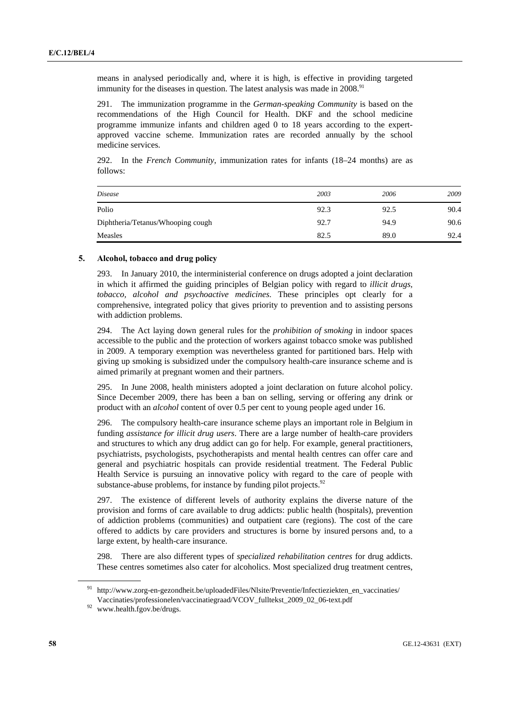means in analysed periodically and, where it is high, is effective in providing targeted immunity for the diseases in question. The latest analysis was made in 2008.<sup>91</sup>

291. The immunization programme in the *German-speaking Community* is based on the recommendations of the High Council for Health. DKF and the school medicine programme immunize infants and children aged 0 to 18 years according to the expertapproved vaccine scheme. Immunization rates are recorded annually by the school medicine services.

292. In the *French Community*, immunization rates for infants (18–24 months) are as follows:

| Disease                           | 2003 | 2006 | 2009 |
|-----------------------------------|------|------|------|
| Polio                             | 92.3 | 92.5 | 90.4 |
| Diphtheria/Tetanus/Whooping cough | 92.7 | 94.9 | 90.6 |
| Measles                           | 82.5 | 89.0 | 92.4 |

## **5. Alcohol, tobacco and drug policy**

293. In January 2010, the interministerial conference on drugs adopted a joint declaration in which it affirmed the guiding principles of Belgian policy with regard to *illicit drugs, tobacco, alcohol and psychoactive medicines*. These principles opt clearly for a comprehensive, integrated policy that gives priority to prevention and to assisting persons with addiction problems.

294. The Act laying down general rules for the *prohibition of smoking* in indoor spaces accessible to the public and the protection of workers against tobacco smoke was published in 2009. A temporary exemption was nevertheless granted for partitioned bars. Help with giving up smoking is subsidized under the compulsory health-care insurance scheme and is aimed primarily at pregnant women and their partners.

295. In June 2008, health ministers adopted a joint declaration on future alcohol policy. Since December 2009, there has been a ban on selling, serving or offering any drink or product with an *alcohol* content of over 0.5 per cent to young people aged under 16.

296. The compulsory health-care insurance scheme plays an important role in Belgium in funding *assistance for illicit drug users*. There are a large number of health-care providers and structures to which any drug addict can go for help. For example, general practitioners, psychiatrists, psychologists, psychotherapists and mental health centres can offer care and general and psychiatric hospitals can provide residential treatment. The Federal Public Health Service is pursuing an innovative policy with regard to the care of people with substance-abuse problems, for instance by funding pilot projects. $92$ 

297. The existence of different levels of authority explains the diverse nature of the provision and forms of care available to drug addicts: public health (hospitals), prevention of addiction problems (communities) and outpatient care (regions). The cost of the care offered to addicts by care providers and structures is borne by insured persons and, to a large extent, by health-care insurance.

298. There are also different types of *specialized rehabilitation centres* for drug addicts. These centres sometimes also cater for alcoholics. Most specialized drug treatment centres,

<sup>&</sup>lt;sup>91</sup> http://www.zorg-en-gezondheit.be/uploadedFiles/Nlsite/Preventie/Infectieziekten\_en\_vaccinaties/ Vaccinaties/professionelen/vaccinatiegraad/VCOV\_fulltekst\_2009\_02\_06-text.pdf 92 www.health.fgov.be/drugs.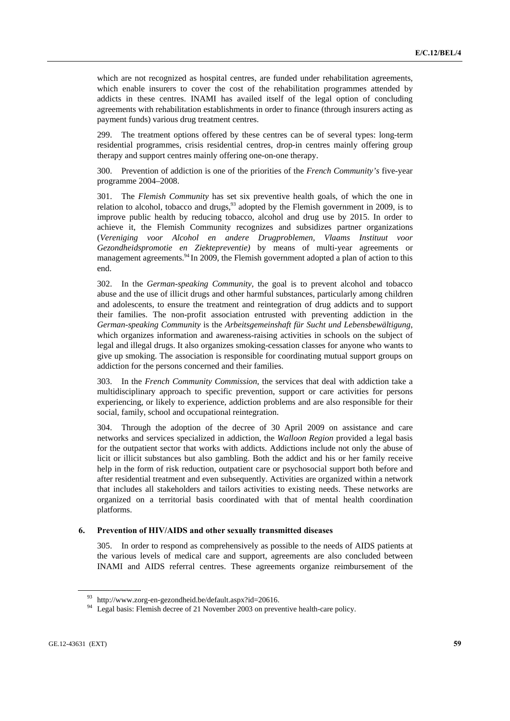which are not recognized as hospital centres, are funded under rehabilitation agreements, which enable insurers to cover the cost of the rehabilitation programmes attended by addicts in these centres. INAMI has availed itself of the legal option of concluding agreements with rehabilitation establishments in order to finance (through insurers acting as payment funds) various drug treatment centres.

299. The treatment options offered by these centres can be of several types: long-term residential programmes, crisis residential centres, drop-in centres mainly offering group therapy and support centres mainly offering one-on-one therapy.

300. Prevention of addiction is one of the priorities of the *French Community's* five-year programme 2004–2008.

301. The *Flemish Community* has set six preventive health goals, of which the one in relation to alcohol, tobacco and drugs,  $93$  adopted by the Flemish government in 2009, is to improve public health by reducing tobacco, alcohol and drug use by 2015. In order to achieve it, the Flemish Community recognizes and subsidizes partner organizations (*Vereniging voor Alcohol en andere Drugproblemen, Vlaams Instituut voor Gezondheidspromotie en Ziektepreventie)* by means of multi-year agreements or management agreements.<sup>94</sup> In 2009, the Flemish government adopted a plan of action to this end.

302. In the *German-speaking Community*, the goal is to prevent alcohol and tobacco abuse and the use of illicit drugs and other harmful substances, particularly among children and adolescents, to ensure the treatment and reintegration of drug addicts and to support their families. The non-profit association entrusted with preventing addiction in the *German-speaking Community* is the *Arbeitsgemeinshaft für Sucht und Lebensbewältigung*, which organizes information and awareness-raising activities in schools on the subject of legal and illegal drugs. It also organizes smoking-cessation classes for anyone who wants to give up smoking. The association is responsible for coordinating mutual support groups on addiction for the persons concerned and their families.

303. In the *French Community Commission*, the services that deal with addiction take a multidisciplinary approach to specific prevention, support or care activities for persons experiencing, or likely to experience, addiction problems and are also responsible for their social, family, school and occupational reintegration.

304. Through the adoption of the decree of 30 April 2009 on assistance and care networks and services specialized in addiction, the *Walloon Region* provided a legal basis for the outpatient sector that works with addicts. Addictions include not only the abuse of licit or illicit substances but also gambling. Both the addict and his or her family receive help in the form of risk reduction, outpatient care or psychosocial support both before and after residential treatment and even subsequently. Activities are organized within a network that includes all stakeholders and tailors activities to existing needs. These networks are organized on a territorial basis coordinated with that of mental health coordination platforms.

# **6. Prevention of HIV/AIDS and other sexually transmitted diseases**

305. In order to respond as comprehensively as possible to the needs of AIDS patients at the various levels of medical care and support, agreements are also concluded between INAMI and AIDS referral centres. These agreements organize reimbursement of the

<sup>93</sup> http://www.zorg-en-gezondheid.be/default.aspx?id=20616.

<sup>&</sup>lt;sup>94</sup> Legal basis: Flemish decree of 21 November 2003 on preventive health-care policy.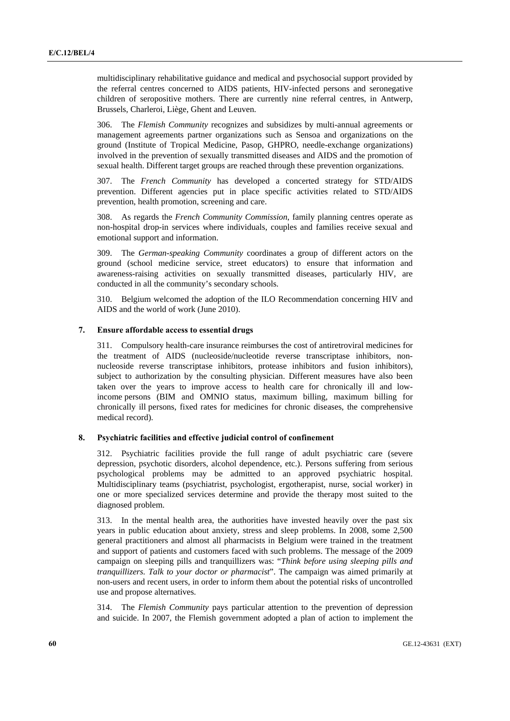multidisciplinary rehabilitative guidance and medical and psychosocial support provided by the referral centres concerned to AIDS patients, HIV-infected persons and seronegative children of seropositive mothers. There are currently nine referral centres, in Antwerp, Brussels, Charleroi, Liège, Ghent and Leuven.

306. The *Flemish Community* recognizes and subsidizes by multi-annual agreements or management agreements partner organizations such as Sensoa and organizations on the ground (Institute of Tropical Medicine, Pasop, GHPRO, needle-exchange organizations) involved in the prevention of sexually transmitted diseases and AIDS and the promotion of sexual health. Different target groups are reached through these prevention organizations.

307. The *French Community* has developed a concerted strategy for STD/AIDS prevention. Different agencies put in place specific activities related to STD/AIDS prevention, health promotion, screening and care.

308. As regards the *French Community Commission*, family planning centres operate as non-hospital drop-in services where individuals, couples and families receive sexual and emotional support and information.

309. The *German-speaking Community* coordinates a group of different actors on the ground (school medicine service, street educators) to ensure that information and awareness-raising activities on sexually transmitted diseases, particularly HIV, are conducted in all the community's secondary schools.

310. Belgium welcomed the adoption of the ILO Recommendation concerning HIV and AIDS and the world of work (June 2010).

## **7. Ensure affordable access to essential drugs**

311. Compulsory health-care insurance reimburses the cost of antiretroviral medicines for the treatment of AIDS (nucleoside/nucleotide reverse transcriptase inhibitors, nonnucleoside reverse transcriptase inhibitors, protease inhibitors and fusion inhibitors), subject to authorization by the consulting physician. Different measures have also been taken over the years to improve access to health care for chronically ill and lowincome persons (BIM and OMNIO status, maximum billing, maximum billing for chronically ill persons, fixed rates for medicines for chronic diseases, the comprehensive medical record).

# **8. Psychiatric facilities and effective judicial control of confinement**

312. Psychiatric facilities provide the full range of adult psychiatric care (severe depression, psychotic disorders, alcohol dependence, etc.). Persons suffering from serious psychological problems may be admitted to an approved psychiatric hospital. Multidisciplinary teams (psychiatrist, psychologist, ergotherapist, nurse, social worker) in one or more specialized services determine and provide the therapy most suited to the diagnosed problem.

313. In the mental health area, the authorities have invested heavily over the past six years in public education about anxiety, stress and sleep problems. In 2008, some 2,500 general practitioners and almost all pharmacists in Belgium were trained in the treatment and support of patients and customers faced with such problems. The message of the 2009 campaign on sleeping pills and tranquillizers was: "*Think before using sleeping pills and tranquillizers. Talk to your doctor or pharmacist*". The campaign was aimed primarily at non-users and recent users, in order to inform them about the potential risks of uncontrolled use and propose alternatives.

314. The *Flemish Community* pays particular attention to the prevention of depression and suicide. In 2007, the Flemish government adopted a plan of action to implement the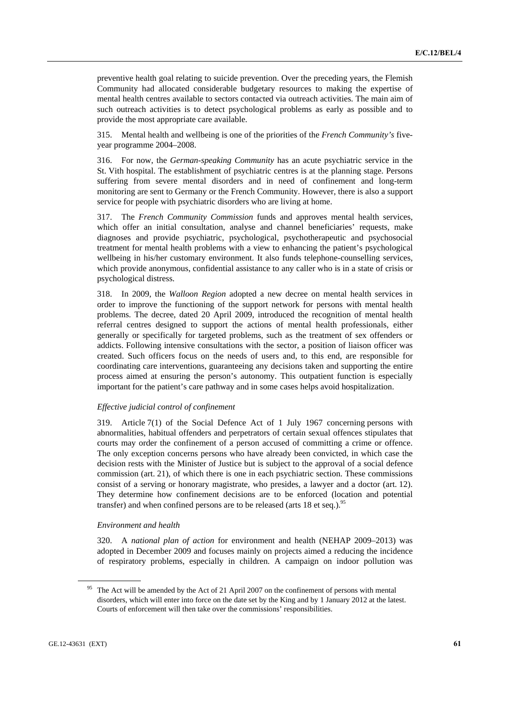preventive health goal relating to suicide prevention. Over the preceding years, the Flemish Community had allocated considerable budgetary resources to making the expertise of mental health centres available to sectors contacted via outreach activities. The main aim of such outreach activities is to detect psychological problems as early as possible and to provide the most appropriate care available.

315. Mental health and wellbeing is one of the priorities of the *French Community's* fiveyear programme 2004–2008.

316. For now, the *German-speaking Community* has an acute psychiatric service in the St. Vith hospital. The establishment of psychiatric centres is at the planning stage. Persons suffering from severe mental disorders and in need of confinement and long-term monitoring are sent to Germany or the French Community. However, there is also a support service for people with psychiatric disorders who are living at home.

317. The *French Community Commission* funds and approves mental health services, which offer an initial consultation, analyse and channel beneficiaries' requests, make diagnoses and provide psychiatric, psychological, psychotherapeutic and psychosocial treatment for mental health problems with a view to enhancing the patient's psychological wellbeing in his/her customary environment. It also funds telephone-counselling services, which provide anonymous, confidential assistance to any caller who is in a state of crisis or psychological distress.

318. In 2009, the *Walloon Region* adopted a new decree on mental health services in order to improve the functioning of the support network for persons with mental health problems. The decree, dated 20 April 2009, introduced the recognition of mental health referral centres designed to support the actions of mental health professionals, either generally or specifically for targeted problems, such as the treatment of sex offenders or addicts. Following intensive consultations with the sector, a position of liaison officer was created. Such officers focus on the needs of users and, to this end, are responsible for coordinating care interventions, guaranteeing any decisions taken and supporting the entire process aimed at ensuring the person's autonomy. This outpatient function is especially important for the patient's care pathway and in some cases helps avoid hospitalization.

## *Effective judicial control of confinement*

319. Article 7(1) of the Social Defence Act of 1 July 1967 concerning persons with abnormalities, habitual offenders and perpetrators of certain sexual offences stipulates that courts may order the confinement of a person accused of committing a crime or offence. The only exception concerns persons who have already been convicted, in which case the decision rests with the Minister of Justice but is subject to the approval of a social defence commission (art. 21), of which there is one in each psychiatric section. These commissions consist of a serving or honorary magistrate, who presides, a lawyer and a doctor (art. 12). They determine how confinement decisions are to be enforced (location and potential transfer) and when confined persons are to be released (arts  $18$  et seq.).<sup>95</sup>

# *Environment and health*

320. A *national plan of action* for environment and health (NEHAP 2009–2013) was adopted in December 2009 and focuses mainly on projects aimed a reducing the incidence of respiratory problems, especially in children. A campaign on indoor pollution was

<sup>&</sup>lt;sup>95</sup> The Act will be amended by the Act of 21 April 2007 on the confinement of persons with mental disorders, which will enter into force on the date set by the King and by 1 January 2012 at the latest. Courts of enforcement will then take over the commissions' responsibilities.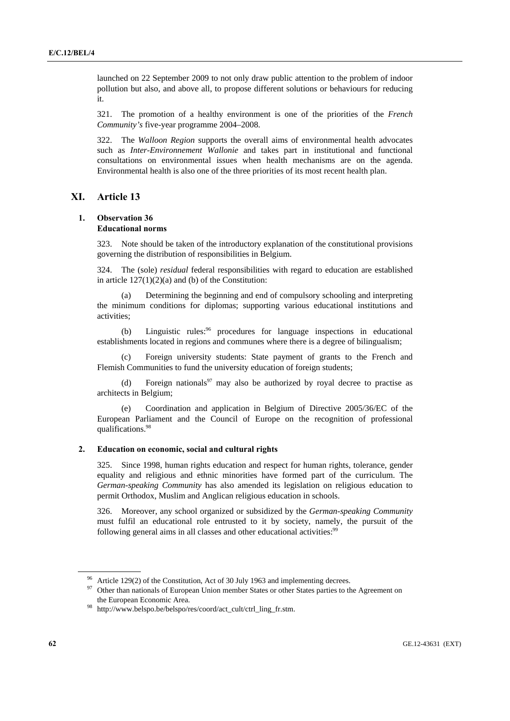launched on 22 September 2009 to not only draw public attention to the problem of indoor pollution but also, and above all, to propose different solutions or behaviours for reducing it.

321. The promotion of a healthy environment is one of the priorities of the *French Community's* five-year programme 2004–2008.

322. The *Walloon Region* supports the overall aims of environmental health advocates such as *Inter-Environnement Wallonie* and takes part in institutional and functional consultations on environmental issues when health mechanisms are on the agenda. Environmental health is also one of the three priorities of its most recent health plan.

# **XI. Article 13**

#### **1. Observation 36 Educational norms**

323. Note should be taken of the introductory explanation of the constitutional provisions governing the distribution of responsibilities in Belgium.

324. The (sole) *residual* federal responsibilities with regard to education are established in article  $127(1)(2)(a)$  and (b) of the Constitution:

Determining the beginning and end of compulsory schooling and interpreting the minimum conditions for diplomas; supporting various educational institutions and activities;

(b) Linguistic rules:<sup>96</sup> procedures for language inspections in educational establishments located in regions and communes where there is a degree of bilingualism;

 (c) Foreign university students: State payment of grants to the French and Flemish Communities to fund the university education of foreign students;

(d) Foreign nationals<sup>97</sup> may also be authorized by royal decree to practise as architects in Belgium;

 (e) Coordination and application in Belgium of Directive 2005/36/EC of the European Parliament and the Council of Europe on the recognition of professional qualifications.98

### **2. Education on economic, social and cultural rights**

325. Since 1998, human rights education and respect for human rights, tolerance, gender equality and religious and ethnic minorities have formed part of the curriculum. The *German-speaking Community* has also amended its legislation on religious education to permit Orthodox, Muslim and Anglican religious education in schools.

326. Moreover, any school organized or subsidized by the *German-speaking Community* must fulfil an educational role entrusted to it by society, namely, the pursuit of the following general aims in all classes and other educational activities:<sup>99</sup>

Article 129(2) of the Constitution, Act of 30 July 1963 and implementing decrees.

<sup>&</sup>lt;sup>97</sup> Other than nationals of European Union member States or other States parties to the Agreement on the European Economic Area. 98 http://www.belspo.be/belspo/res/coord/act\_cult/ctrl\_ling\_fr.stm.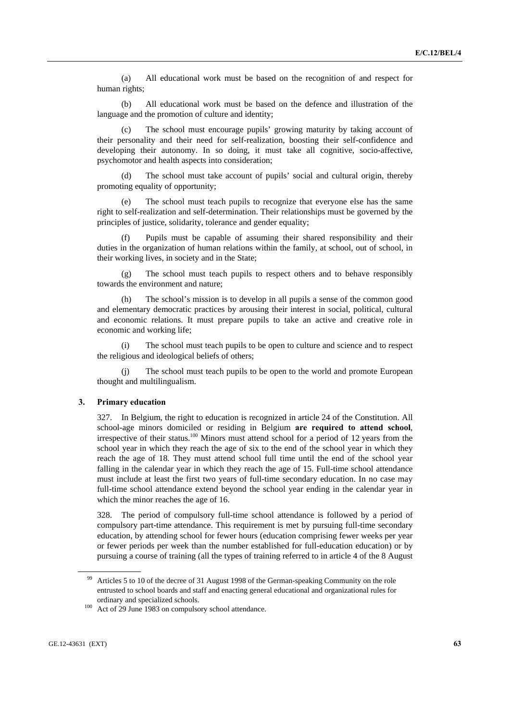(a) All educational work must be based on the recognition of and respect for human rights;

 (b) All educational work must be based on the defence and illustration of the language and the promotion of culture and identity;

The school must encourage pupils' growing maturity by taking account of their personality and their need for self-realization, boosting their self-confidence and developing their autonomy. In so doing, it must take all cognitive, socio-affective, psychomotor and health aspects into consideration;

 (d) The school must take account of pupils' social and cultural origin, thereby promoting equality of opportunity;

 (e) The school must teach pupils to recognize that everyone else has the same right to self-realization and self-determination. Their relationships must be governed by the principles of justice, solidarity, tolerance and gender equality;

Pupils must be capable of assuming their shared responsibility and their duties in the organization of human relations within the family, at school, out of school, in their working lives, in society and in the State;

 (g) The school must teach pupils to respect others and to behave responsibly towards the environment and nature;

 (h) The school's mission is to develop in all pupils a sense of the common good and elementary democratic practices by arousing their interest in social, political, cultural and economic relations. It must prepare pupils to take an active and creative role in economic and working life;

 (i) The school must teach pupils to be open to culture and science and to respect the religious and ideological beliefs of others;

 (j) The school must teach pupils to be open to the world and promote European thought and multilingualism.

# **3. Primary education**

327. In Belgium, the right to education is recognized in article 24 of the Constitution. All school-age minors domiciled or residing in Belgium **are required to attend school**, irrespective of their status.<sup>100</sup> Minors must attend school for a period of 12 years from the school year in which they reach the age of six to the end of the school year in which they reach the age of 18. They must attend school full time until the end of the school year falling in the calendar year in which they reach the age of 15. Full-time school attendance must include at least the first two years of full-time secondary education. In no case may full-time school attendance extend beyond the school year ending in the calendar year in which the minor reaches the age of 16.

328. The period of compulsory full-time school attendance is followed by a period of compulsory part-time attendance. This requirement is met by pursuing full-time secondary education, by attending school for fewer hours (education comprising fewer weeks per year or fewer periods per week than the number established for full-education education) or by pursuing a course of training (all the types of training referred to in article 4 of the 8 August

<sup>99</sup> Articles 5 to 10 of the decree of 31 August 1998 of the German-speaking Community on the role entrusted to school boards and staff and enacting general educational and organizational rules for ordinary and specialized schools.<br><sup>100</sup> Act of 29 June 1983 on compulsory school attendance.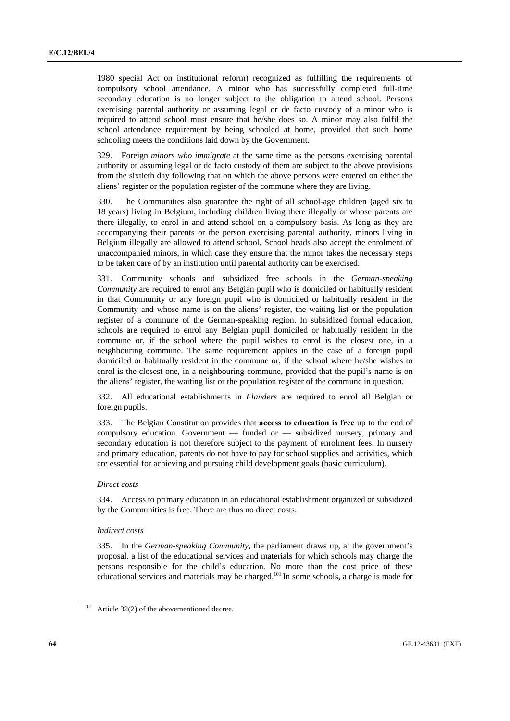1980 special Act on institutional reform) recognized as fulfilling the requirements of compulsory school attendance. A minor who has successfully completed full-time secondary education is no longer subject to the obligation to attend school. Persons exercising parental authority or assuming legal or de facto custody of a minor who is required to attend school must ensure that he/she does so. A minor may also fulfil the school attendance requirement by being schooled at home, provided that such home schooling meets the conditions laid down by the Government.

329. Foreign *minors who immigrate* at the same time as the persons exercising parental authority or assuming legal or de facto custody of them are subject to the above provisions from the sixtieth day following that on which the above persons were entered on either the aliens' register or the population register of the commune where they are living.

330. The Communities also guarantee the right of all school-age children (aged six to 18 years) living in Belgium, including children living there illegally or whose parents are there illegally, to enrol in and attend school on a compulsory basis. As long as they are accompanying their parents or the person exercising parental authority, minors living in Belgium illegally are allowed to attend school. School heads also accept the enrolment of unaccompanied minors, in which case they ensure that the minor takes the necessary steps to be taken care of by an institution until parental authority can be exercised.

331. Community schools and subsidized free schools in the *German-speaking Community* are required to enrol any Belgian pupil who is domiciled or habitually resident in that Community or any foreign pupil who is domiciled or habitually resident in the Community and whose name is on the aliens' register, the waiting list or the population register of a commune of the German-speaking region. In subsidized formal education, schools are required to enrol any Belgian pupil domiciled or habitually resident in the commune or, if the school where the pupil wishes to enrol is the closest one, in a neighbouring commune. The same requirement applies in the case of a foreign pupil domiciled or habitually resident in the commune or, if the school where he/she wishes to enrol is the closest one, in a neighbouring commune, provided that the pupil's name is on the aliens' register, the waiting list or the population register of the commune in question.

332. All educational establishments in *Flanders* are required to enrol all Belgian or foreign pupils.

333. The Belgian Constitution provides that **access to education is free** up to the end of compulsory education. Government — funded or — subsidized nursery, primary and secondary education is not therefore subject to the payment of enrolment fees. In nursery and primary education, parents do not have to pay for school supplies and activities, which are essential for achieving and pursuing child development goals (basic curriculum).

#### *Direct costs*

334. Access to primary education in an educational establishment organized or subsidized by the Communities is free. There are thus no direct costs.

### *Indirect costs*

335. In the *German-speaking Community*, the parliament draws up, at the government's proposal, a list of the educational services and materials for which schools may charge the persons responsible for the child's education. No more than the cost price of these educational services and materials may be charged.101 In some schools, a charge is made for

<sup>&</sup>lt;sup>101</sup> Article 32(2) of the abovementioned decree.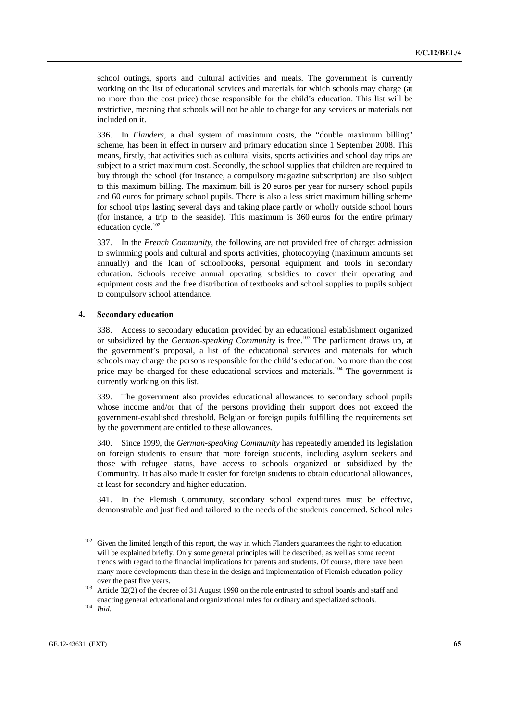school outings, sports and cultural activities and meals. The government is currently working on the list of educational services and materials for which schools may charge (at no more than the cost price) those responsible for the child's education. This list will be restrictive, meaning that schools will not be able to charge for any services or materials not included on it.

336. In *Flanders*, a dual system of maximum costs, the "double maximum billing" scheme, has been in effect in nursery and primary education since 1 September 2008. This means, firstly, that activities such as cultural visits, sports activities and school day trips are subject to a strict maximum cost. Secondly, the school supplies that children are required to buy through the school (for instance, a compulsory magazine subscription) are also subject to this maximum billing. The maximum bill is 20 euros per year for nursery school pupils and 60 euros for primary school pupils. There is also a less strict maximum billing scheme for school trips lasting several days and taking place partly or wholly outside school hours (for instance, a trip to the seaside). This maximum is 360 euros for the entire primary education cycle.<sup>102</sup>

337. In the *French Community*, the following are not provided free of charge: admission to swimming pools and cultural and sports activities, photocopying (maximum amounts set annually) and the loan of schoolbooks, personal equipment and tools in secondary education. Schools receive annual operating subsidies to cover their operating and equipment costs and the free distribution of textbooks and school supplies to pupils subject to compulsory school attendance.

# **4. Secondary education**

338. Access to secondary education provided by an educational establishment organized or subsidized by the *German-speaking Community* is free.<sup>103</sup> The parliament draws up, at the government's proposal, a list of the educational services and materials for which schools may charge the persons responsible for the child's education. No more than the cost price may be charged for these educational services and materials.<sup>104</sup> The government is currently working on this list.

339. The government also provides educational allowances to secondary school pupils whose income and/or that of the persons providing their support does not exceed the government-established threshold. Belgian or foreign pupils fulfilling the requirements set by the government are entitled to these allowances.

340. Since 1999, the *German-speaking Community* has repeatedly amended its legislation on foreign students to ensure that more foreign students, including asylum seekers and those with refugee status, have access to schools organized or subsidized by the Community. It has also made it easier for foreign students to obtain educational allowances, at least for secondary and higher education.

341. In the Flemish Community, secondary school expenditures must be effective, demonstrable and justified and tailored to the needs of the students concerned. School rules

<sup>&</sup>lt;sup>102</sup> Given the limited length of this report, the way in which Flanders guarantees the right to education will be explained briefly. Only some general principles will be described, as well as some recent trends with regard to the financial implications for parents and students. Of course, there have been many more developments than these in the design and implementation of Flemish education policy

over the past five years.<br><sup>103</sup> Article 32(2) of the decree of 31 August 1998 on the role entrusted to school boards and staff and enacting general educational and organizational rules for ordinary and specialized schools. 104 *Ibid*.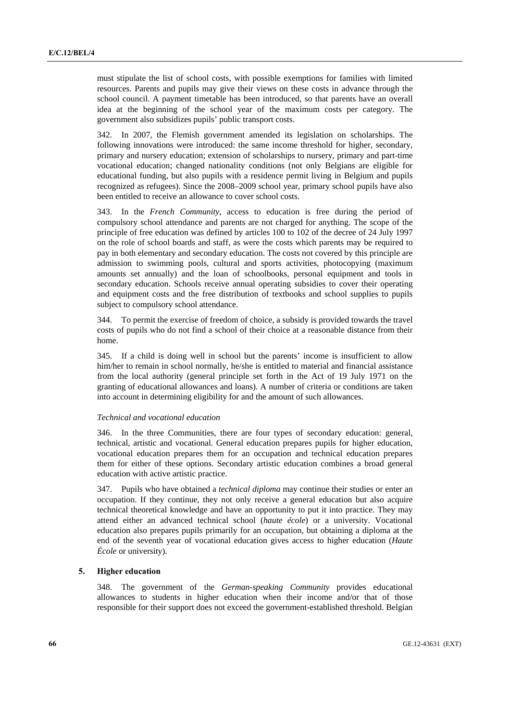must stipulate the list of school costs, with possible exemptions for families with limited resources. Parents and pupils may give their views on these costs in advance through the school council. A payment timetable has been introduced, so that parents have an overall idea at the beginning of the school year of the maximum costs per category. The government also subsidizes pupils' public transport costs.

342. In 2007, the Flemish government amended its legislation on scholarships. The following innovations were introduced: the same income threshold for higher, secondary, primary and nursery education; extension of scholarships to nursery, primary and part-time vocational education; changed nationality conditions (not only Belgians are eligible for educational funding, but also pupils with a residence permit living in Belgium and pupils recognized as refugees). Since the 2008–2009 school year, primary school pupils have also been entitled to receive an allowance to cover school costs.

343. In the *French Community*, access to education is free during the period of compulsory school attendance and parents are not charged for anything. The scope of the principle of free education was defined by articles 100 to 102 of the decree of 24 July 1997 on the role of school boards and staff, as were the costs which parents may be required to pay in both elementary and secondary education. The costs not covered by this principle are admission to swimming pools, cultural and sports activities, photocopying (maximum amounts set annually) and the loan of schoolbooks, personal equipment and tools in secondary education. Schools receive annual operating subsidies to cover their operating and equipment costs and the free distribution of textbooks and school supplies to pupils subject to compulsory school attendance.

344. To permit the exercise of freedom of choice, a subsidy is provided towards the travel costs of pupils who do not find a school of their choice at a reasonable distance from their home.

345. If a child is doing well in school but the parents' income is insufficient to allow him/her to remain in school normally, he/she is entitled to material and financial assistance from the local authority (general principle set forth in the Act of 19 July 1971 on the granting of educational allowances and loans). A number of criteria or conditions are taken into account in determining eligibility for and the amount of such allowances.

#### *Technical and vocational education*

346. In the three Communities, there are four types of secondary education: general, technical, artistic and vocational. General education prepares pupils for higher education, vocational education prepares them for an occupation and technical education prepares them for either of these options. Secondary artistic education combines a broad general education with active artistic practice.

347. Pupils who have obtained a *technical diploma* may continue their studies or enter an occupation. If they continue, they not only receive a general education but also acquire technical theoretical knowledge and have an opportunity to put it into practice. They may attend either an advanced technical school (*haute école*) or a university. Vocational education also prepares pupils primarily for an occupation, but obtaining a diploma at the end of the seventh year of vocational education gives access to higher education (*Haute École* or university).

## **5. Higher education**

348. The government of the *German-speaking Community* provides educational allowances to students in higher education when their income and/or that of those responsible for their support does not exceed the government-established threshold. Belgian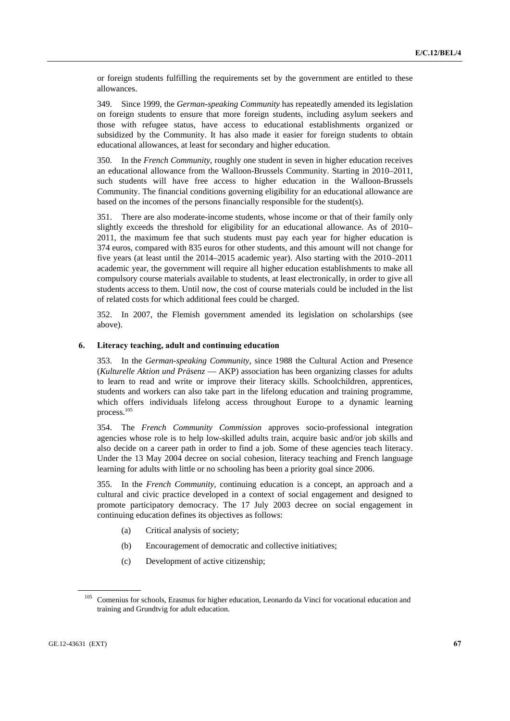or foreign students fulfilling the requirements set by the government are entitled to these allowances.

349. Since 1999, the *German-speaking Community* has repeatedly amended its legislation on foreign students to ensure that more foreign students, including asylum seekers and those with refugee status, have access to educational establishments organized or subsidized by the Community. It has also made it easier for foreign students to obtain educational allowances, at least for secondary and higher education.

350. In the *French Community*, roughly one student in seven in higher education receives an educational allowance from the Walloon-Brussels Community. Starting in 2010–2011, such students will have free access to higher education in the Walloon-Brussels Community. The financial conditions governing eligibility for an educational allowance are based on the incomes of the persons financially responsible for the student(s).

351. There are also moderate-income students, whose income or that of their family only slightly exceeds the threshold for eligibility for an educational allowance. As of 2010– 2011, the maximum fee that such students must pay each year for higher education is 374 euros, compared with 835 euros for other students, and this amount will not change for five years (at least until the 2014–2015 academic year). Also starting with the 2010–2011 academic year, the government will require all higher education establishments to make all compulsory course materials available to students, at least electronically, in order to give all students access to them. Until now, the cost of course materials could be included in the list of related costs for which additional fees could be charged.

352. In 2007, the Flemish government amended its legislation on scholarships (see above).

## **6. Literacy teaching, adult and continuing education**

353. In the *German-speaking Community*, since 1988 the Cultural Action and Presence (*Kulturelle Aktion und Präsenz* — AKP) association has been organizing classes for adults to learn to read and write or improve their literacy skills. Schoolchildren, apprentices, students and workers can also take part in the lifelong education and training programme, which offers individuals lifelong access throughout Europe to a dynamic learning process.105

354. The *French Community Commission* approves socio-professional integration agencies whose role is to help low-skilled adults train, acquire basic and/or job skills and also decide on a career path in order to find a job. Some of these agencies teach literacy. Under the 13 May 2004 decree on social cohesion, literacy teaching and French language learning for adults with little or no schooling has been a priority goal since 2006.

355. In the *French Community*, continuing education is a concept, an approach and a cultural and civic practice developed in a context of social engagement and designed to promote participatory democracy. The 17 July 2003 decree on social engagement in continuing education defines its objectives as follows:

- (a) Critical analysis of society;
- (b) Encouragement of democratic and collective initiatives;
- (c) Development of active citizenship;

<sup>&</sup>lt;sup>105</sup> Comenius for schools, Erasmus for higher education, Leonardo da Vinci for vocational education and training and Grundtvig for adult education.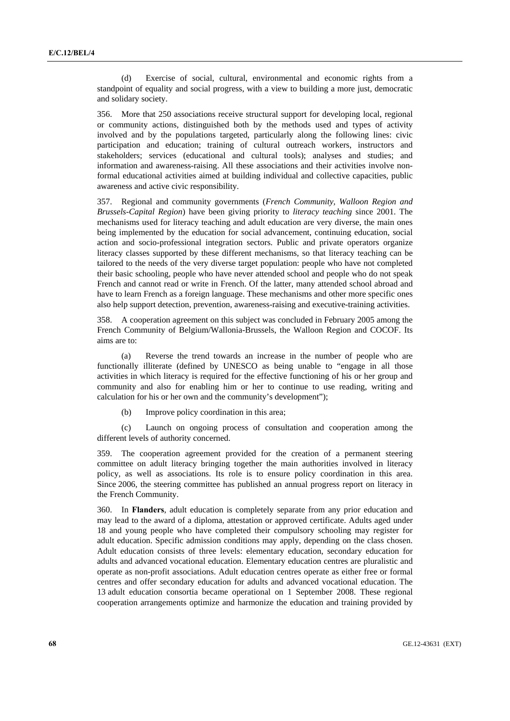(d) Exercise of social, cultural, environmental and economic rights from a standpoint of equality and social progress, with a view to building a more just, democratic and solidary society.

356. More that 250 associations receive structural support for developing local, regional or community actions, distinguished both by the methods used and types of activity involved and by the populations targeted, particularly along the following lines: civic participation and education; training of cultural outreach workers, instructors and stakeholders; services (educational and cultural tools); analyses and studies; and information and awareness-raising. All these associations and their activities involve nonformal educational activities aimed at building individual and collective capacities, public awareness and active civic responsibility.

357. Regional and community governments (*French Community, Walloon Region and Brussels-Capital Region*) have been giving priority to *literacy teaching* since 2001. The mechanisms used for literacy teaching and adult education are very diverse, the main ones being implemented by the education for social advancement, continuing education, social action and socio-professional integration sectors. Public and private operators organize literacy classes supported by these different mechanisms, so that literacy teaching can be tailored to the needs of the very diverse target population: people who have not completed their basic schooling, people who have never attended school and people who do not speak French and cannot read or write in French. Of the latter, many attended school abroad and have to learn French as a foreign language. These mechanisms and other more specific ones also help support detection, prevention, awareness-raising and executive-training activities.

358. A cooperation agreement on this subject was concluded in February 2005 among the French Community of Belgium/Wallonia-Brussels, the Walloon Region and COCOF. Its aims are to:

 (a) Reverse the trend towards an increase in the number of people who are functionally illiterate (defined by UNESCO as being unable to "engage in all those activities in which literacy is required for the effective functioning of his or her group and community and also for enabling him or her to continue to use reading, writing and calculation for his or her own and the community's development");

(b) Improve policy coordination in this area;

 (c) Launch on ongoing process of consultation and cooperation among the different levels of authority concerned.

359. The cooperation agreement provided for the creation of a permanent steering committee on adult literacy bringing together the main authorities involved in literacy policy, as well as associations. Its role is to ensure policy coordination in this area. Since 2006, the steering committee has published an annual progress report on literacy in the French Community.

360. In **Flanders**, adult education is completely separate from any prior education and may lead to the award of a diploma, attestation or approved certificate. Adults aged under 18 and young people who have completed their compulsory schooling may register for adult education. Specific admission conditions may apply, depending on the class chosen. Adult education consists of three levels: elementary education, secondary education for adults and advanced vocational education. Elementary education centres are pluralistic and operate as non-profit associations. Adult education centres operate as either free or formal centres and offer secondary education for adults and advanced vocational education. The 13 adult education consortia became operational on 1 September 2008. These regional cooperation arrangements optimize and harmonize the education and training provided by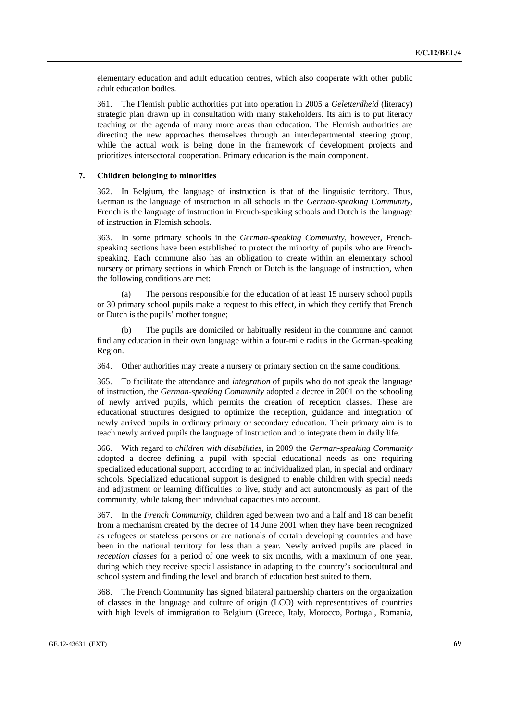elementary education and adult education centres, which also cooperate with other public adult education bodies.

361. The Flemish public authorities put into operation in 2005 a *Geletterdheid* (literacy) strategic plan drawn up in consultation with many stakeholders. Its aim is to put literacy teaching on the agenda of many more areas than education. The Flemish authorities are directing the new approaches themselves through an interdepartmental steering group, while the actual work is being done in the framework of development projects and prioritizes intersectoral cooperation. Primary education is the main component.

#### **7. Children belonging to minorities**

362. In Belgium, the language of instruction is that of the linguistic territory. Thus, German is the language of instruction in all schools in the *German-speaking Community*, French is the language of instruction in French-speaking schools and Dutch is the language of instruction in Flemish schools.

363. In some primary schools in the *German-speaking Community*, however, Frenchspeaking sections have been established to protect the minority of pupils who are Frenchspeaking. Each commune also has an obligation to create within an elementary school nursery or primary sections in which French or Dutch is the language of instruction, when the following conditions are met:

 (a) The persons responsible for the education of at least 15 nursery school pupils or 30 primary school pupils make a request to this effect, in which they certify that French or Dutch is the pupils' mother tongue;

 (b) The pupils are domiciled or habitually resident in the commune and cannot find any education in their own language within a four-mile radius in the German-speaking Region.

364. Other authorities may create a nursery or primary section on the same conditions.

365. To facilitate the attendance and *integration* of pupils who do not speak the language of instruction, the *German-speaking Community* adopted a decree in 2001 on the schooling of newly arrived pupils, which permits the creation of reception classes. These are educational structures designed to optimize the reception, guidance and integration of newly arrived pupils in ordinary primary or secondary education. Their primary aim is to teach newly arrived pupils the language of instruction and to integrate them in daily life.

366. With regard to *children with disabilities*, in 2009 the *German-speaking Community* adopted a decree defining a pupil with special educational needs as one requiring specialized educational support, according to an individualized plan, in special and ordinary schools. Specialized educational support is designed to enable children with special needs and adjustment or learning difficulties to live, study and act autonomously as part of the community, while taking their individual capacities into account.

367. In the *French Community*, children aged between two and a half and 18 can benefit from a mechanism created by the decree of 14 June 2001 when they have been recognized as refugees or stateless persons or are nationals of certain developing countries and have been in the national territory for less than a year. Newly arrived pupils are placed in *reception classes* for a period of one week to six months, with a maximum of one year, during which they receive special assistance in adapting to the country's sociocultural and school system and finding the level and branch of education best suited to them.

368. The French Community has signed bilateral partnership charters on the organization of classes in the language and culture of origin (LCO) with representatives of countries with high levels of immigration to Belgium (Greece, Italy, Morocco, Portugal, Romania,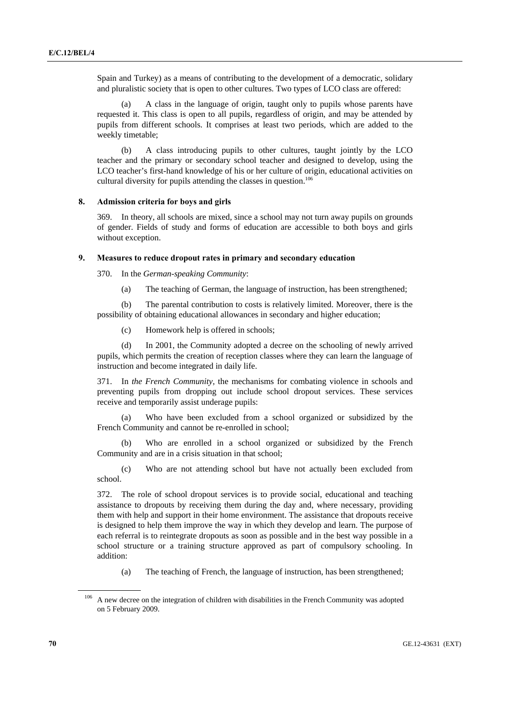Spain and Turkey) as a means of contributing to the development of a democratic, solidary and pluralistic society that is open to other cultures. Two types of LCO class are offered:

 (a) A class in the language of origin, taught only to pupils whose parents have requested it. This class is open to all pupils, regardless of origin, and may be attended by pupils from different schools. It comprises at least two periods, which are added to the weekly timetable;

 (b) A class introducing pupils to other cultures, taught jointly by the LCO teacher and the primary or secondary school teacher and designed to develop, using the LCO teacher's first-hand knowledge of his or her culture of origin, educational activities on cultural diversity for pupils attending the classes in question.<sup>106</sup>

## **8. Admission criteria for boys and girls**

369. In theory, all schools are mixed, since a school may not turn away pupils on grounds of gender. Fields of study and forms of education are accessible to both boys and girls without exception.

# **9. Measures to reduce dropout rates in primary and secondary education**

370. In the *German-speaking Community*:

(a) The teaching of German, the language of instruction, has been strengthened;

 (b) The parental contribution to costs is relatively limited. Moreover, there is the possibility of obtaining educational allowances in secondary and higher education;

(c) Homework help is offered in schools;

 (d) In 2001, the Community adopted a decree on the schooling of newly arrived pupils, which permits the creation of reception classes where they can learn the language of instruction and become integrated in daily life.

371. In *the French Community*, the mechanisms for combating violence in schools and preventing pupils from dropping out include school dropout services. These services receive and temporarily assist underage pupils:

Who have been excluded from a school organized or subsidized by the French Community and cannot be re-enrolled in school;

 (b) Who are enrolled in a school organized or subsidized by the French Community and are in a crisis situation in that school;

 (c) Who are not attending school but have not actually been excluded from school.

372. The role of school dropout services is to provide social, educational and teaching assistance to dropouts by receiving them during the day and, where necessary, providing them with help and support in their home environment. The assistance that dropouts receive is designed to help them improve the way in which they develop and learn. The purpose of each referral is to reintegrate dropouts as soon as possible and in the best way possible in a school structure or a training structure approved as part of compulsory schooling. In addition:

(a) The teaching of French, the language of instruction, has been strengthened;

<sup>&</sup>lt;sup>106</sup> A new decree on the integration of children with disabilities in the French Community was adopted on 5 February 2009.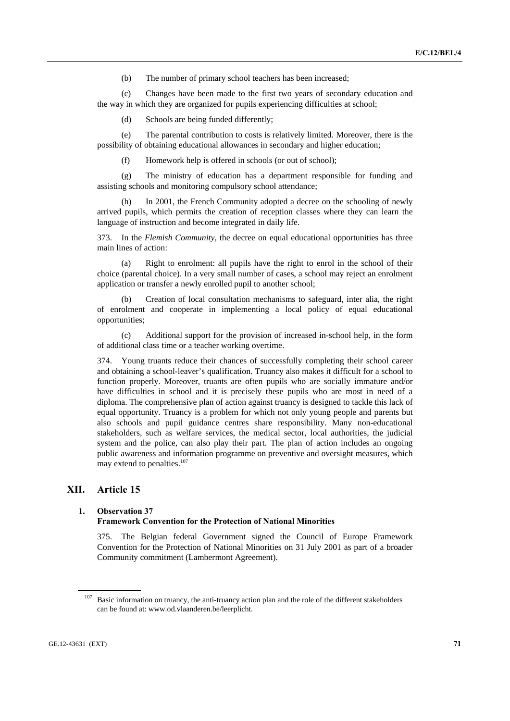(b) The number of primary school teachers has been increased;

 (c) Changes have been made to the first two years of secondary education and the way in which they are organized for pupils experiencing difficulties at school;

(d) Schools are being funded differently;

 (e) The parental contribution to costs is relatively limited. Moreover, there is the possibility of obtaining educational allowances in secondary and higher education;

(f) Homework help is offered in schools (or out of school);

 (g) The ministry of education has a department responsible for funding and assisting schools and monitoring compulsory school attendance;

 (h) In 2001, the French Community adopted a decree on the schooling of newly arrived pupils, which permits the creation of reception classes where they can learn the language of instruction and become integrated in daily life.

373. In the *Flemish Community*, the decree on equal educational opportunities has three main lines of action:

 (a) Right to enrolment: all pupils have the right to enrol in the school of their choice (parental choice). In a very small number of cases, a school may reject an enrolment application or transfer a newly enrolled pupil to another school;

 (b) Creation of local consultation mechanisms to safeguard, inter alia, the right of enrolment and cooperate in implementing a local policy of equal educational opportunities;

 (c) Additional support for the provision of increased in-school help, in the form of additional class time or a teacher working overtime.

374. Young truants reduce their chances of successfully completing their school career and obtaining a school-leaver's qualification. Truancy also makes it difficult for a school to function properly. Moreover, truants are often pupils who are socially immature and/or have difficulties in school and it is precisely these pupils who are most in need of a diploma. The comprehensive plan of action against truancy is designed to tackle this lack of equal opportunity. Truancy is a problem for which not only young people and parents but also schools and pupil guidance centres share responsibility. Many non-educational stakeholders, such as welfare services, the medical sector, local authorities, the judicial system and the police, can also play their part. The plan of action includes an ongoing public awareness and information programme on preventive and oversight measures, which may extend to penalties.<sup>107</sup>

# **XII. Article 15**

# **1. Observation 37**

# **Framework Convention for the Protection of National Minorities**

375. The Belgian federal Government signed the Council of Europe Framework Convention for the Protection of National Minorities on 31 July 2001 as part of a broader Community commitment (Lambermont Agreement).

<sup>&</sup>lt;sup>107</sup> Basic information on truancy, the anti-truancy action plan and the role of the different stakeholders can be found at: www.od.vlaanderen.be/leerplicht.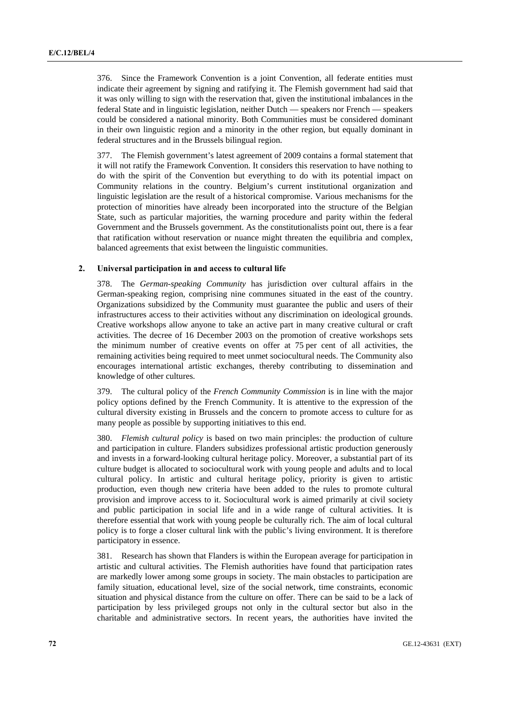376. Since the Framework Convention is a joint Convention, all federate entities must indicate their agreement by signing and ratifying it. The Flemish government had said that it was only willing to sign with the reservation that, given the institutional imbalances in the federal State and in linguistic legislation, neither Dutch — speakers nor French — speakers could be considered a national minority. Both Communities must be considered dominant in their own linguistic region and a minority in the other region, but equally dominant in federal structures and in the Brussels bilingual region.

377. The Flemish government's latest agreement of 2009 contains a formal statement that it will not ratify the Framework Convention. It considers this reservation to have nothing to do with the spirit of the Convention but everything to do with its potential impact on Community relations in the country. Belgium's current institutional organization and linguistic legislation are the result of a historical compromise. Various mechanisms for the protection of minorities have already been incorporated into the structure of the Belgian State, such as particular majorities, the warning procedure and parity within the federal Government and the Brussels government. As the constitutionalists point out, there is a fear that ratification without reservation or nuance might threaten the equilibria and complex, balanced agreements that exist between the linguistic communities.

## **2. Universal participation in and access to cultural life**

378. The *German-speaking Community* has jurisdiction over cultural affairs in the German-speaking region, comprising nine communes situated in the east of the country. Organizations subsidized by the Community must guarantee the public and users of their infrastructures access to their activities without any discrimination on ideological grounds. Creative workshops allow anyone to take an active part in many creative cultural or craft activities. The decree of 16 December 2003 on the promotion of creative workshops sets the minimum number of creative events on offer at 75 per cent of all activities, the remaining activities being required to meet unmet sociocultural needs. The Community also encourages international artistic exchanges, thereby contributing to dissemination and knowledge of other cultures.

379. The cultural policy of the *French Community Commission* is in line with the major policy options defined by the French Community. It is attentive to the expression of the cultural diversity existing in Brussels and the concern to promote access to culture for as many people as possible by supporting initiatives to this end.

380. *Flemish cultural policy* is based on two main principles: the production of culture and participation in culture. Flanders subsidizes professional artistic production generously and invests in a forward-looking cultural heritage policy. Moreover, a substantial part of its culture budget is allocated to sociocultural work with young people and adults and to local cultural policy. In artistic and cultural heritage policy, priority is given to artistic production, even though new criteria have been added to the rules to promote cultural provision and improve access to it. Sociocultural work is aimed primarily at civil society and public participation in social life and in a wide range of cultural activities. It is therefore essential that work with young people be culturally rich. The aim of local cultural policy is to forge a closer cultural link with the public's living environment. It is therefore participatory in essence.

381. Research has shown that Flanders is within the European average for participation in artistic and cultural activities. The Flemish authorities have found that participation rates are markedly lower among some groups in society. The main obstacles to participation are family situation, educational level, size of the social network, time constraints, economic situation and physical distance from the culture on offer. There can be said to be a lack of participation by less privileged groups not only in the cultural sector but also in the charitable and administrative sectors. In recent years, the authorities have invited the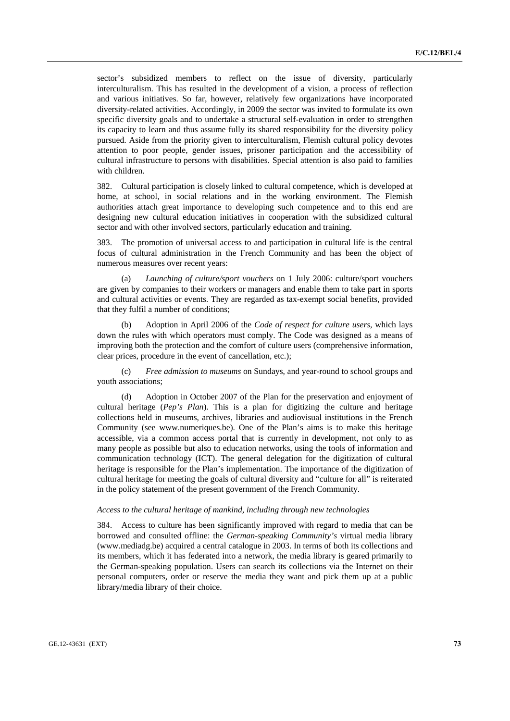sector's subsidized members to reflect on the issue of diversity, particularly interculturalism. This has resulted in the development of a vision, a process of reflection and various initiatives. So far, however, relatively few organizations have incorporated diversity-related activities. Accordingly, in 2009 the sector was invited to formulate its own specific diversity goals and to undertake a structural self-evaluation in order to strengthen its capacity to learn and thus assume fully its shared responsibility for the diversity policy pursued. Aside from the priority given to interculturalism, Flemish cultural policy devotes attention to poor people, gender issues, prisoner participation and the accessibility of cultural infrastructure to persons with disabilities. Special attention is also paid to families with children.

382. Cultural participation is closely linked to cultural competence, which is developed at home, at school, in social relations and in the working environment. The Flemish authorities attach great importance to developing such competence and to this end are designing new cultural education initiatives in cooperation with the subsidized cultural sector and with other involved sectors, particularly education and training.

383. The promotion of universal access to and participation in cultural life is the central focus of cultural administration in the French Community and has been the object of numerous measures over recent years:

 (a) *Launching of culture/sport vouchers* on 1 July 2006: culture/sport vouchers are given by companies to their workers or managers and enable them to take part in sports and cultural activities or events. They are regarded as tax-exempt social benefits, provided that they fulfil a number of conditions;

 (b) Adoption in April 2006 of the *Code of respect for culture users*, which lays down the rules with which operators must comply. The Code was designed as a means of improving both the protection and the comfort of culture users (comprehensive information, clear prices, procedure in the event of cancellation, etc.);

 (c) *Free admission to museums* on Sundays, and year-round to school groups and youth associations;

 (d) Adoption in October 2007 of the Plan for the preservation and enjoyment of cultural heritage (*Pep's Plan*). This is a plan for digitizing the culture and heritage collections held in museums, archives, libraries and audiovisual institutions in the French Community (see www.numeriques.be). One of the Plan's aims is to make this heritage accessible, via a common access portal that is currently in development, not only to as many people as possible but also to education networks, using the tools of information and communication technology (ICT). The general delegation for the digitization of cultural heritage is responsible for the Plan's implementation. The importance of the digitization of cultural heritage for meeting the goals of cultural diversity and "culture for all" is reiterated in the policy statement of the present government of the French Community.

## *Access to the cultural heritage of mankind, including through new technologies*

384. Access to culture has been significantly improved with regard to media that can be borrowed and consulted offline: the *German-speaking Community's* virtual media library (www.mediadg.be) acquired a central catalogue in 2003. In terms of both its collections and its members, which it has federated into a network, the media library is geared primarily to the German-speaking population. Users can search its collections via the Internet on their personal computers, order or reserve the media they want and pick them up at a public library/media library of their choice.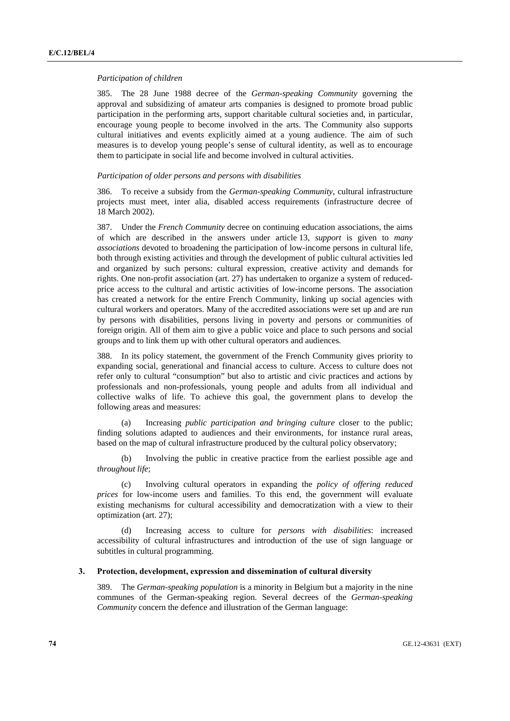#### *Participation of children*

385. The 28 June 1988 decree of the *German-speaking Community* governing the approval and subsidizing of amateur arts companies is designed to promote broad public participation in the performing arts, support charitable cultural societies and, in particular, encourage young people to become involved in the arts. The Community also supports cultural initiatives and events explicitly aimed at a young audience. The aim of such measures is to develop young people's sense of cultural identity, as well as to encourage them to participate in social life and become involved in cultural activities.

## *Participation of older persons and persons with disabilities*

386. To receive a subsidy from the *German-speaking Community*, cultural infrastructure projects must meet, inter alia, disabled access requirements (infrastructure decree of 18 March 2002).

387. Under the *French Community* decree on continuing education associations, the aims of which are described in the answers under article 13, *support* is given to *many associations* devoted to broadening the participation of low-income persons in cultural life, both through existing activities and through the development of public cultural activities led and organized by such persons: cultural expression, creative activity and demands for rights. One non-profit association (art. 27) has undertaken to organize a system of reducedprice access to the cultural and artistic activities of low-income persons. The association has created a network for the entire French Community, linking up social agencies with cultural workers and operators. Many of the accredited associations were set up and are run by persons with disabilities, persons living in poverty and persons or communities of foreign origin. All of them aim to give a public voice and place to such persons and social groups and to link them up with other cultural operators and audiences.

388. In its policy statement, the government of the French Community gives priority to expanding social, generational and financial access to culture. Access to culture does not refer only to cultural "consumption" but also to artistic and civic practices and actions by professionals and non-professionals, young people and adults from all individual and collective walks of life. To achieve this goal, the government plans to develop the following areas and measures:

 (a) Increasing *public participation and bringing culture* closer to the public; finding solutions adapted to audiences and their environments, for instance rural areas, based on the map of cultural infrastructure produced by the cultural policy observatory;

 (b) Involving the public in creative practice from the earliest possible age and *throughout life*;

 (c) Involving cultural operators in expanding the *policy of offering reduced prices* for low-income users and families. To this end, the government will evaluate existing mechanisms for cultural accessibility and democratization with a view to their optimization (art. 27);

 (d) Increasing access to culture for *persons with disabilities*: increased accessibility of cultural infrastructures and introduction of the use of sign language or subtitles in cultural programming.

### **3. Protection, development, expression and dissemination of cultural diversity**

389. The *German-speaking population* is a minority in Belgium but a majority in the nine communes of the German-speaking region. Several decrees of the *German-speaking Community* concern the defence and illustration of the German language: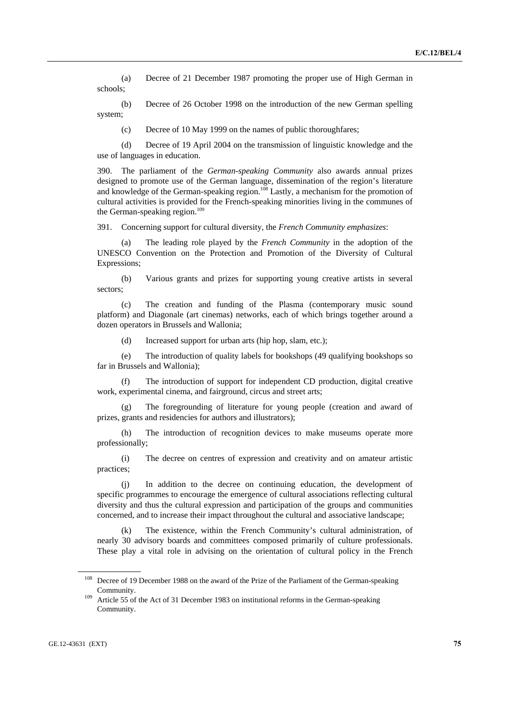(a) Decree of 21 December 1987 promoting the proper use of High German in schools;

 (b) Decree of 26 October 1998 on the introduction of the new German spelling system;

(c) Decree of 10 May 1999 on the names of public thoroughfares;

 (d) Decree of 19 April 2004 on the transmission of linguistic knowledge and the use of languages in education.

390. The parliament of the *German-speaking Community* also awards annual prizes designed to promote use of the German language, dissemination of the region's literature and knowledge of the German-speaking region.<sup>108</sup> Lastly, a mechanism for the promotion of cultural activities is provided for the French-speaking minorities living in the communes of the German-speaking region.<sup>109</sup>

391. Concerning support for cultural diversity, the *French Community emphasizes*:

 (a) The leading role played by the *French Community* in the adoption of the UNESCO Convention on the Protection and Promotion of the Diversity of Cultural Expressions;

 (b) Various grants and prizes for supporting young creative artists in several sectors;

 (c) The creation and funding of the Plasma (contemporary music sound platform) and Diagonale (art cinemas) networks, each of which brings together around a dozen operators in Brussels and Wallonia;

(d) Increased support for urban arts (hip hop, slam, etc.);

 (e) The introduction of quality labels for bookshops (49 qualifying bookshops so far in Brussels and Wallonia);

The introduction of support for independent CD production, digital creative work, experimental cinema, and fairground, circus and street arts;

 (g) The foregrounding of literature for young people (creation and award of prizes, grants and residencies for authors and illustrators);

 (h) The introduction of recognition devices to make museums operate more professionally;

 (i) The decree on centres of expression and creativity and on amateur artistic practices;

 (j) In addition to the decree on continuing education, the development of specific programmes to encourage the emergence of cultural associations reflecting cultural diversity and thus the cultural expression and participation of the groups and communities concerned, and to increase their impact throughout the cultural and associative landscape;

The existence, within the French Community's cultural administration, of nearly 30 advisory boards and committees composed primarily of culture professionals. These play a vital role in advising on the orientation of cultural policy in the French

<sup>&</sup>lt;sup>108</sup> Decree of 19 December 1988 on the award of the Prize of the Parliament of the German-speaking

Community. 109 Article 55 of the Act of 31 December 1983 on institutional reforms in the German-speaking Community.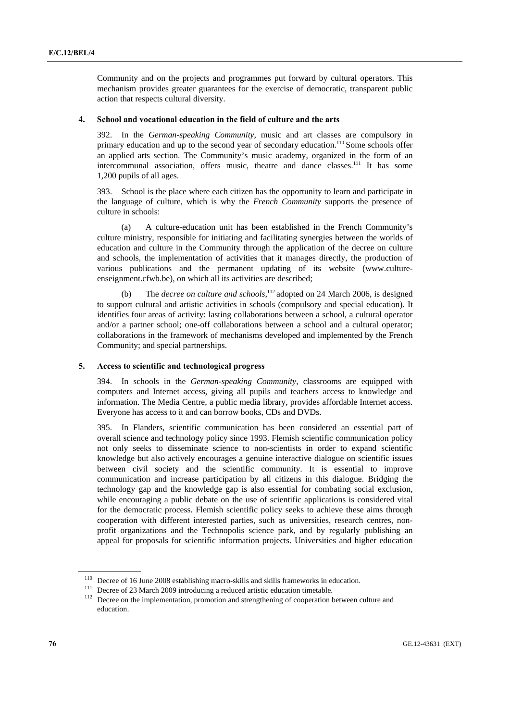Community and on the projects and programmes put forward by cultural operators. This mechanism provides greater guarantees for the exercise of democratic, transparent public action that respects cultural diversity.

## **4. School and vocational education in the field of culture and the arts**

392. In the *German-speaking Community*, music and art classes are compulsory in primary education and up to the second year of secondary education.<sup>110</sup> Some schools offer an applied arts section. The Community's music academy, organized in the form of an intercommunal association, offers music, theatre and dance classes.<sup>111</sup> It has some 1,200 pupils of all ages.

393. School is the place where each citizen has the opportunity to learn and participate in the language of culture, which is why the *French Community* supports the presence of culture in schools:

 (a) A culture-education unit has been established in the French Community's culture ministry, responsible for initiating and facilitating synergies between the worlds of education and culture in the Community through the application of the decree on culture and schools, the implementation of activities that it manages directly, the production of various publications and the permanent updating of its website (www.cultureenseignment.cfwb.be), on which all its activities are described;

(b) The *decree on culture and schools*,<sup>112</sup> adopted on 24 March 2006, is designed to support cultural and artistic activities in schools (compulsory and special education). It identifies four areas of activity: lasting collaborations between a school, a cultural operator and/or a partner school; one-off collaborations between a school and a cultural operator; collaborations in the framework of mechanisms developed and implemented by the French Community; and special partnerships.

## **5. Access to scientific and technological progress**

394. In schools in the *German-speaking Community*, classrooms are equipped with computers and Internet access, giving all pupils and teachers access to knowledge and information. The Media Centre, a public media library, provides affordable Internet access. Everyone has access to it and can borrow books, CDs and DVDs.

395. In Flanders, scientific communication has been considered an essential part of overall science and technology policy since 1993. Flemish scientific communication policy not only seeks to disseminate science to non-scientists in order to expand scientific knowledge but also actively encourages a genuine interactive dialogue on scientific issues between civil society and the scientific community. It is essential to improve communication and increase participation by all citizens in this dialogue. Bridging the technology gap and the knowledge gap is also essential for combating social exclusion, while encouraging a public debate on the use of scientific applications is considered vital for the democratic process. Flemish scientific policy seeks to achieve these aims through cooperation with different interested parties, such as universities, research centres, nonprofit organizations and the Technopolis science park, and by regularly publishing an appeal for proposals for scientific information projects. Universities and higher education

<sup>&</sup>lt;sup>110</sup> Decree of 16 June 2008 establishing macro-skills and skills frameworks in education.<br><sup>111</sup> Decree of 23 March 2009 introducing a reduced artistic education timetable.<br><sup>112</sup> Decree on the implementation, promotion an education.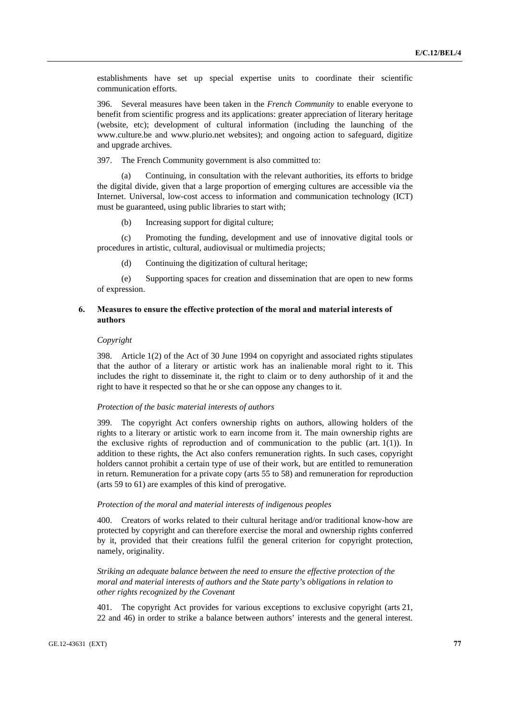establishments have set up special expertise units to coordinate their scientific communication efforts.

396. Several measures have been taken in the *French Community* to enable everyone to benefit from scientific progress and its applications: greater appreciation of literary heritage (website, etc); development of cultural information (including the launching of the www.culture.be and www.plurio.net websites); and ongoing action to safeguard, digitize and upgrade archives.

397. The French Community government is also committed to:

 (a) Continuing, in consultation with the relevant authorities, its efforts to bridge the digital divide, given that a large proportion of emerging cultures are accessible via the Internet. Universal, low-cost access to information and communication technology (ICT) must be guaranteed, using public libraries to start with;

(b) Increasing support for digital culture;

 (c) Promoting the funding, development and use of innovative digital tools or procedures in artistic, cultural, audiovisual or multimedia projects;

(d) Continuing the digitization of cultural heritage;

 (e) Supporting spaces for creation and dissemination that are open to new forms of expression.

## **6. Measures to ensure the effective protection of the moral and material interests of authors**

#### *Copyright*

398. Article 1(2) of the Act of 30 June 1994 on copyright and associated rights stipulates that the author of a literary or artistic work has an inalienable moral right to it. This includes the right to disseminate it, the right to claim or to deny authorship of it and the right to have it respected so that he or she can oppose any changes to it.

# *Protection of the basic material interests of authors*

399. The copyright Act confers ownership rights on authors, allowing holders of the rights to a literary or artistic work to earn income from it. The main ownership rights are the exclusive rights of reproduction and of communication to the public (art.  $1(1)$ ). In addition to these rights, the Act also confers remuneration rights. In such cases, copyright holders cannot prohibit a certain type of use of their work, but are entitled to remuneration in return. Remuneration for a private copy (arts 55 to 58) and remuneration for reproduction (arts 59 to 61) are examples of this kind of prerogative.

#### *Protection of the moral and material interests of indigenous peoples*

400. Creators of works related to their cultural heritage and/or traditional know-how are protected by copyright and can therefore exercise the moral and ownership rights conferred by it, provided that their creations fulfil the general criterion for copyright protection, namely, originality.

 *Striking an adequate balance between the need to ensure the effective protection of the moral and material interests of authors and the State party's obligations in relation to other rights recognized by the Covenant* 

401. The copyright Act provides for various exceptions to exclusive copyright (arts 21, 22 and 46) in order to strike a balance between authors' interests and the general interest.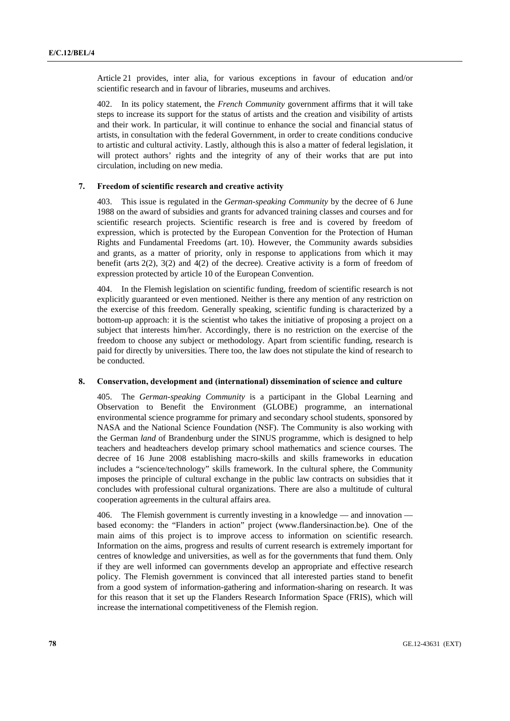Article 21 provides, inter alia, for various exceptions in favour of education and/or scientific research and in favour of libraries, museums and archives.

402. In its policy statement, the *French Community* government affirms that it will take steps to increase its support for the status of artists and the creation and visibility of artists and their work. In particular, it will continue to enhance the social and financial status of artists, in consultation with the federal Government, in order to create conditions conducive to artistic and cultural activity. Lastly, although this is also a matter of federal legislation, it will protect authors' rights and the integrity of any of their works that are put into circulation, including on new media.

## **7. Freedom of scientific research and creative activity**

403. This issue is regulated in the *German-speaking Community* by the decree of 6 June 1988 on the award of subsidies and grants for advanced training classes and courses and for scientific research projects. Scientific research is free and is covered by freedom of expression, which is protected by the European Convention for the Protection of Human Rights and Fundamental Freedoms (art. 10). However, the Community awards subsidies and grants, as a matter of priority, only in response to applications from which it may benefit (arts 2(2), 3(2) and 4(2) of the decree). Creative activity is a form of freedom of expression protected by article 10 of the European Convention.

404. In the Flemish legislation on scientific funding, freedom of scientific research is not explicitly guaranteed or even mentioned. Neither is there any mention of any restriction on the exercise of this freedom. Generally speaking, scientific funding is characterized by a bottom-up approach: it is the scientist who takes the initiative of proposing a project on a subject that interests him/her. Accordingly, there is no restriction on the exercise of the freedom to choose any subject or methodology. Apart from scientific funding, research is paid for directly by universities. There too, the law does not stipulate the kind of research to be conducted.

#### **8. Conservation, development and (international) dissemination of science and culture**

405. The *German-speaking Community* is a participant in the Global Learning and Observation to Benefit the Environment (GLOBE) programme, an international environmental science programme for primary and secondary school students, sponsored by NASA and the National Science Foundation (NSF). The Community is also working with the German *land* of Brandenburg under the SINUS programme, which is designed to help teachers and headteachers develop primary school mathematics and science courses. The decree of 16 June 2008 establishing macro-skills and skills frameworks in education includes a "science/technology" skills framework. In the cultural sphere, the Community imposes the principle of cultural exchange in the public law contracts on subsidies that it concludes with professional cultural organizations. There are also a multitude of cultural cooperation agreements in the cultural affairs area.

406. The Flemish government is currently investing in a knowledge — and innovation based economy: the "Flanders in action" project (www.flandersinaction.be). One of the main aims of this project is to improve access to information on scientific research. Information on the aims, progress and results of current research is extremely important for centres of knowledge and universities, as well as for the governments that fund them. Only if they are well informed can governments develop an appropriate and effective research policy. The Flemish government is convinced that all interested parties stand to benefit from a good system of information-gathering and information-sharing on research. It was for this reason that it set up the Flanders Research Information Space (FRIS), which will increase the international competitiveness of the Flemish region.